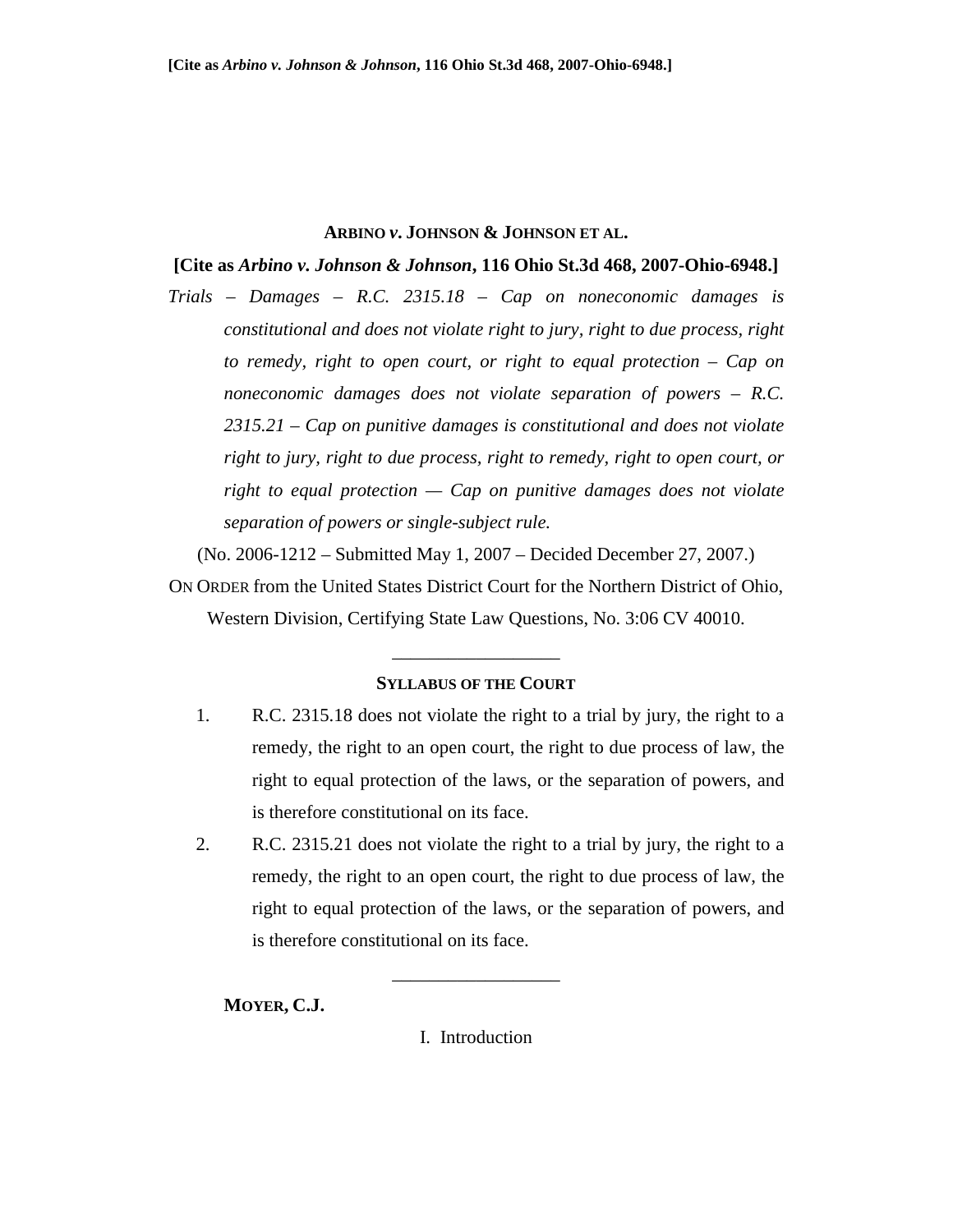## **ARBINO** *v***. JOHNSON & JOHNSON ET AL.**

## **[Cite as** *Arbino v. Johnson & Johnson***, 116 Ohio St.3d 468, 2007-Ohio-6948.]**

*Trials – Damages – R.C. 2315.18 – Cap on noneconomic damages is constitutional and does not violate right to jury, right to due process, right to remedy, right to open court, or right to equal protection – Cap on noneconomic damages does not violate separation of powers – R.C. 2315.21 – Cap on punitive damages is constitutional and does not violate right to jury, right to due process, right to remedy, right to open court, or right to equal protection — Cap on punitive damages does not violate separation of powers or single-subject rule.* 

(No. 2006-1212 – Submitted May 1, 2007 – Decided December 27, 2007.)

ON ORDER from the United States District Court for the Northern District of Ohio, Western Division, Certifying State Law Questions, No. 3:06 CV 40010.

## **SYLLABUS OF THE COURT**

\_\_\_\_\_\_\_\_\_\_\_\_\_\_\_\_\_\_

- 1. R.C. 2315.18 does not violate the right to a trial by jury, the right to a remedy, the right to an open court, the right to due process of law, the right to equal protection of the laws, or the separation of powers, and is therefore constitutional on its face.
- 2. R.C. 2315.21 does not violate the right to a trial by jury, the right to a remedy, the right to an open court, the right to due process of law, the right to equal protection of the laws, or the separation of powers, and is therefore constitutional on its face.

 **MOYER, C.J.** 

I. Introduction

\_\_\_\_\_\_\_\_\_\_\_\_\_\_\_\_\_\_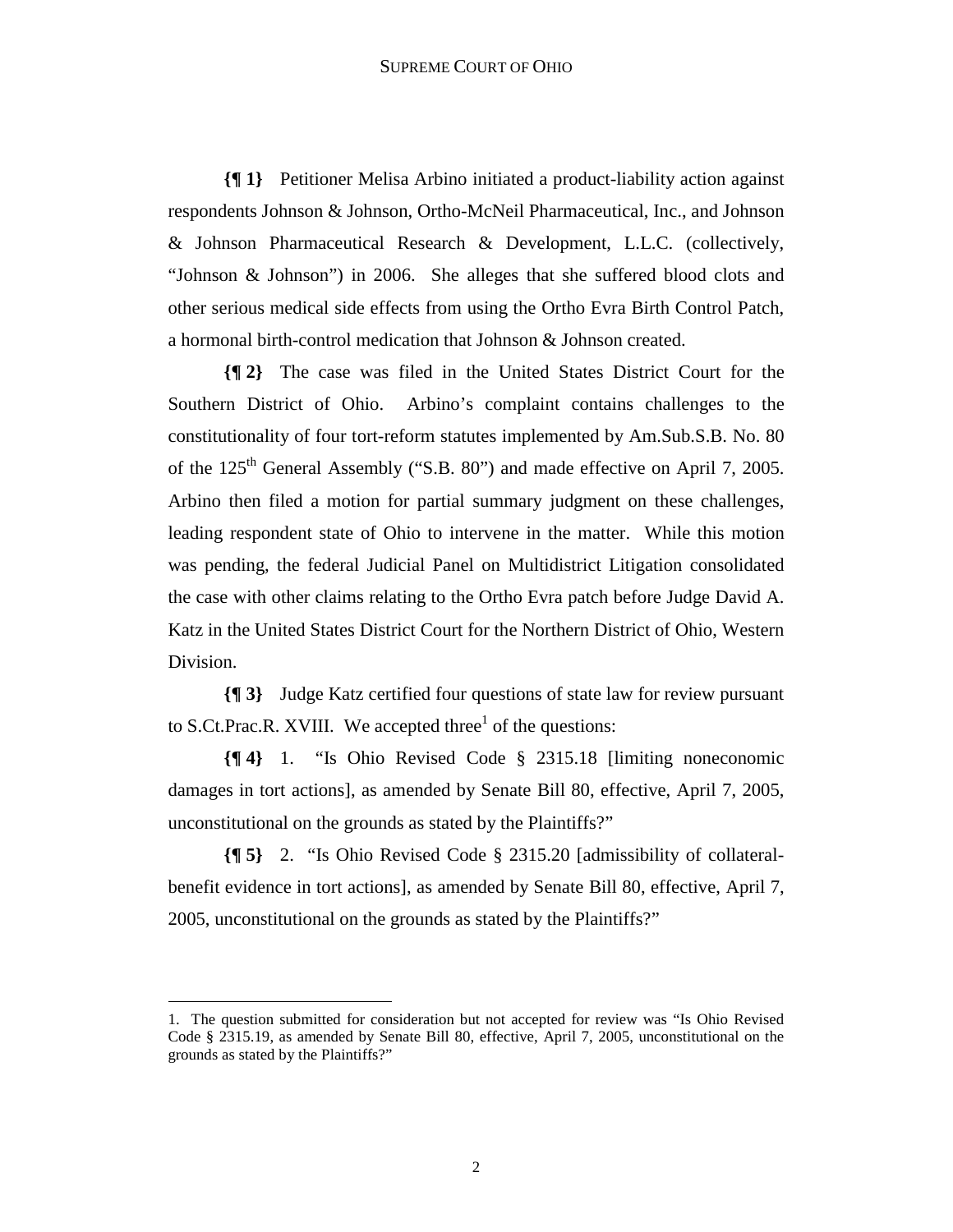## SUPREME COURT OF OHIO

**{¶ 1}** Petitioner Melisa Arbino initiated a product-liability action against respondents Johnson & Johnson, Ortho-McNeil Pharmaceutical, Inc., and Johnson & Johnson Pharmaceutical Research & Development, L.L.C. (collectively, "Johnson & Johnson") in 2006. She alleges that she suffered blood clots and other serious medical side effects from using the Ortho Evra Birth Control Patch, a hormonal birth-control medication that Johnson & Johnson created.

**{¶ 2}** The case was filed in the United States District Court for the Southern District of Ohio. Arbino's complaint contains challenges to the constitutionality of four tort-reform statutes implemented by Am.Sub.S.B. No. 80 of the 125<sup>th</sup> General Assembly ("S.B. 80") and made effective on April 7, 2005. Arbino then filed a motion for partial summary judgment on these challenges, leading respondent state of Ohio to intervene in the matter. While this motion was pending, the federal Judicial Panel on Multidistrict Litigation consolidated the case with other claims relating to the Ortho Evra patch before Judge David A. Katz in the United States District Court for the Northern District of Ohio, Western Division.

**{¶ 3}** Judge Katz certified four questions of state law for review pursuant to S.Ct.Prac.R. XVIII. We accepted three<sup>1</sup> of the questions:

**{¶ 4}** 1. "Is Ohio Revised Code § 2315.18 [limiting noneconomic damages in tort actions], as amended by Senate Bill 80, effective, April 7, 2005, unconstitutional on the grounds as stated by the Plaintiffs?"

**{¶ 5}** 2. "Is Ohio Revised Code § 2315.20 [admissibility of collateralbenefit evidence in tort actions], as amended by Senate Bill 80, effective, April 7, 2005, unconstitutional on the grounds as stated by the Plaintiffs?"

1

<sup>1.</sup> The question submitted for consideration but not accepted for review was "Is Ohio Revised Code § 2315.19, as amended by Senate Bill 80, effective, April 7, 2005, unconstitutional on the grounds as stated by the Plaintiffs?"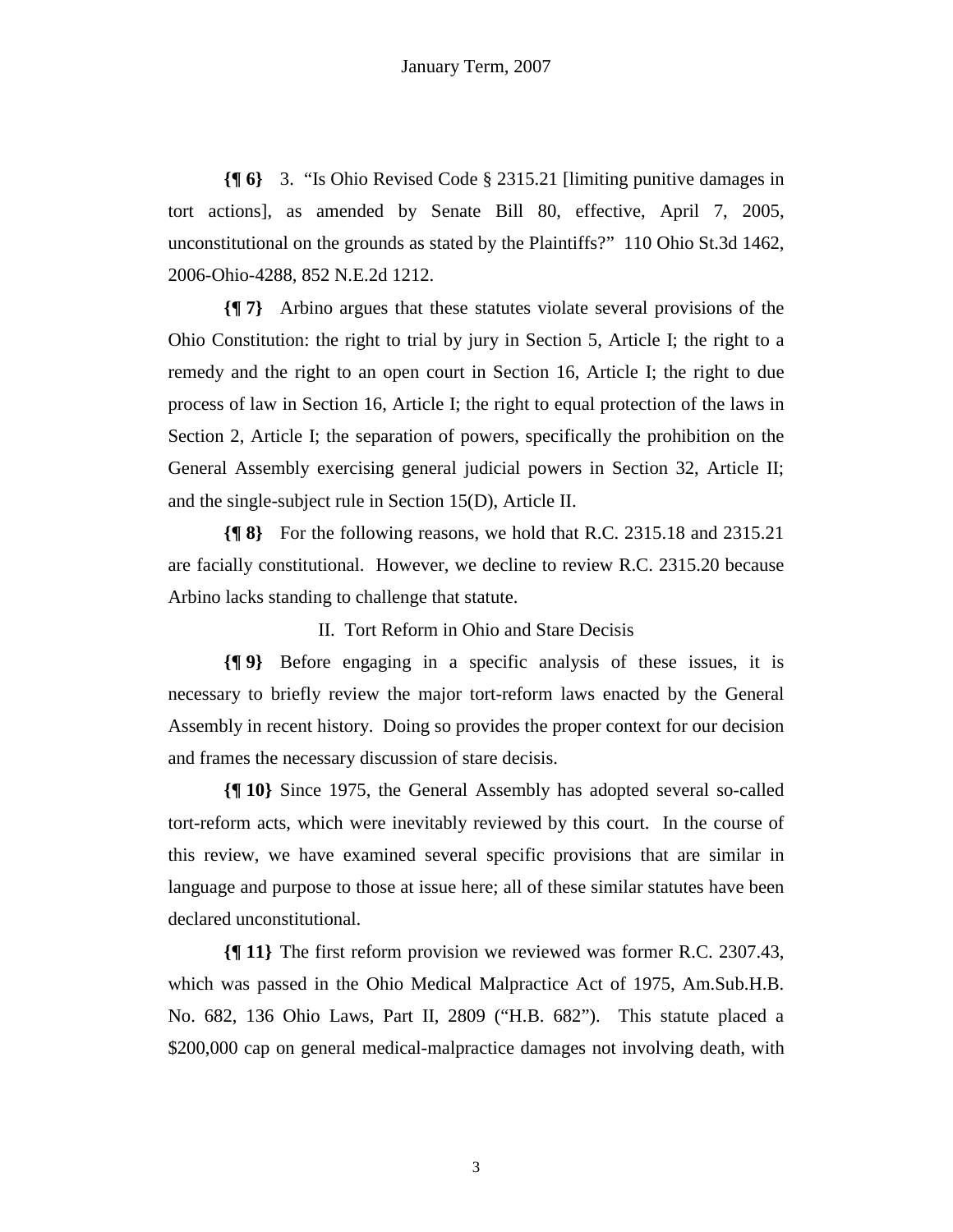**{¶ 6}** 3. "Is Ohio Revised Code § 2315.21 [limiting punitive damages in tort actions], as amended by Senate Bill 80, effective, April 7, 2005, unconstitutional on the grounds as stated by the Plaintiffs?" 110 Ohio St.3d 1462, 2006-Ohio-4288, 852 N.E.2d 1212.

**{¶ 7}** Arbino argues that these statutes violate several provisions of the Ohio Constitution: the right to trial by jury in Section 5, Article I; the right to a remedy and the right to an open court in Section 16, Article I; the right to due process of law in Section 16, Article I; the right to equal protection of the laws in Section 2, Article I; the separation of powers, specifically the prohibition on the General Assembly exercising general judicial powers in Section 32, Article II; and the single-subject rule in Section 15(D), Article II.

**{¶ 8}** For the following reasons, we hold that R.C. 2315.18 and 2315.21 are facially constitutional. However, we decline to review R.C. 2315.20 because Arbino lacks standing to challenge that statute.

II. Tort Reform in Ohio and Stare Decisis

**{¶ 9}** Before engaging in a specific analysis of these issues, it is necessary to briefly review the major tort-reform laws enacted by the General Assembly in recent history. Doing so provides the proper context for our decision and frames the necessary discussion of stare decisis.

**{¶ 10}** Since 1975, the General Assembly has adopted several so-called tort-reform acts, which were inevitably reviewed by this court. In the course of this review, we have examined several specific provisions that are similar in language and purpose to those at issue here; all of these similar statutes have been declared unconstitutional.

**{¶ 11}** The first reform provision we reviewed was former R.C. 2307.43, which was passed in the Ohio Medical Malpractice Act of 1975, Am.Sub.H.B. No. 682, 136 Ohio Laws, Part II, 2809 ("H.B. 682"). This statute placed a \$200,000 cap on general medical-malpractice damages not involving death, with

3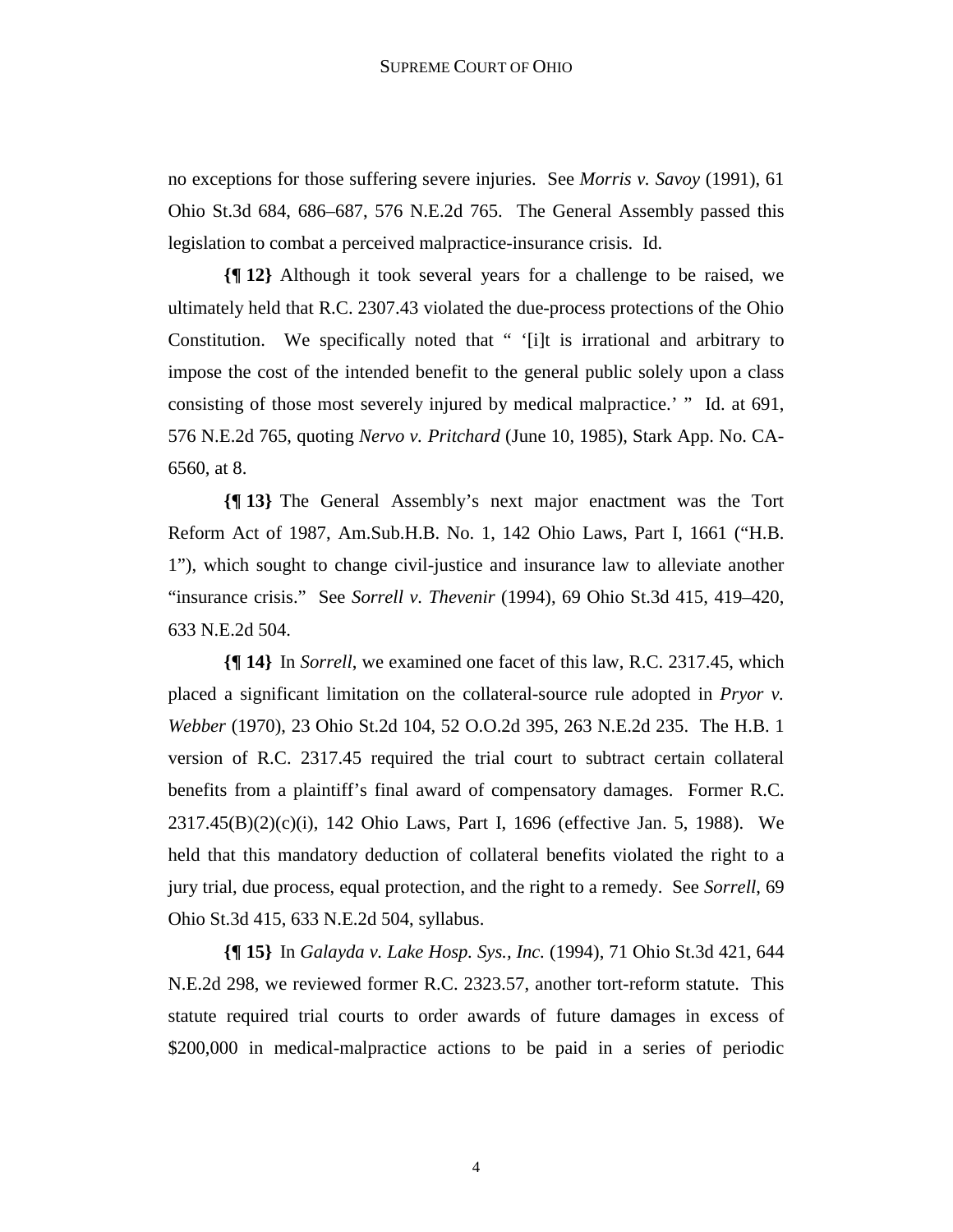no exceptions for those suffering severe injuries. See *Morris v. Savoy* (1991), 61 Ohio St.3d 684, 686–687, 576 N.E.2d 765. The General Assembly passed this legislation to combat a perceived malpractice-insurance crisis. Id.

**{¶ 12}** Although it took several years for a challenge to be raised, we ultimately held that R.C. 2307.43 violated the due-process protections of the Ohio Constitution. We specifically noted that " '[i]t is irrational and arbitrary to impose the cost of the intended benefit to the general public solely upon a class consisting of those most severely injured by medical malpractice.' " Id. at 691, 576 N.E.2d 765, quoting *Nervo v. Pritchard* (June 10, 1985), Stark App. No. CA-6560, at 8.

**{¶ 13}** The General Assembly's next major enactment was the Tort Reform Act of 1987, Am.Sub.H.B. No. 1, 142 Ohio Laws, Part I, 1661 ("H.B. 1"), which sought to change civil-justice and insurance law to alleviate another "insurance crisis." See *Sorrell v. Thevenir* (1994), 69 Ohio St.3d 415, 419–420, 633 N.E.2d 504.

**{¶ 14}** In *Sorrell*, we examined one facet of this law, R.C. 2317.45, which placed a significant limitation on the collateral-source rule adopted in *Pryor v. Webber* (1970), 23 Ohio St.2d 104, 52 O.O.2d 395, 263 N.E.2d 235. The H.B. 1 version of R.C. 2317.45 required the trial court to subtract certain collateral benefits from a plaintiff's final award of compensatory damages. Former R.C. 2317.45(B)(2)(c)(i), 142 Ohio Laws, Part I, 1696 (effective Jan. 5, 1988). We held that this mandatory deduction of collateral benefits violated the right to a jury trial, due process, equal protection, and the right to a remedy. See *Sorrell*, 69 Ohio St.3d 415, 633 N.E.2d 504, syllabus.

**{¶ 15}** In *Galayda v. Lake Hosp. Sys., Inc.* (1994), 71 Ohio St.3d 421, 644 N.E.2d 298, we reviewed former R.C. 2323.57, another tort-reform statute. This statute required trial courts to order awards of future damages in excess of \$200,000 in medical-malpractice actions to be paid in a series of periodic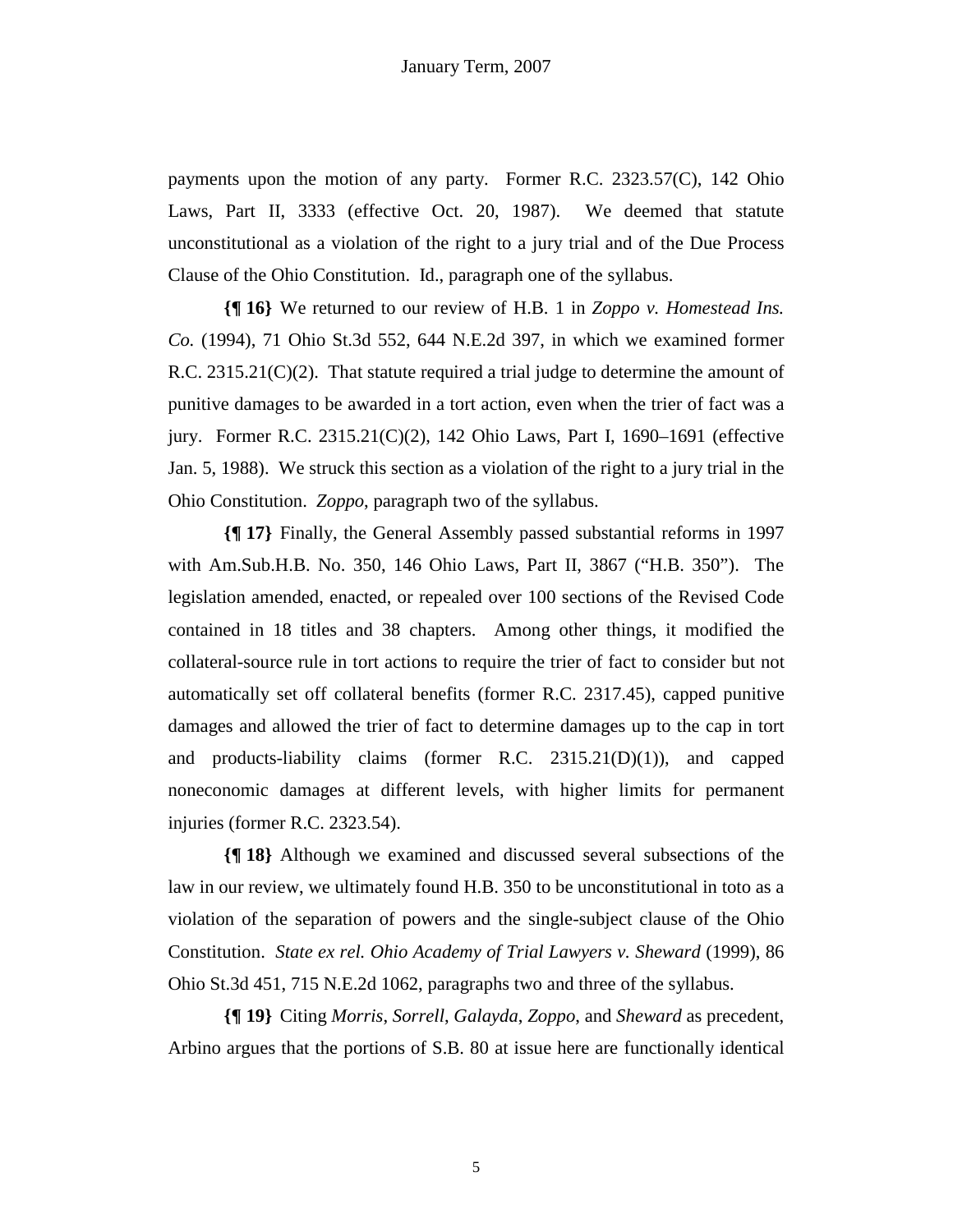payments upon the motion of any party. Former R.C. 2323.57(C), 142 Ohio Laws, Part II, 3333 (effective Oct. 20, 1987). We deemed that statute unconstitutional as a violation of the right to a jury trial and of the Due Process Clause of the Ohio Constitution. Id., paragraph one of the syllabus.

**{¶ 16}** We returned to our review of H.B. 1 in *Zoppo v. Homestead Ins. Co.* (1994), 71 Ohio St.3d 552, 644 N.E.2d 397, in which we examined former R.C. 2315.21(C)(2). That statute required a trial judge to determine the amount of punitive damages to be awarded in a tort action, even when the trier of fact was a jury. Former R.C. 2315.21(C)(2), 142 Ohio Laws, Part I, 1690–1691 (effective Jan. 5, 1988). We struck this section as a violation of the right to a jury trial in the Ohio Constitution. *Zoppo*, paragraph two of the syllabus.

**{¶ 17}** Finally, the General Assembly passed substantial reforms in 1997 with Am.Sub.H.B. No. 350, 146 Ohio Laws, Part II, 3867 ("H.B. 350"). The legislation amended, enacted, or repealed over 100 sections of the Revised Code contained in 18 titles and 38 chapters. Among other things, it modified the collateral-source rule in tort actions to require the trier of fact to consider but not automatically set off collateral benefits (former R.C. 2317.45), capped punitive damages and allowed the trier of fact to determine damages up to the cap in tort and products-liability claims (former R.C. 2315.21(D)(1)), and capped noneconomic damages at different levels, with higher limits for permanent injuries (former R.C. 2323.54).

**{¶ 18}** Although we examined and discussed several subsections of the law in our review, we ultimately found H.B. 350 to be unconstitutional in toto as a violation of the separation of powers and the single-subject clause of the Ohio Constitution. *State ex rel. Ohio Academy of Trial Lawyers v. Sheward* (1999), 86 Ohio St.3d 451, 715 N.E.2d 1062, paragraphs two and three of the syllabus.

**{¶ 19}** Citing *Morris*, *Sorrell*, *Galayda*, *Zoppo*, and *Sheward* as precedent, Arbino argues that the portions of S.B. 80 at issue here are functionally identical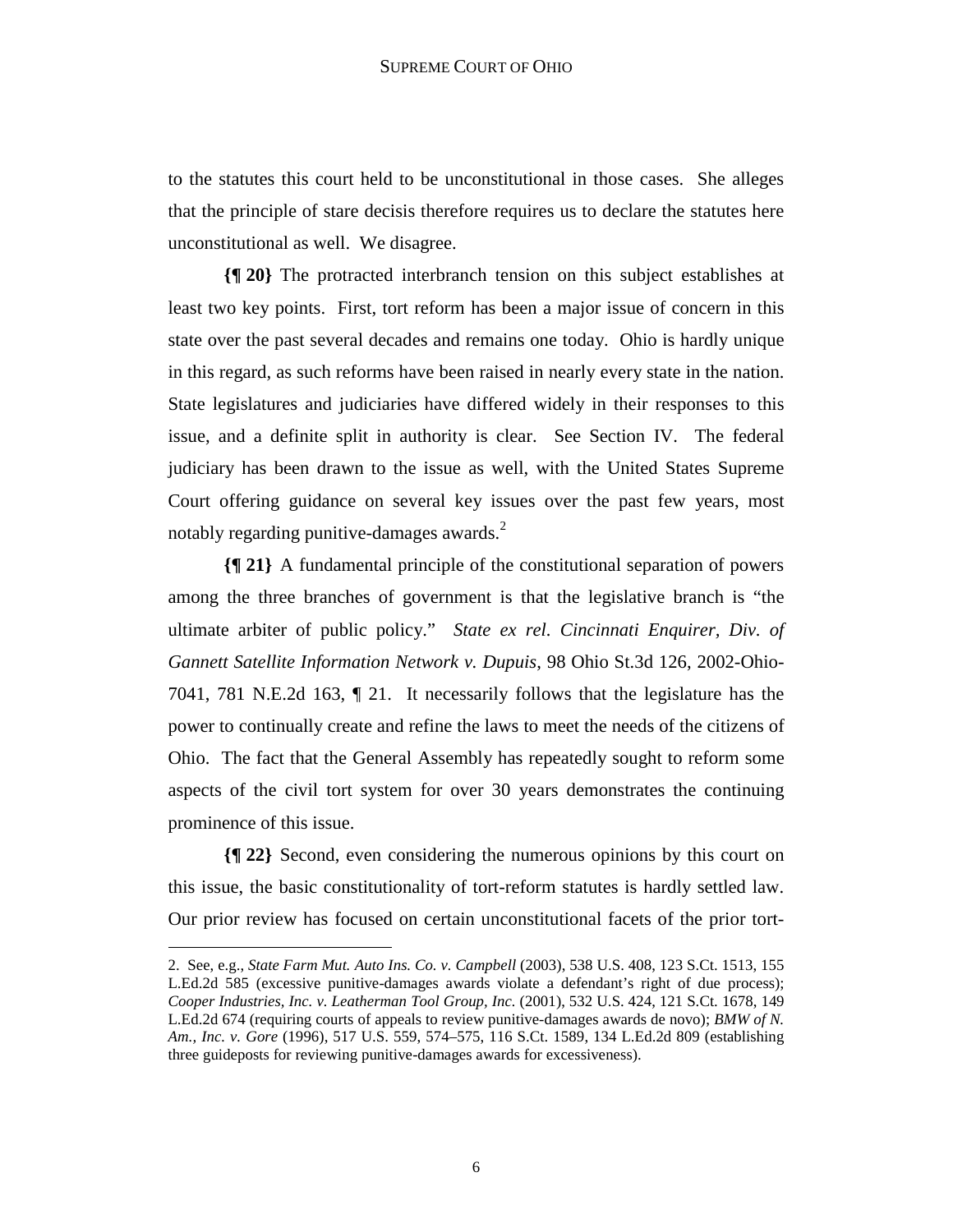to the statutes this court held to be unconstitutional in those cases. She alleges that the principle of stare decisis therefore requires us to declare the statutes here unconstitutional as well. We disagree.

**{¶ 20}** The protracted interbranch tension on this subject establishes at least two key points. First, tort reform has been a major issue of concern in this state over the past several decades and remains one today. Ohio is hardly unique in this regard, as such reforms have been raised in nearly every state in the nation. State legislatures and judiciaries have differed widely in their responses to this issue, and a definite split in authority is clear. See Section IV. The federal judiciary has been drawn to the issue as well, with the United States Supreme Court offering guidance on several key issues over the past few years, most notably regarding punitive-damages awards. $2$ 

**{¶ 21}** A fundamental principle of the constitutional separation of powers among the three branches of government is that the legislative branch is "the ultimate arbiter of public policy." *State ex rel. Cincinnati Enquirer, Div. of Gannett Satellite Information Network v. Dupuis*, 98 Ohio St.3d 126, 2002-Ohio-7041, 781 N.E.2d 163, ¶ 21. It necessarily follows that the legislature has the power to continually create and refine the laws to meet the needs of the citizens of Ohio. The fact that the General Assembly has repeatedly sought to reform some aspects of the civil tort system for over 30 years demonstrates the continuing prominence of this issue.

**{¶ 22}** Second, even considering the numerous opinions by this court on this issue, the basic constitutionality of tort-reform statutes is hardly settled law. Our prior review has focused on certain unconstitutional facets of the prior tort-

<u>.</u>

<sup>2.</sup> See, e.g., *State Farm Mut. Auto Ins. Co. v. Campbell* (2003), 538 U.S. 408, 123 S.Ct. 1513, 155 L.Ed.2d 585 (excessive punitive-damages awards violate a defendant's right of due process); *Cooper Industries, Inc. v. Leatherman Tool Group, Inc.* (2001), 532 U.S. 424, 121 S.Ct. 1678, 149 L.Ed.2d 674 (requiring courts of appeals to review punitive-damages awards de novo); *BMW of N. Am., Inc. v. Gore* (1996), 517 U.S. 559, 574–575, 116 S.Ct. 1589, 134 L.Ed.2d 809 (establishing three guideposts for reviewing punitive-damages awards for excessiveness).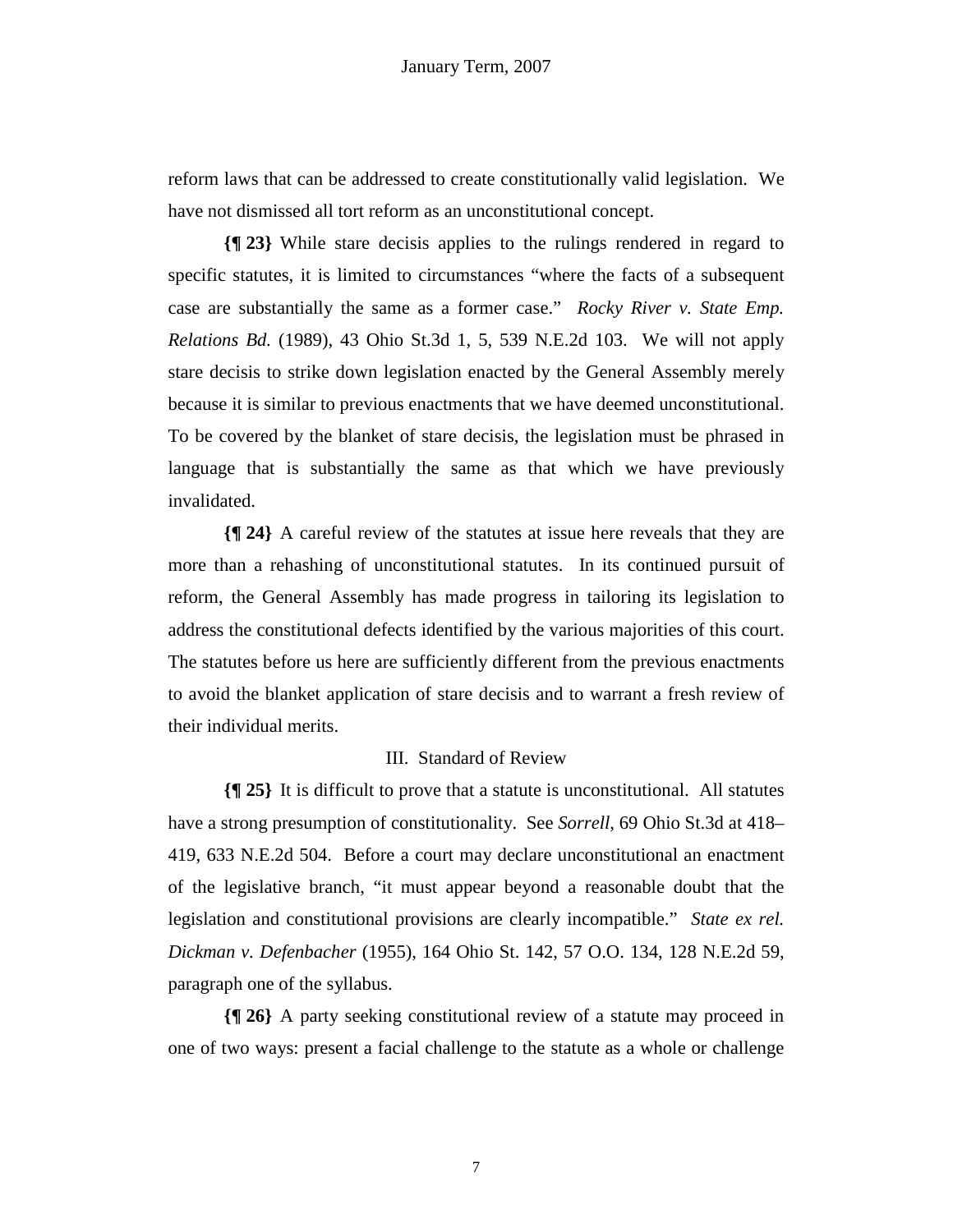reform laws that can be addressed to create constitutionally valid legislation. We have not dismissed all tort reform as an unconstitutional concept.

**{¶ 23}** While stare decisis applies to the rulings rendered in regard to specific statutes, it is limited to circumstances "where the facts of a subsequent case are substantially the same as a former case." *Rocky River v. State Emp. Relations Bd.* (1989), 43 Ohio St.3d 1, 5, 539 N.E.2d 103. We will not apply stare decisis to strike down legislation enacted by the General Assembly merely because it is similar to previous enactments that we have deemed unconstitutional. To be covered by the blanket of stare decisis, the legislation must be phrased in language that is substantially the same as that which we have previously invalidated.

**{¶ 24}** A careful review of the statutes at issue here reveals that they are more than a rehashing of unconstitutional statutes. In its continued pursuit of reform, the General Assembly has made progress in tailoring its legislation to address the constitutional defects identified by the various majorities of this court. The statutes before us here are sufficiently different from the previous enactments to avoid the blanket application of stare decisis and to warrant a fresh review of their individual merits.

## III. Standard of Review

**{¶ 25}** It is difficult to prove that a statute is unconstitutional. All statutes have a strong presumption of constitutionality. See *Sorrell*, 69 Ohio St.3d at 418– 419, 633 N.E.2d 504. Before a court may declare unconstitutional an enactment of the legislative branch, "it must appear beyond a reasonable doubt that the legislation and constitutional provisions are clearly incompatible." *State ex rel. Dickman v. Defenbacher* (1955), 164 Ohio St. 142, 57 O.O. 134, 128 N.E.2d 59, paragraph one of the syllabus.

**{¶ 26}** A party seeking constitutional review of a statute may proceed in one of two ways: present a facial challenge to the statute as a whole or challenge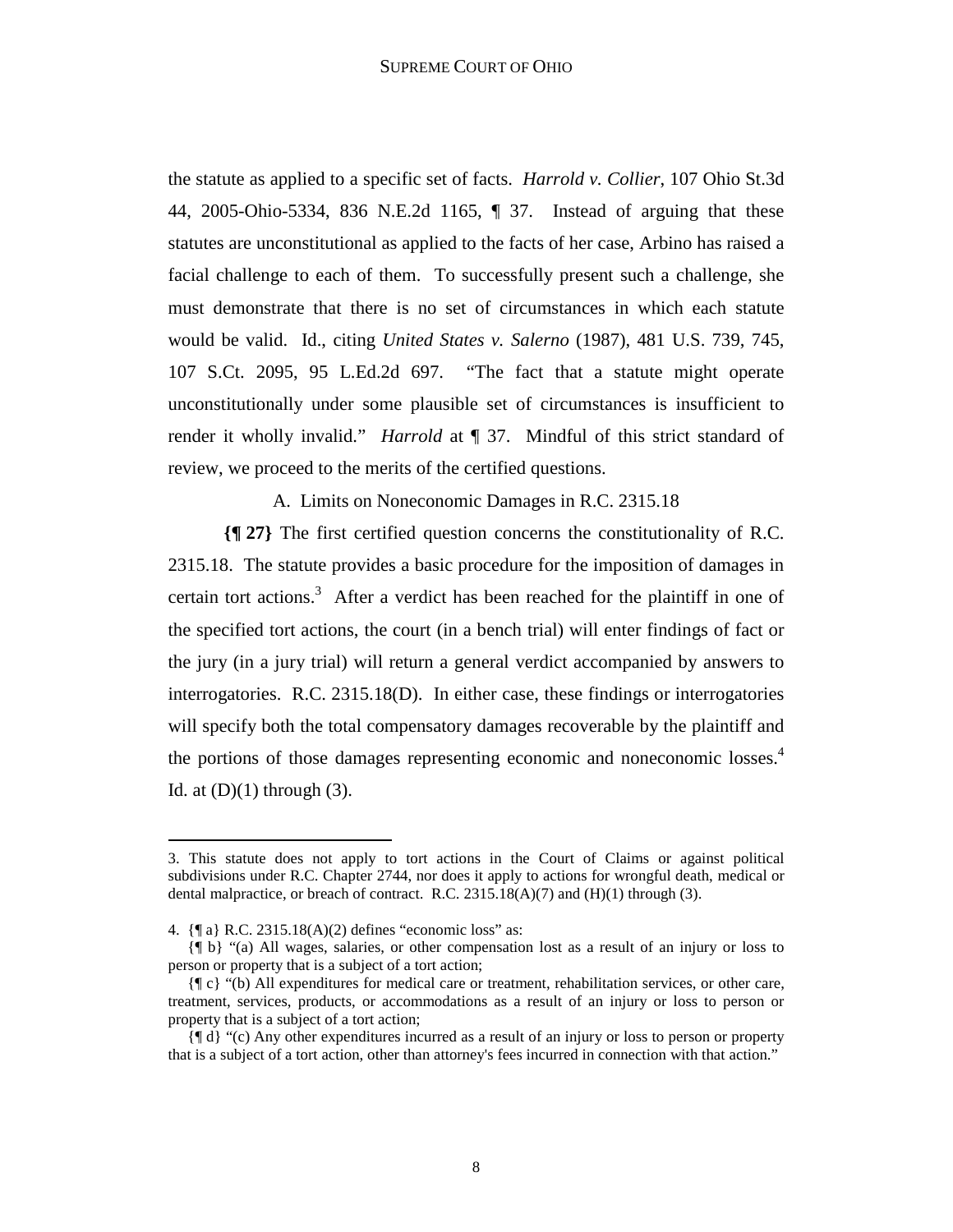the statute as applied to a specific set of facts. *Harrold v. Collier*, 107 Ohio St.3d 44, 2005-Ohio-5334, 836 N.E.2d 1165, ¶ 37. Instead of arguing that these statutes are unconstitutional as applied to the facts of her case, Arbino has raised a facial challenge to each of them. To successfully present such a challenge, she must demonstrate that there is no set of circumstances in which each statute would be valid. Id., citing *United States v. Salerno* (1987), 481 U.S. 739, 745, 107 S.Ct. 2095, 95 L.Ed.2d 697. "The fact that a statute might operate unconstitutionally under some plausible set of circumstances is insufficient to render it wholly invalid." *Harrold* at ¶ 37. Mindful of this strict standard of review, we proceed to the merits of the certified questions.

A. Limits on Noneconomic Damages in R.C. 2315.18

**{¶ 27}** The first certified question concerns the constitutionality of R.C. 2315.18. The statute provides a basic procedure for the imposition of damages in certain tort actions.<sup>3</sup> After a verdict has been reached for the plaintiff in one of the specified tort actions, the court (in a bench trial) will enter findings of fact or the jury (in a jury trial) will return a general verdict accompanied by answers to interrogatories. R.C. 2315.18(D). In either case, these findings or interrogatories will specify both the total compensatory damages recoverable by the plaintiff and the portions of those damages representing economic and noneconomic losses.<sup>4</sup> Id. at  $(D)(1)$  through  $(3)$ .

<u>.</u>

<sup>3.</sup> This statute does not apply to tort actions in the Court of Claims or against political subdivisions under R.C. Chapter 2744, nor does it apply to actions for wrongful death, medical or dental malpractice, or breach of contract. R.C.  $2315.18(A)(7)$  and  $(H)(1)$  through (3).

<sup>4. {¶</sup> a} R.C. 2315.18(A)(2) defines "economic loss" as:

 <sup>{¶</sup> b} "(a) All wages, salaries, or other compensation lost as a result of an injury or loss to person or property that is a subject of a tort action;

 <sup>{¶</sup> c} "(b) All expenditures for medical care or treatment, rehabilitation services, or other care, treatment, services, products, or accommodations as a result of an injury or loss to person or property that is a subject of a tort action;

 <sup>{¶</sup> d} "(c) Any other expenditures incurred as a result of an injury or loss to person or property that is a subject of a tort action, other than attorney's fees incurred in connection with that action."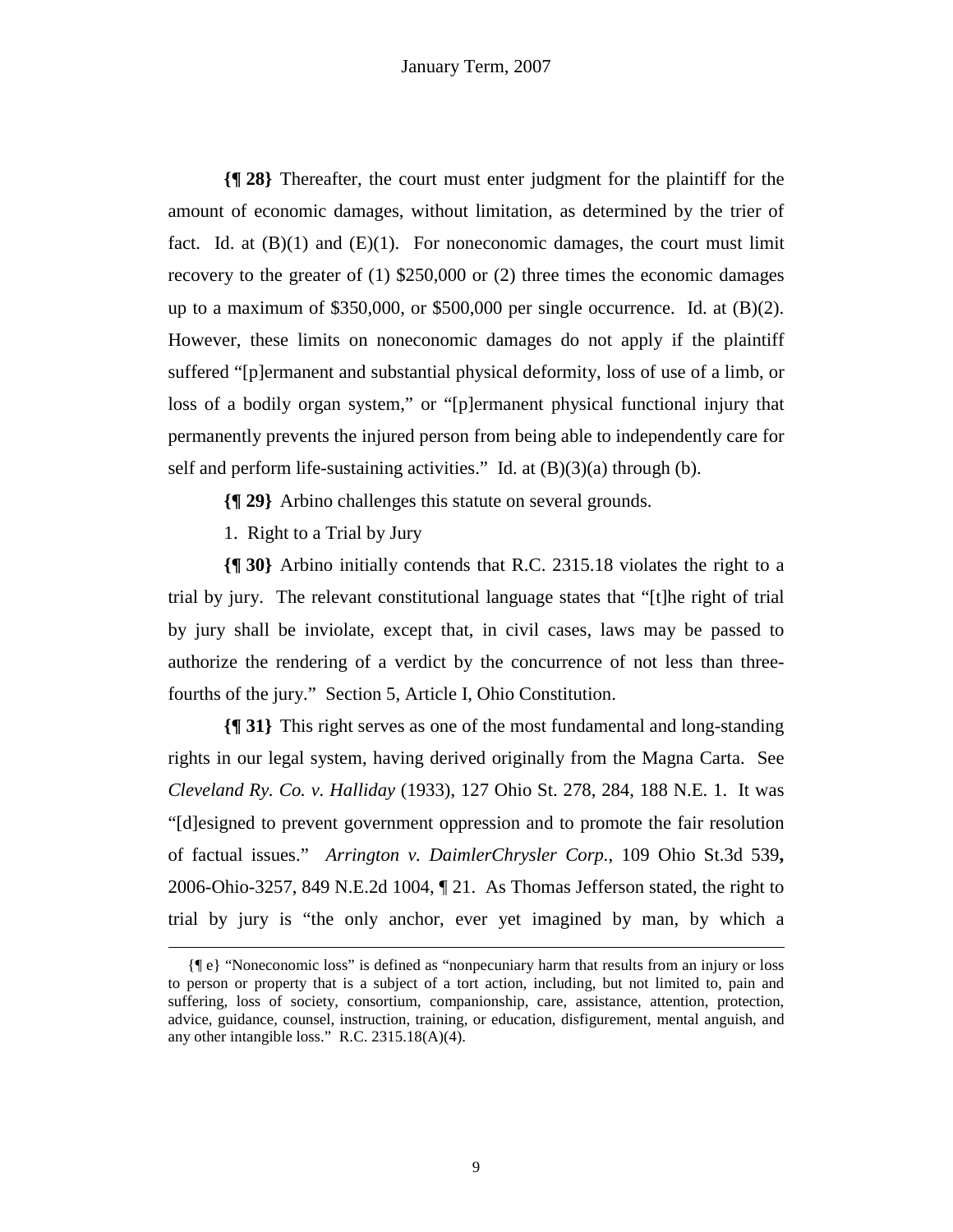**{¶ 28}** Thereafter, the court must enter judgment for the plaintiff for the amount of economic damages, without limitation, as determined by the trier of fact. Id. at  $(B)(1)$  and  $(E)(1)$ . For noneconomic damages, the court must limit recovery to the greater of (1) \$250,000 or (2) three times the economic damages up to a maximum of \$350,000, or \$500,000 per single occurrence. Id. at (B)(2). However, these limits on noneconomic damages do not apply if the plaintiff suffered "[p]ermanent and substantial physical deformity, loss of use of a limb, or loss of a bodily organ system," or "[p]ermanent physical functional injury that permanently prevents the injured person from being able to independently care for self and perform life-sustaining activities." Id. at  $(B)(3)(a)$  through (b).

**{¶ 29}** Arbino challenges this statute on several grounds.

1. Right to a Trial by Jury

**{¶ 30}** Arbino initially contends that R.C. 2315.18 violates the right to a trial by jury. The relevant constitutional language states that "[t]he right of trial by jury shall be inviolate, except that, in civil cases, laws may be passed to authorize the rendering of a verdict by the concurrence of not less than threefourths of the jury." Section 5, Article I, Ohio Constitution.

**{¶ 31}** This right serves as one of the most fundamental and long-standing rights in our legal system, having derived originally from the Magna Carta. See *Cleveland Ry. Co. v. Halliday* (1933), 127 Ohio St. 278, 284, 188 N.E. 1. It was "[d]esigned to prevent government oppression and to promote the fair resolution of factual issues." *Arrington v. DaimlerChrysler Corp.*, 109 Ohio St.3d 539**,**  2006-Ohio-3257, 849 N.E.2d 1004, ¶ 21. As Thomas Jefferson stated, the right to trial by jury is "the only anchor, ever yet imagined by man, by which a

 <sup>{¶</sup> e} "Noneconomic loss" is defined as "nonpecuniary harm that results from an injury or loss to person or property that is a subject of a tort action, including, but not limited to, pain and suffering, loss of society, consortium, companionship, care, assistance, attention, protection, advice, guidance, counsel, instruction, training, or education, disfigurement, mental anguish, and any other intangible loss." R.C. 2315.18(A)(4).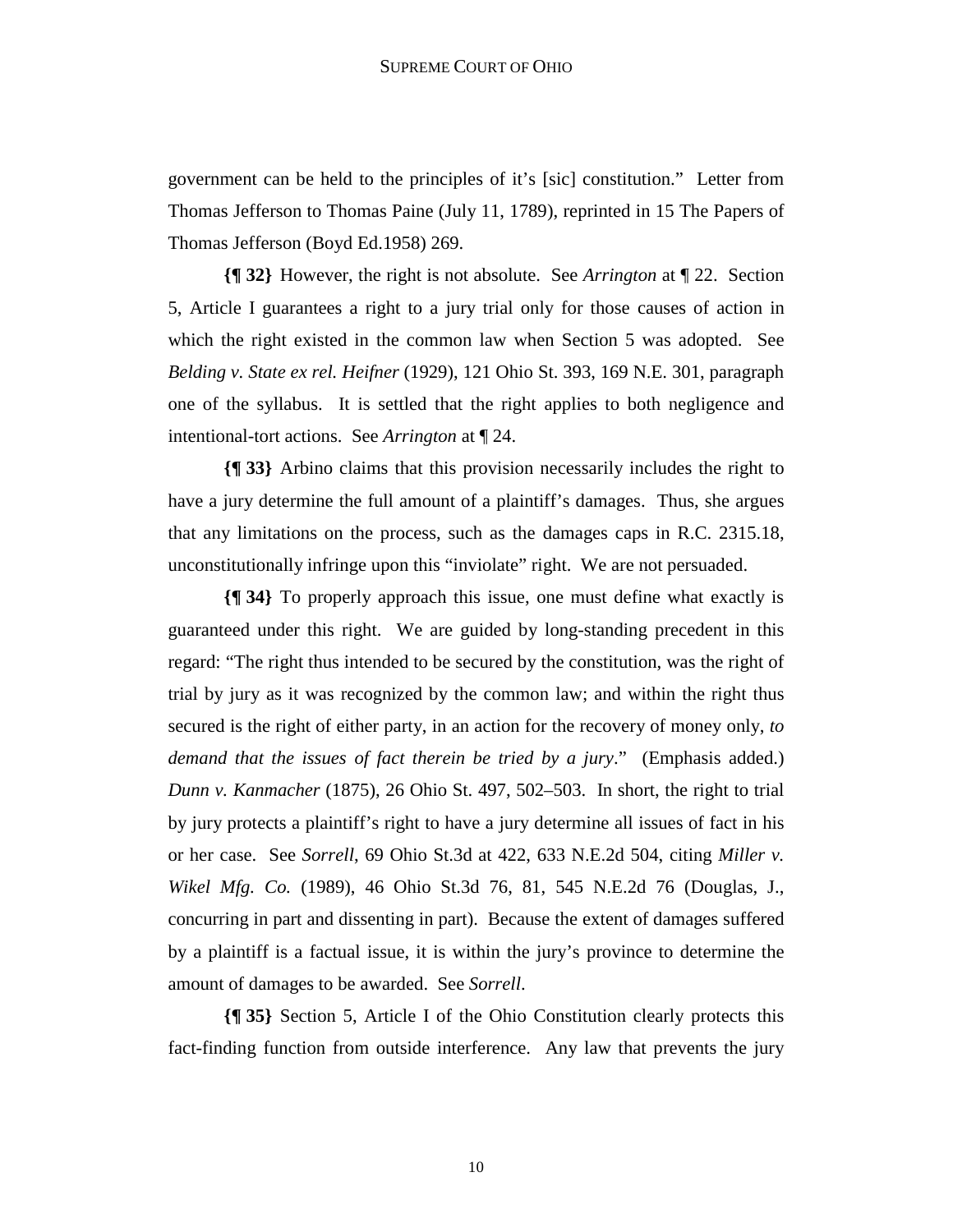government can be held to the principles of it's [sic] constitution." Letter from Thomas Jefferson to Thomas Paine (July 11, 1789), reprinted in 15 The Papers of Thomas Jefferson (Boyd Ed.1958) 269.

**{¶ 32}** However, the right is not absolute. See *Arrington* at ¶ 22. Section 5, Article I guarantees a right to a jury trial only for those causes of action in which the right existed in the common law when Section 5 was adopted. See *Belding v. State ex rel. Heifner* (1929), 121 Ohio St. 393, 169 N.E. 301, paragraph one of the syllabus. It is settled that the right applies to both negligence and intentional-tort actions. See *Arrington* at ¶ 24.

**{¶ 33}** Arbino claims that this provision necessarily includes the right to have a jury determine the full amount of a plaintiff's damages. Thus, she argues that any limitations on the process, such as the damages caps in R.C. 2315.18, unconstitutionally infringe upon this "inviolate" right. We are not persuaded.

**{¶ 34}** To properly approach this issue, one must define what exactly is guaranteed under this right. We are guided by long-standing precedent in this regard: "The right thus intended to be secured by the constitution, was the right of trial by jury as it was recognized by the common law; and within the right thus secured is the right of either party, in an action for the recovery of money only, *to demand that the issues of fact therein be tried by a jury*." (Emphasis added.) *Dunn v. Kanmacher* (1875), 26 Ohio St. 497, 502–503. In short, the right to trial by jury protects a plaintiff's right to have a jury determine all issues of fact in his or her case. See *Sorrell*, 69 Ohio St.3d at 422, 633 N.E.2d 504, citing *Miller v. Wikel Mfg. Co.* (1989), 46 Ohio St.3d 76, 81, 545 N.E.2d 76 (Douglas, J., concurring in part and dissenting in part). Because the extent of damages suffered by a plaintiff is a factual issue, it is within the jury's province to determine the amount of damages to be awarded. See *Sorrell*.

**{¶ 35}** Section 5, Article I of the Ohio Constitution clearly protects this fact-finding function from outside interference. Any law that prevents the jury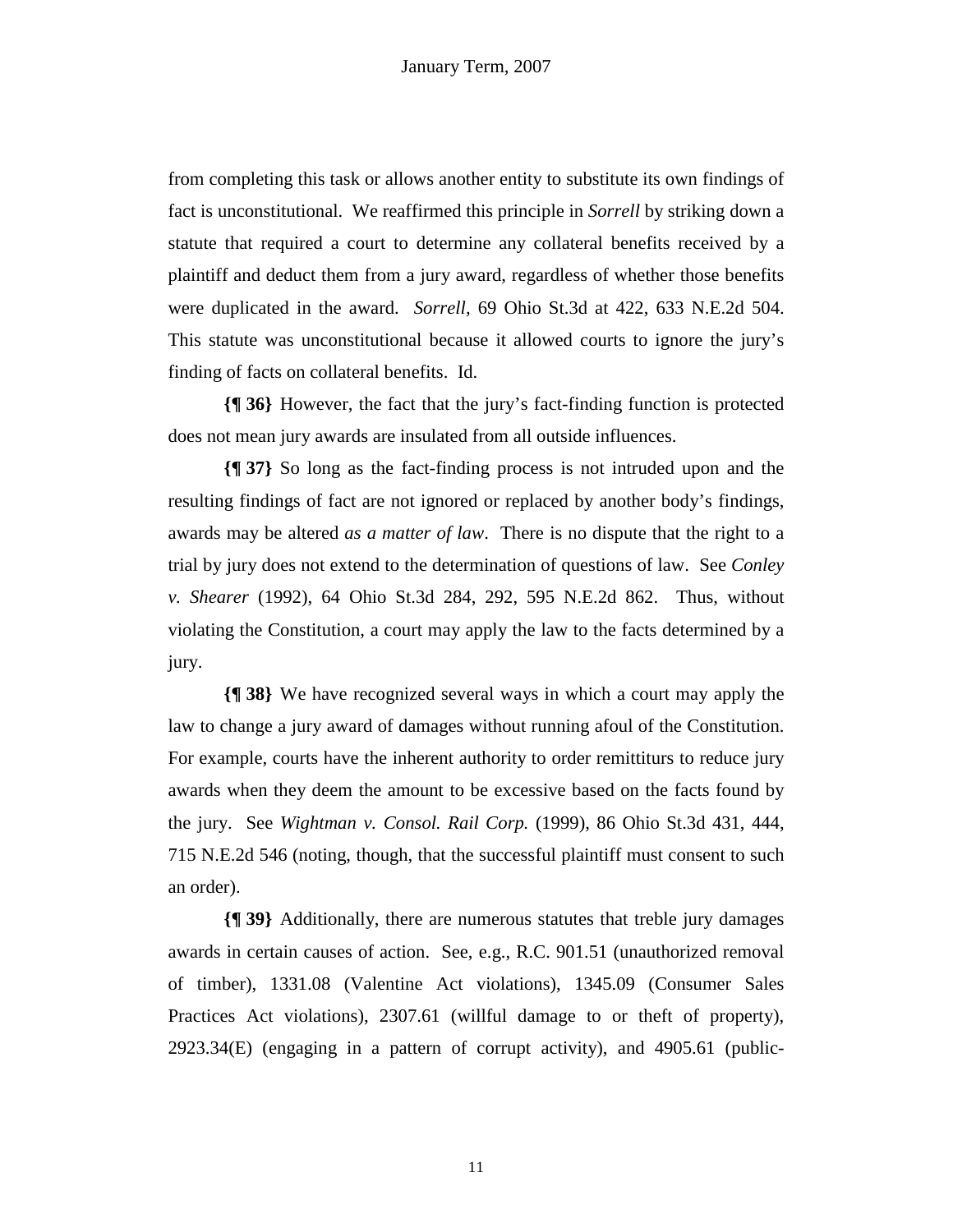from completing this task or allows another entity to substitute its own findings of fact is unconstitutional. We reaffirmed this principle in *Sorrell* by striking down a statute that required a court to determine any collateral benefits received by a plaintiff and deduct them from a jury award, regardless of whether those benefits were duplicated in the award. *Sorrell,* 69 Ohio St.3d at 422, 633 N.E.2d 504. This statute was unconstitutional because it allowed courts to ignore the jury's finding of facts on collateral benefits. Id.

**{¶ 36}** However, the fact that the jury's fact-finding function is protected does not mean jury awards are insulated from all outside influences.

**{¶ 37}** So long as the fact-finding process is not intruded upon and the resulting findings of fact are not ignored or replaced by another body's findings, awards may be altered *as a matter of law*. There is no dispute that the right to a trial by jury does not extend to the determination of questions of law. See *Conley v. Shearer* (1992), 64 Ohio St.3d 284, 292, 595 N.E.2d 862. Thus, without violating the Constitution, a court may apply the law to the facts determined by a jury.

**{¶ 38}** We have recognized several ways in which a court may apply the law to change a jury award of damages without running afoul of the Constitution. For example, courts have the inherent authority to order remittiturs to reduce jury awards when they deem the amount to be excessive based on the facts found by the jury. See *Wightman v. Consol. Rail Corp.* (1999), 86 Ohio St.3d 431, 444, 715 N.E.2d 546 (noting, though, that the successful plaintiff must consent to such an order).

**{¶ 39}** Additionally, there are numerous statutes that treble jury damages awards in certain causes of action. See, e.g., R.C. 901.51 (unauthorized removal of timber), 1331.08 (Valentine Act violations), 1345.09 (Consumer Sales Practices Act violations), 2307.61 (willful damage to or theft of property), 2923.34(E) (engaging in a pattern of corrupt activity), and 4905.61 (public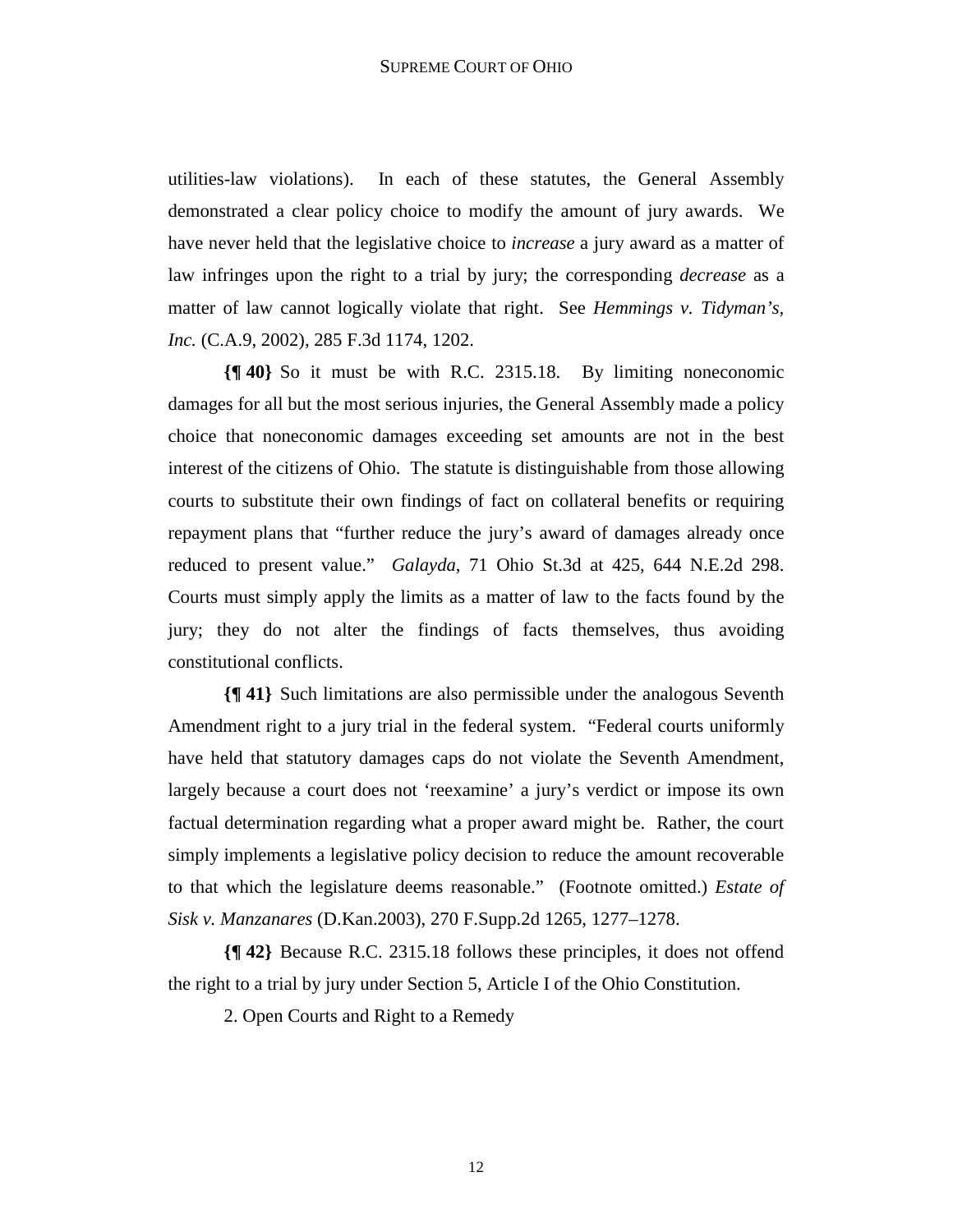utilities-law violations). In each of these statutes, the General Assembly demonstrated a clear policy choice to modify the amount of jury awards. We have never held that the legislative choice to *increase* a jury award as a matter of law infringes upon the right to a trial by jury; the corresponding *decrease* as a matter of law cannot logically violate that right. See *Hemmings v. Tidyman's, Inc.* (C.A.9, 2002), 285 F.3d 1174, 1202.

**{¶ 40}** So it must be with R.C. 2315.18. By limiting noneconomic damages for all but the most serious injuries, the General Assembly made a policy choice that noneconomic damages exceeding set amounts are not in the best interest of the citizens of Ohio. The statute is distinguishable from those allowing courts to substitute their own findings of fact on collateral benefits or requiring repayment plans that "further reduce the jury's award of damages already once reduced to present value." *Galayda*, 71 Ohio St.3d at 425, 644 N.E.2d 298. Courts must simply apply the limits as a matter of law to the facts found by the jury; they do not alter the findings of facts themselves, thus avoiding constitutional conflicts.

**{¶ 41}** Such limitations are also permissible under the analogous Seventh Amendment right to a jury trial in the federal system. "Federal courts uniformly have held that statutory damages caps do not violate the Seventh Amendment, largely because a court does not 'reexamine' a jury's verdict or impose its own factual determination regarding what a proper award might be. Rather, the court simply implements a legislative policy decision to reduce the amount recoverable to that which the legislature deems reasonable." (Footnote omitted.) *Estate of Sisk v. Manzanares* (D.Kan.2003), 270 F.Supp.2d 1265, 1277–1278.

**{¶ 42}** Because R.C. 2315.18 follows these principles, it does not offend the right to a trial by jury under Section 5, Article I of the Ohio Constitution.

2. Open Courts and Right to a Remedy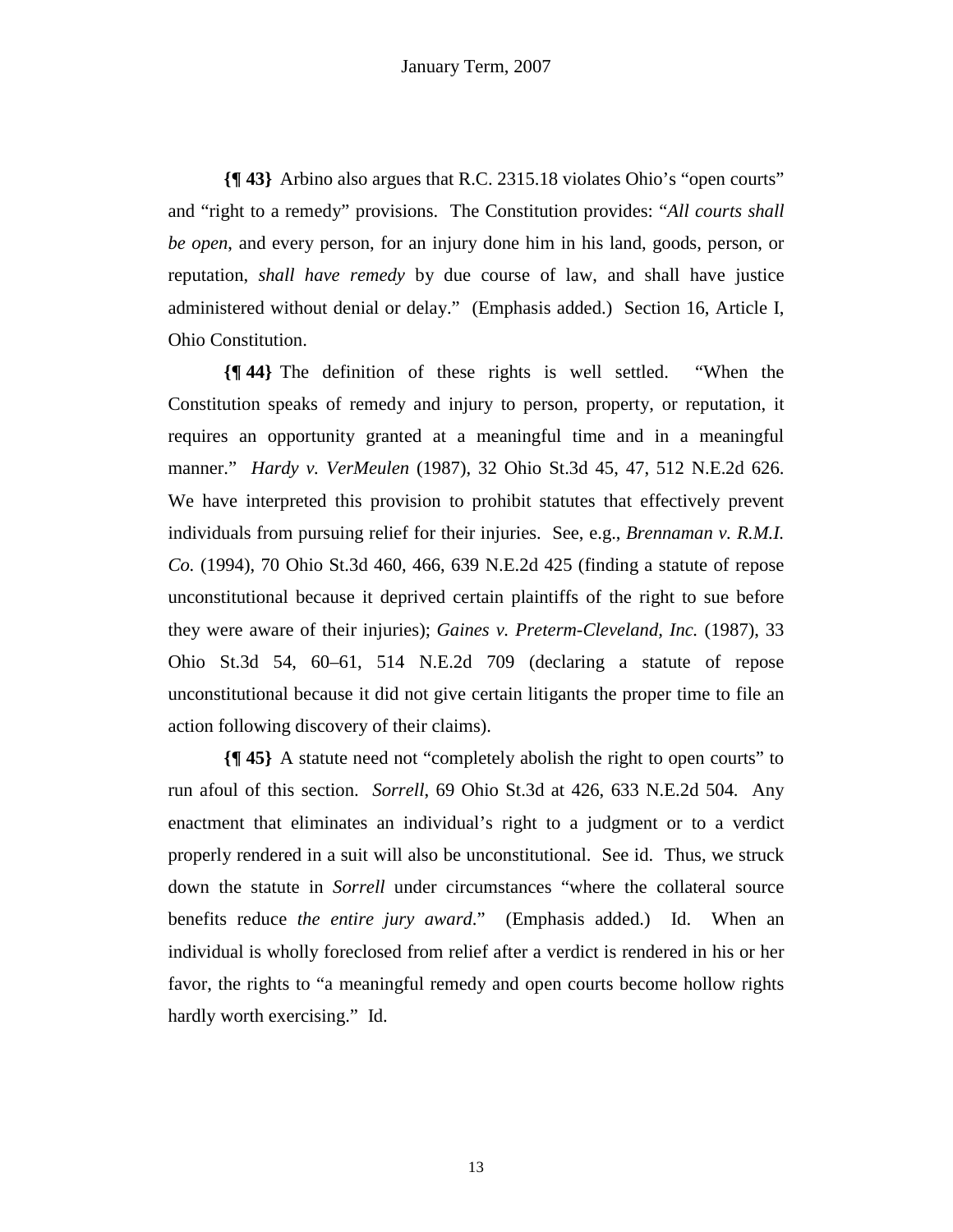**{¶ 43}** Arbino also argues that R.C. 2315.18 violates Ohio's "open courts" and "right to a remedy" provisions. The Constitution provides: "*All courts shall be open*, and every person, for an injury done him in his land, goods, person, or reputation, *shall have remedy* by due course of law, and shall have justice administered without denial or delay." (Emphasis added.) Section 16, Article I, Ohio Constitution.

**{¶ 44}** The definition of these rights is well settled. "When the Constitution speaks of remedy and injury to person, property, or reputation, it requires an opportunity granted at a meaningful time and in a meaningful manner." *Hardy v. VerMeulen* (1987), 32 Ohio St.3d 45, 47, 512 N.E.2d 626. We have interpreted this provision to prohibit statutes that effectively prevent individuals from pursuing relief for their injuries. See, e.g., *Brennaman v. R.M.I. Co.* (1994), 70 Ohio St.3d 460, 466, 639 N.E.2d 425 (finding a statute of repose unconstitutional because it deprived certain plaintiffs of the right to sue before they were aware of their injuries); *Gaines v. Preterm-Cleveland, Inc.* (1987), 33 Ohio St.3d 54, 60–61, 514 N.E.2d 709 (declaring a statute of repose unconstitutional because it did not give certain litigants the proper time to file an action following discovery of their claims).

**{¶ 45}** A statute need not "completely abolish the right to open courts" to run afoul of this section. *Sorrell*, 69 Ohio St.3d at 426, 633 N.E.2d 504. Any enactment that eliminates an individual's right to a judgment or to a verdict properly rendered in a suit will also be unconstitutional. See id. Thus, we struck down the statute in *Sorrell* under circumstances "where the collateral source benefits reduce *the entire jury award*." (Emphasis added.) Id. When an individual is wholly foreclosed from relief after a verdict is rendered in his or her favor, the rights to "a meaningful remedy and open courts become hollow rights hardly worth exercising." Id.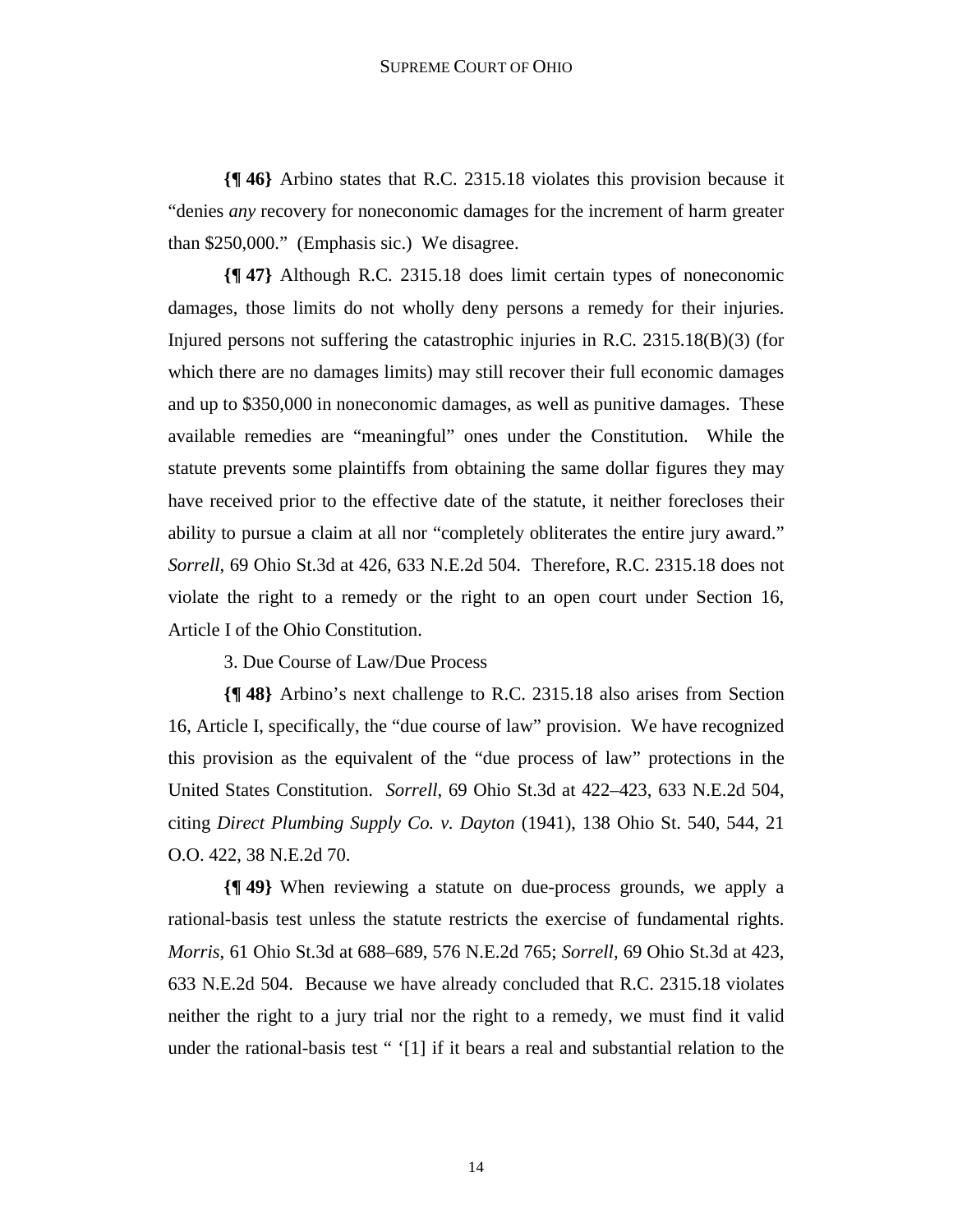**{¶ 46}** Arbino states that R.C. 2315.18 violates this provision because it "denies *any* recovery for noneconomic damages for the increment of harm greater than \$250,000." (Emphasis sic.) We disagree.

**{¶ 47}** Although R.C. 2315.18 does limit certain types of noneconomic damages, those limits do not wholly deny persons a remedy for their injuries. Injured persons not suffering the catastrophic injuries in R.C.  $2315.18(B)(3)$  (for which there are no damages limits) may still recover their full economic damages and up to \$350,000 in noneconomic damages, as well as punitive damages. These available remedies are "meaningful" ones under the Constitution. While the statute prevents some plaintiffs from obtaining the same dollar figures they may have received prior to the effective date of the statute, it neither forecloses their ability to pursue a claim at all nor "completely obliterates the entire jury award." *Sorrell*, 69 Ohio St.3d at 426, 633 N.E.2d 504. Therefore, R.C. 2315.18 does not violate the right to a remedy or the right to an open court under Section 16, Article I of the Ohio Constitution.

3. Due Course of Law/Due Process

**{¶ 48}** Arbino's next challenge to R.C. 2315.18 also arises from Section 16, Article I, specifically, the "due course of law" provision. We have recognized this provision as the equivalent of the "due process of law" protections in the United States Constitution. *Sorrell*, 69 Ohio St.3d at 422–423, 633 N.E.2d 504, citing *Direct Plumbing Supply Co. v. Dayton* (1941), 138 Ohio St. 540, 544, 21 O.O. 422, 38 N.E.2d 70.

**{¶ 49}** When reviewing a statute on due-process grounds, we apply a rational-basis test unless the statute restricts the exercise of fundamental rights. *Morris*, 61 Ohio St.3d at 688–689, 576 N.E.2d 765; *Sorrell,* 69 Ohio St.3d at 423, 633 N.E.2d 504. Because we have already concluded that R.C. 2315.18 violates neither the right to a jury trial nor the right to a remedy, we must find it valid under the rational-basis test "  $[1]$  if it bears a real and substantial relation to the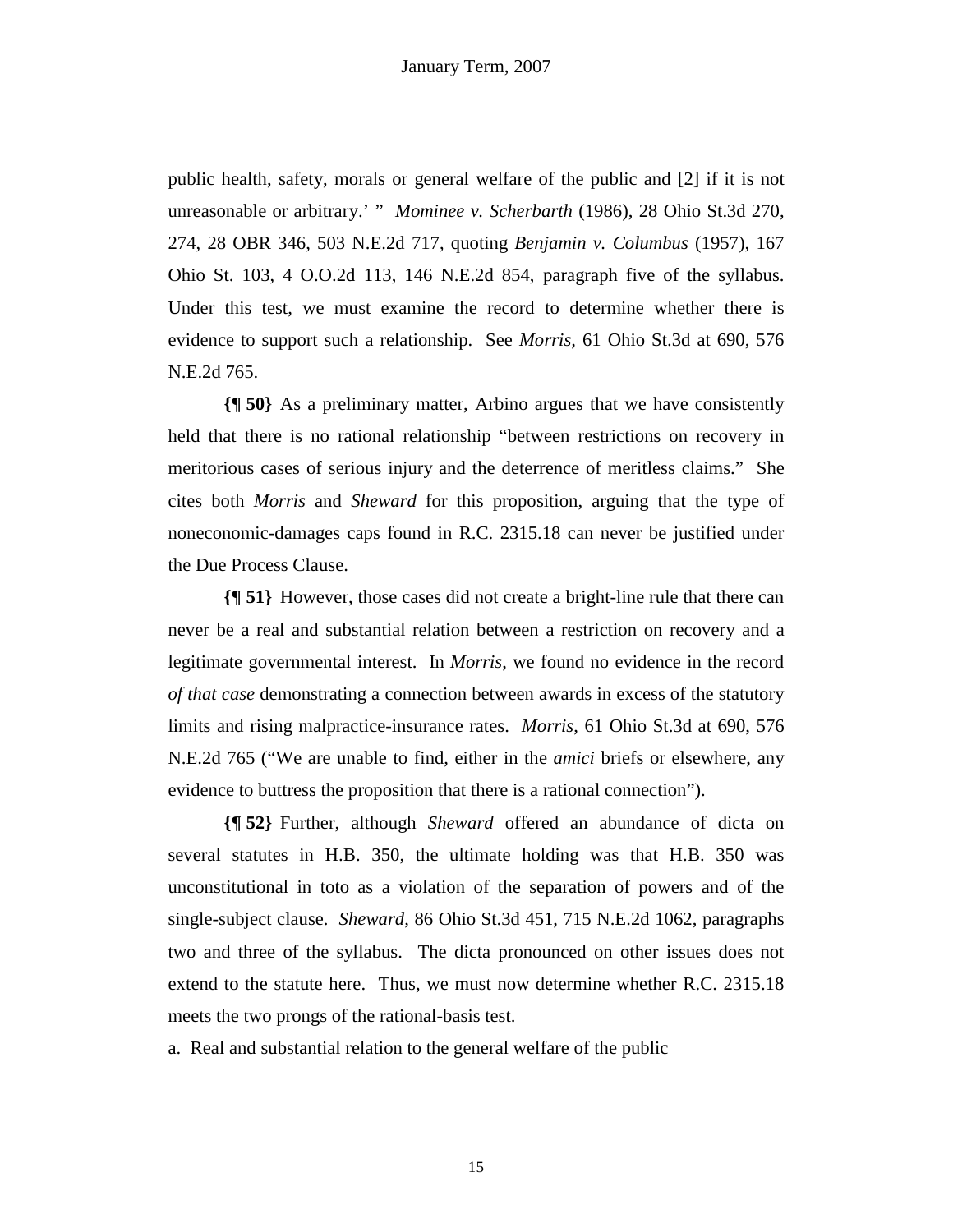public health, safety, morals or general welfare of the public and [2] if it is not unreasonable or arbitrary.' " *Mominee v. Scherbarth* (1986), 28 Ohio St.3d 270, 274, 28 OBR 346, 503 N.E.2d 717, quoting *Benjamin v. Columbus* (1957), 167 Ohio St. 103, 4 O.O.2d 113, 146 N.E.2d 854, paragraph five of the syllabus. Under this test, we must examine the record to determine whether there is evidence to support such a relationship. See *Morris,* 61 Ohio St.3d at 690, 576 N.E.2d 765.

**{¶ 50}** As a preliminary matter, Arbino argues that we have consistently held that there is no rational relationship "between restrictions on recovery in meritorious cases of serious injury and the deterrence of meritless claims." She cites both *Morris* and *Sheward* for this proposition, arguing that the type of noneconomic-damages caps found in R.C. 2315.18 can never be justified under the Due Process Clause.

**{¶ 51}** However, those cases did not create a bright-line rule that there can never be a real and substantial relation between a restriction on recovery and a legitimate governmental interest. In *Morris*, we found no evidence in the record *of that case* demonstrating a connection between awards in excess of the statutory limits and rising malpractice-insurance rates. *Morris*, 61 Ohio St.3d at 690, 576 N.E.2d 765 ("We are unable to find, either in the *amici* briefs or elsewhere, any evidence to buttress the proposition that there is a rational connection").

**{¶ 52}** Further, although *Sheward* offered an abundance of dicta on several statutes in H.B. 350, the ultimate holding was that H.B. 350 was unconstitutional in toto as a violation of the separation of powers and of the single-subject clause. *Sheward*, 86 Ohio St.3d 451, 715 N.E.2d 1062, paragraphs two and three of the syllabus. The dicta pronounced on other issues does not extend to the statute here. Thus, we must now determine whether R.C. 2315.18 meets the two prongs of the rational-basis test.

a. Real and substantial relation to the general welfare of the public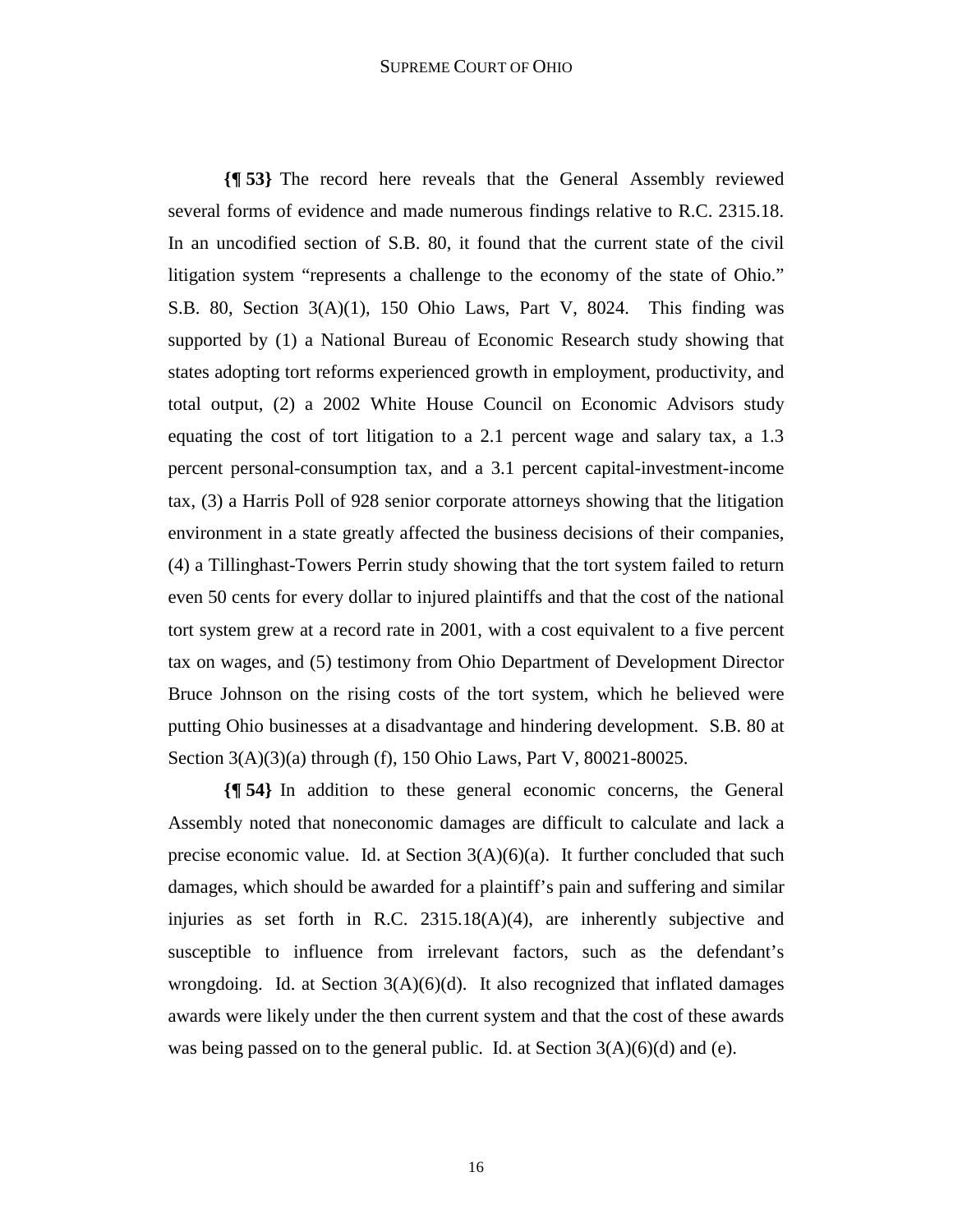#### SUPREME COURT OF OHIO

**{¶ 53}** The record here reveals that the General Assembly reviewed several forms of evidence and made numerous findings relative to R.C. 2315.18. In an uncodified section of S.B. 80, it found that the current state of the civil litigation system "represents a challenge to the economy of the state of Ohio." S.B. 80, Section 3(A)(1), 150 Ohio Laws, Part V, 8024. This finding was supported by (1) a National Bureau of Economic Research study showing that states adopting tort reforms experienced growth in employment, productivity, and total output, (2) a 2002 White House Council on Economic Advisors study equating the cost of tort litigation to a 2.1 percent wage and salary tax, a 1.3 percent personal-consumption tax, and a 3.1 percent capital-investment-income tax, (3) a Harris Poll of 928 senior corporate attorneys showing that the litigation environment in a state greatly affected the business decisions of their companies, (4) a Tillinghast-Towers Perrin study showing that the tort system failed to return even 50 cents for every dollar to injured plaintiffs and that the cost of the national tort system grew at a record rate in 2001, with a cost equivalent to a five percent tax on wages, and (5) testimony from Ohio Department of Development Director Bruce Johnson on the rising costs of the tort system, which he believed were putting Ohio businesses at a disadvantage and hindering development. S.B. 80 at Section 3(A)(3)(a) through (f), 150 Ohio Laws, Part V, 80021-80025.

**{¶ 54}** In addition to these general economic concerns, the General Assembly noted that noneconomic damages are difficult to calculate and lack a precise economic value. Id. at Section  $3(A)(6)(a)$ . It further concluded that such damages, which should be awarded for a plaintiff's pain and suffering and similar injuries as set forth in R.C. 2315.18(A)(4), are inherently subjective and susceptible to influence from irrelevant factors, such as the defendant's wrongdoing. Id. at Section  $3(A)(6)(d)$ . It also recognized that inflated damages awards were likely under the then current system and that the cost of these awards was being passed on to the general public. Id. at Section  $3(A)(6)(d)$  and (e).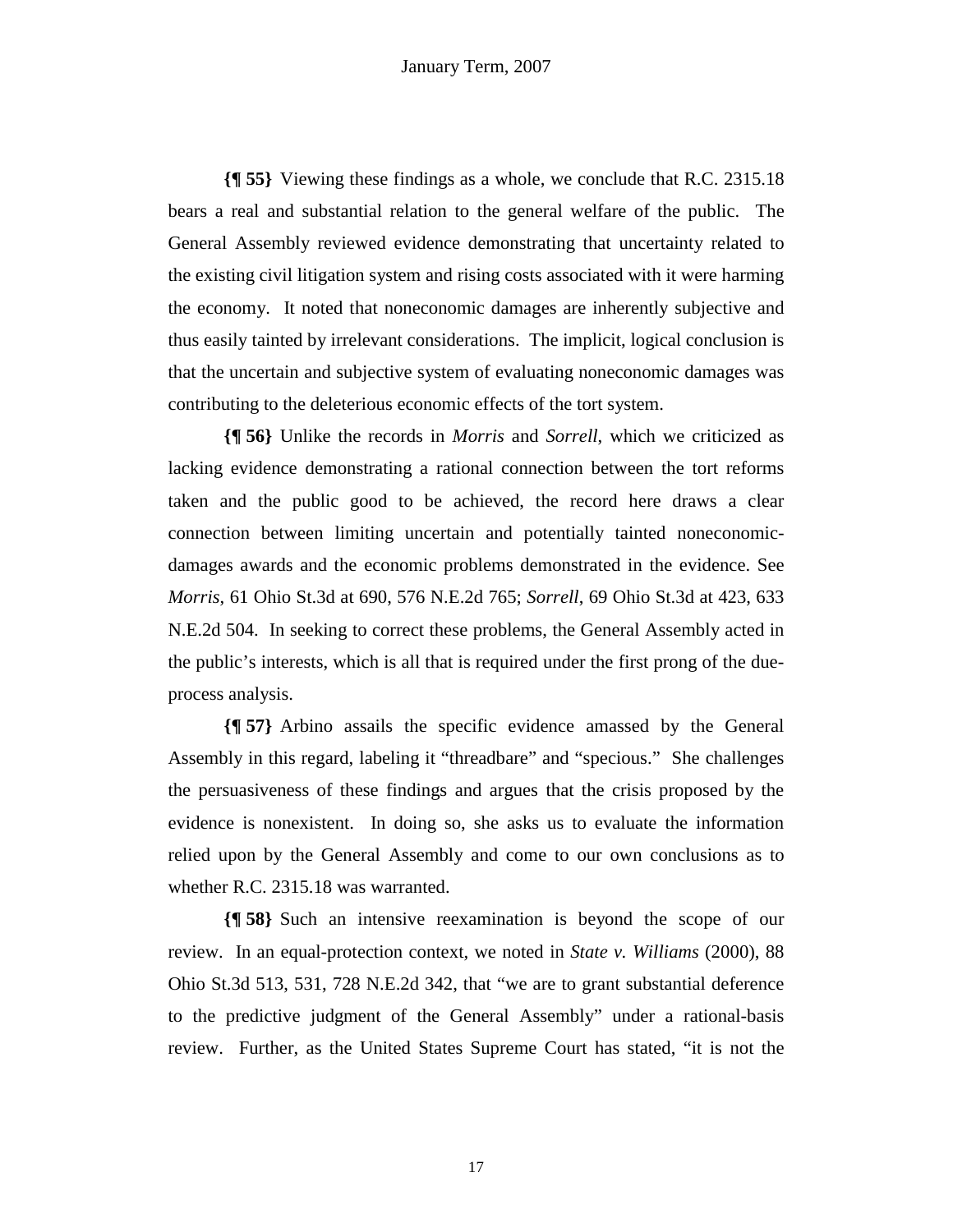**{¶ 55}** Viewing these findings as a whole, we conclude that R.C. 2315.18 bears a real and substantial relation to the general welfare of the public. The General Assembly reviewed evidence demonstrating that uncertainty related to the existing civil litigation system and rising costs associated with it were harming the economy. It noted that noneconomic damages are inherently subjective and thus easily tainted by irrelevant considerations. The implicit, logical conclusion is that the uncertain and subjective system of evaluating noneconomic damages was contributing to the deleterious economic effects of the tort system.

**{¶ 56}** Unlike the records in *Morris* and *Sorrell*, which we criticized as lacking evidence demonstrating a rational connection between the tort reforms taken and the public good to be achieved, the record here draws a clear connection between limiting uncertain and potentially tainted noneconomicdamages awards and the economic problems demonstrated in the evidence. See *Morris*, 61 Ohio St.3d at 690, 576 N.E.2d 765; *Sorrell*, 69 Ohio St.3d at 423, 633 N.E.2d 504. In seeking to correct these problems, the General Assembly acted in the public's interests, which is all that is required under the first prong of the dueprocess analysis.

**{¶ 57}** Arbino assails the specific evidence amassed by the General Assembly in this regard, labeling it "threadbare" and "specious." She challenges the persuasiveness of these findings and argues that the crisis proposed by the evidence is nonexistent. In doing so, she asks us to evaluate the information relied upon by the General Assembly and come to our own conclusions as to whether R.C. 2315.18 was warranted.

**{¶ 58}** Such an intensive reexamination is beyond the scope of our review. In an equal-protection context, we noted in *State v. Williams* (2000), 88 Ohio St.3d 513, 531, 728 N.E.2d 342, that "we are to grant substantial deference to the predictive judgment of the General Assembly" under a rational-basis review. Further, as the United States Supreme Court has stated, "it is not the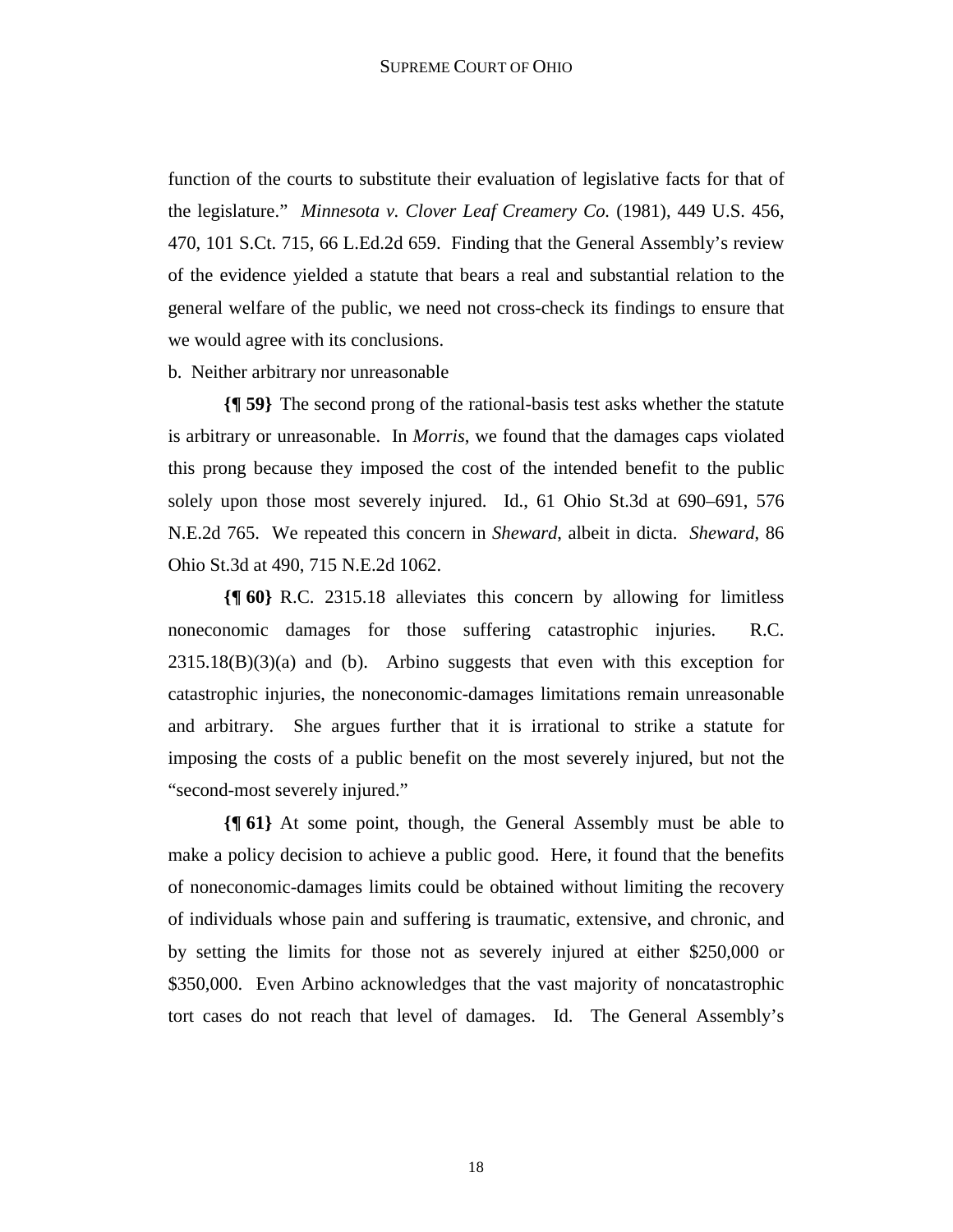function of the courts to substitute their evaluation of legislative facts for that of the legislature." *Minnesota v. Clover Leaf Creamery Co.* (1981), 449 U.S. 456, 470, 101 S.Ct. 715, 66 L.Ed.2d 659. Finding that the General Assembly's review of the evidence yielded a statute that bears a real and substantial relation to the general welfare of the public, we need not cross-check its findings to ensure that we would agree with its conclusions.

b. Neither arbitrary nor unreasonable

**{¶ 59}** The second prong of the rational-basis test asks whether the statute is arbitrary or unreasonable. In *Morris*, we found that the damages caps violated this prong because they imposed the cost of the intended benefit to the public solely upon those most severely injured. Id., 61 Ohio St.3d at 690–691, 576 N.E.2d 765. We repeated this concern in *Sheward*, albeit in dicta. *Sheward*, 86 Ohio St.3d at 490, 715 N.E.2d 1062.

**{¶ 60}** R.C. 2315.18 alleviates this concern by allowing for limitless noneconomic damages for those suffering catastrophic injuries. R.C.  $2315.18(B)(3)(a)$  and (b). Arbino suggests that even with this exception for catastrophic injuries, the noneconomic-damages limitations remain unreasonable and arbitrary. She argues further that it is irrational to strike a statute for imposing the costs of a public benefit on the most severely injured, but not the "second-most severely injured."

**{¶ 61}** At some point, though, the General Assembly must be able to make a policy decision to achieve a public good. Here, it found that the benefits of noneconomic-damages limits could be obtained without limiting the recovery of individuals whose pain and suffering is traumatic, extensive, and chronic, and by setting the limits for those not as severely injured at either \$250,000 or \$350,000. Even Arbino acknowledges that the vast majority of noncatastrophic tort cases do not reach that level of damages. Id. The General Assembly's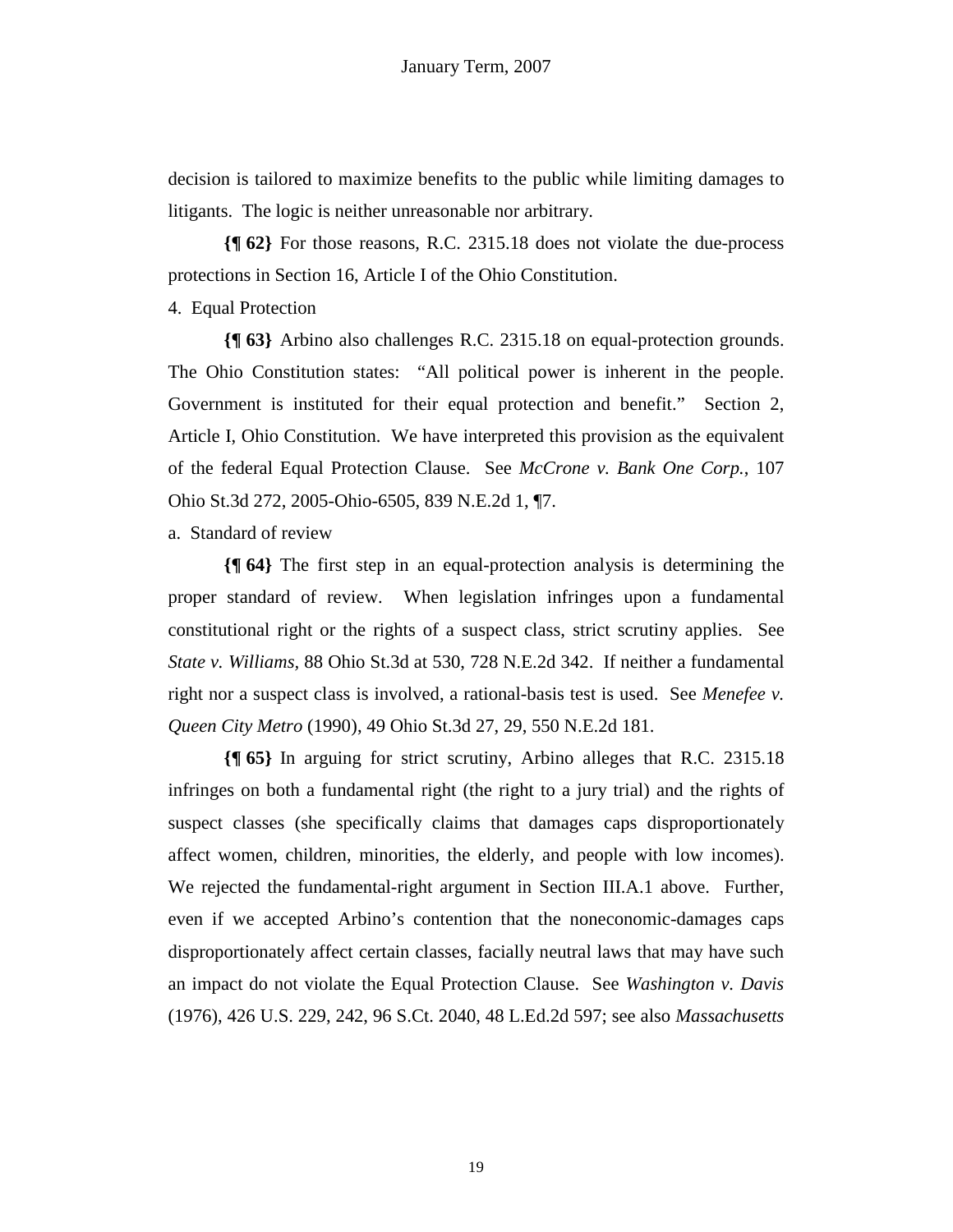decision is tailored to maximize benefits to the public while limiting damages to litigants. The logic is neither unreasonable nor arbitrary.

**{¶ 62}** For those reasons, R.C. 2315.18 does not violate the due-process protections in Section 16, Article I of the Ohio Constitution.

4. Equal Protection

**{¶ 63}** Arbino also challenges R.C. 2315.18 on equal-protection grounds. The Ohio Constitution states: "All political power is inherent in the people. Government is instituted for their equal protection and benefit." Section 2, Article I, Ohio Constitution. We have interpreted this provision as the equivalent of the federal Equal Protection Clause. See *McCrone v. Bank One Corp.*, 107 Ohio St.3d 272, 2005-Ohio-6505, 839 N.E.2d 1, ¶7.

a. Standard of review

**{¶ 64}** The first step in an equal-protection analysis is determining the proper standard of review. When legislation infringes upon a fundamental constitutional right or the rights of a suspect class, strict scrutiny applies. See *State v. Williams,* 88 Ohio St.3d at 530, 728 N.E.2d 342. If neither a fundamental right nor a suspect class is involved, a rational-basis test is used. See *Menefee v. Queen City Metro* (1990), 49 Ohio St.3d 27, 29, 550 N.E.2d 181.

**{¶ 65}** In arguing for strict scrutiny, Arbino alleges that R.C. 2315.18 infringes on both a fundamental right (the right to a jury trial) and the rights of suspect classes (she specifically claims that damages caps disproportionately affect women, children, minorities, the elderly, and people with low incomes). We rejected the fundamental-right argument in Section III.A.1 above. Further, even if we accepted Arbino's contention that the noneconomic-damages caps disproportionately affect certain classes, facially neutral laws that may have such an impact do not violate the Equal Protection Clause. See *Washington v. Davis* (1976), 426 U.S. 229, 242, 96 S.Ct. 2040, 48 L.Ed.2d 597; see also *Massachusetts*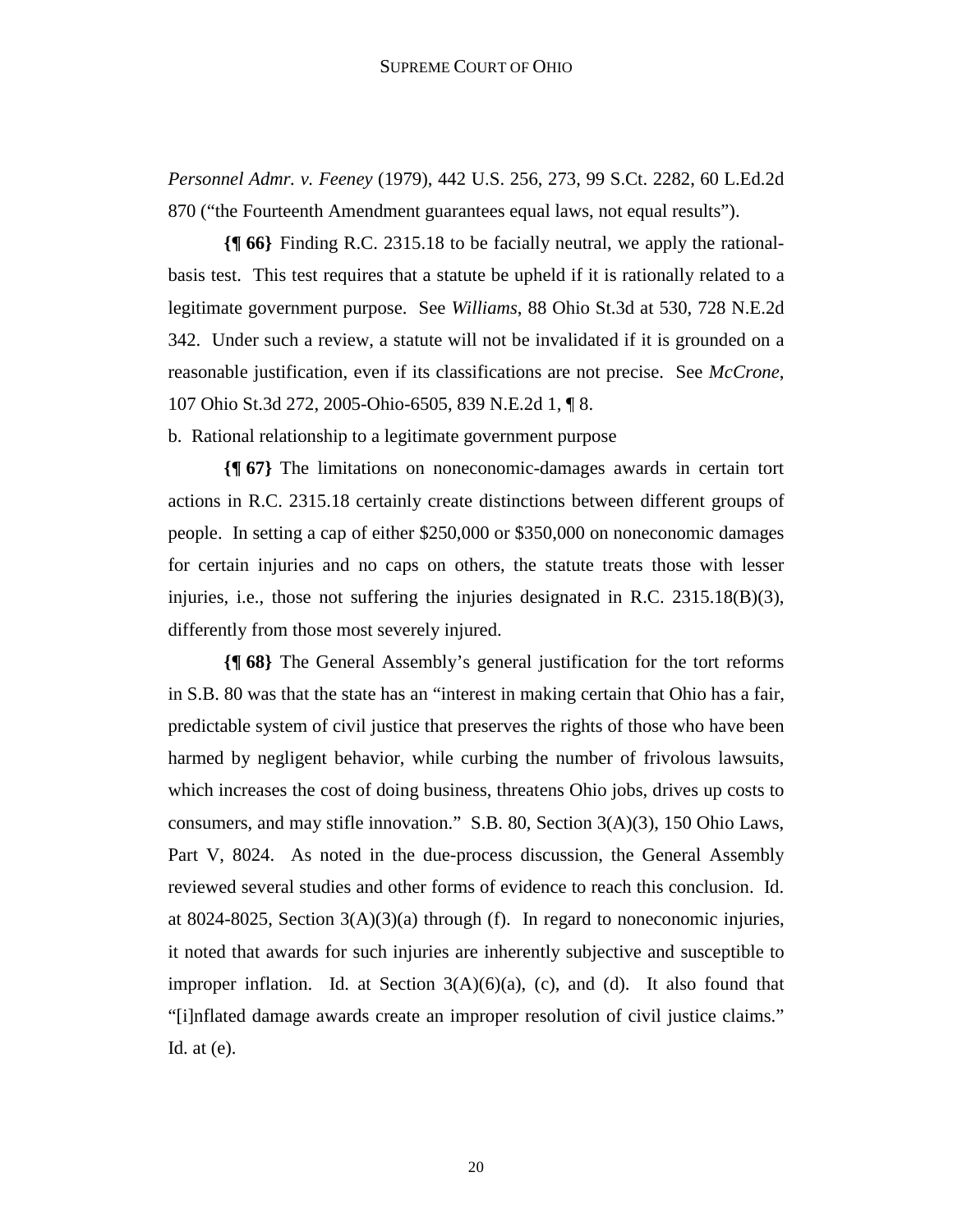*Personnel Admr. v. Feeney* (1979), 442 U.S. 256, 273, 99 S.Ct. 2282, 60 L.Ed.2d 870 ("the Fourteenth Amendment guarantees equal laws, not equal results").

**{¶ 66}** Finding R.C. 2315.18 to be facially neutral, we apply the rationalbasis test. This test requires that a statute be upheld if it is rationally related to a legitimate government purpose. See *Williams*, 88 Ohio St.3d at 530, 728 N.E.2d 342. Under such a review, a statute will not be invalidated if it is grounded on a reasonable justification, even if its classifications are not precise. See *McCrone*, 107 Ohio St.3d 272, 2005-Ohio-6505, 839 N.E.2d 1, ¶ 8.

b. Rational relationship to a legitimate government purpose

**{¶ 67}** The limitations on noneconomic-damages awards in certain tort actions in R.C. 2315.18 certainly create distinctions between different groups of people. In setting a cap of either \$250,000 or \$350,000 on noneconomic damages for certain injuries and no caps on others, the statute treats those with lesser injuries, i.e., those not suffering the injuries designated in R.C.  $2315.18(B)(3)$ , differently from those most severely injured.

**{¶ 68}** The General Assembly's general justification for the tort reforms in S.B. 80 was that the state has an "interest in making certain that Ohio has a fair, predictable system of civil justice that preserves the rights of those who have been harmed by negligent behavior, while curbing the number of frivolous lawsuits, which increases the cost of doing business, threatens Ohio jobs, drives up costs to consumers, and may stifle innovation." S.B. 80, Section 3(A)(3), 150 Ohio Laws, Part V, 8024. As noted in the due-process discussion, the General Assembly reviewed several studies and other forms of evidence to reach this conclusion. Id. at 8024-8025, Section  $3(A)(3)(a)$  through (f). In regard to noneconomic injuries, it noted that awards for such injuries are inherently subjective and susceptible to improper inflation. Id. at Section  $3(A)(6)(a)$ , (c), and (d). It also found that "[i]nflated damage awards create an improper resolution of civil justice claims." Id. at  $(e)$ .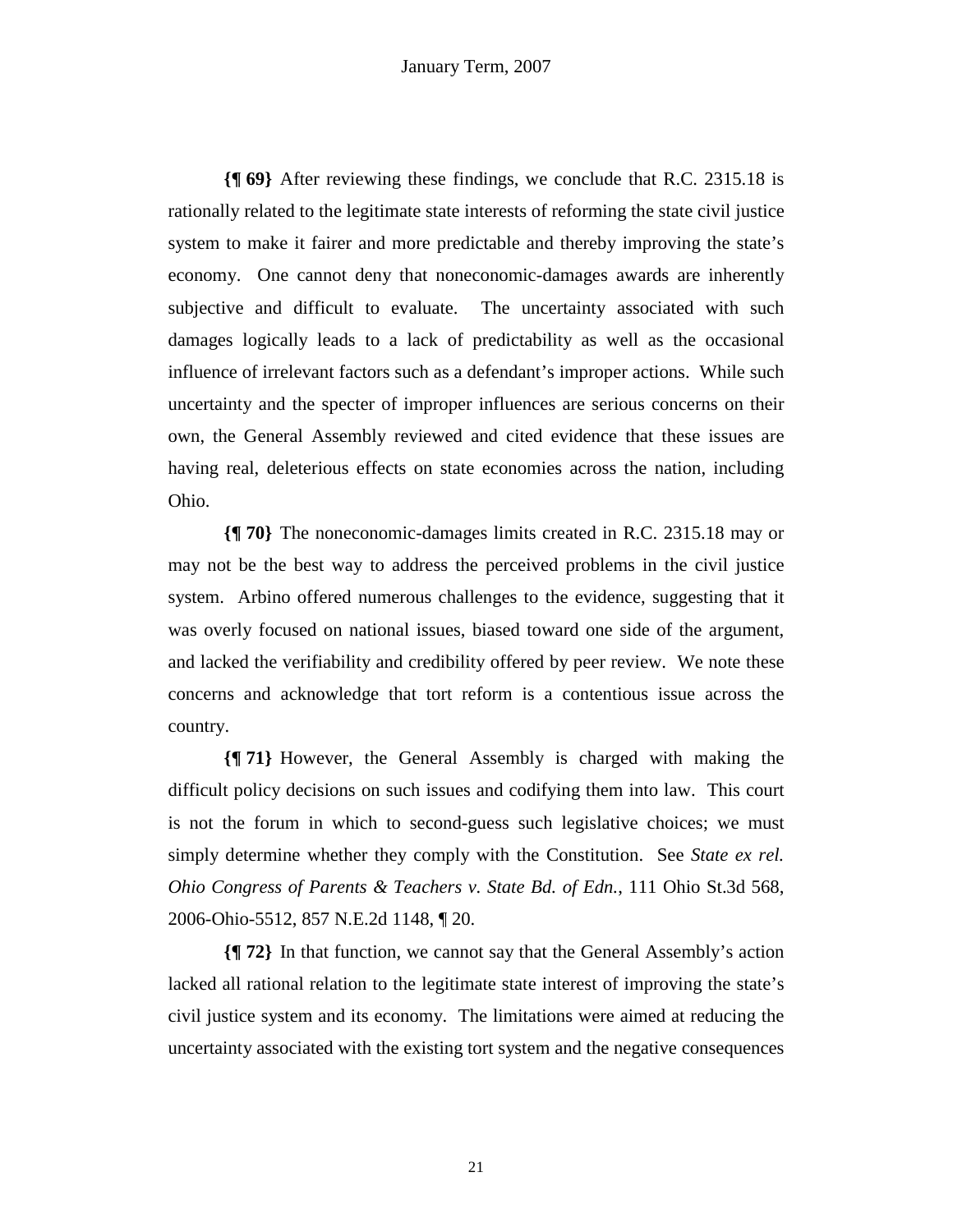**{¶ 69}** After reviewing these findings, we conclude that R.C. 2315.18 is rationally related to the legitimate state interests of reforming the state civil justice system to make it fairer and more predictable and thereby improving the state's economy. One cannot deny that noneconomic-damages awards are inherently subjective and difficult to evaluate. The uncertainty associated with such damages logically leads to a lack of predictability as well as the occasional influence of irrelevant factors such as a defendant's improper actions. While such uncertainty and the specter of improper influences are serious concerns on their own, the General Assembly reviewed and cited evidence that these issues are having real, deleterious effects on state economies across the nation, including Ohio.

**{¶ 70}** The noneconomic-damages limits created in R.C. 2315.18 may or may not be the best way to address the perceived problems in the civil justice system. Arbino offered numerous challenges to the evidence, suggesting that it was overly focused on national issues, biased toward one side of the argument, and lacked the verifiability and credibility offered by peer review. We note these concerns and acknowledge that tort reform is a contentious issue across the country.

**{¶ 71}** However, the General Assembly is charged with making the difficult policy decisions on such issues and codifying them into law. This court is not the forum in which to second-guess such legislative choices; we must simply determine whether they comply with the Constitution. See *State ex rel. Ohio Congress of Parents & Teachers v. State Bd. of Edn.*, 111 Ohio St.3d 568, 2006-Ohio-5512, 857 N.E.2d 1148, ¶ 20.

**{¶ 72}** In that function, we cannot say that the General Assembly's action lacked all rational relation to the legitimate state interest of improving the state's civil justice system and its economy. The limitations were aimed at reducing the uncertainty associated with the existing tort system and the negative consequences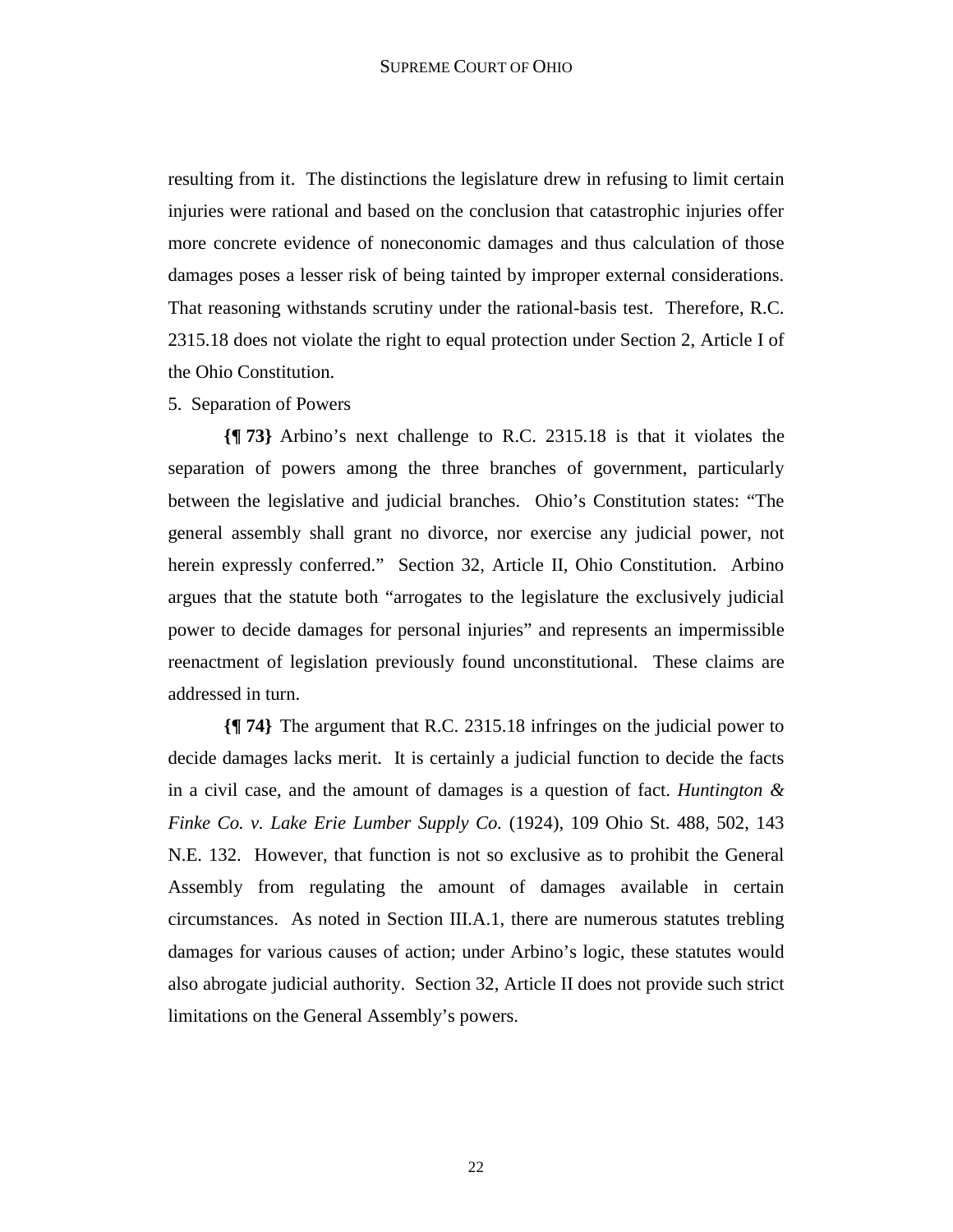resulting from it. The distinctions the legislature drew in refusing to limit certain injuries were rational and based on the conclusion that catastrophic injuries offer more concrete evidence of noneconomic damages and thus calculation of those damages poses a lesser risk of being tainted by improper external considerations. That reasoning withstands scrutiny under the rational-basis test. Therefore, R.C. 2315.18 does not violate the right to equal protection under Section 2, Article I of the Ohio Constitution.

## 5. Separation of Powers

**{¶ 73}** Arbino's next challenge to R.C. 2315.18 is that it violates the separation of powers among the three branches of government, particularly between the legislative and judicial branches. Ohio's Constitution states: "The general assembly shall grant no divorce, nor exercise any judicial power, not herein expressly conferred." Section 32, Article II, Ohio Constitution. Arbino argues that the statute both "arrogates to the legislature the exclusively judicial power to decide damages for personal injuries" and represents an impermissible reenactment of legislation previously found unconstitutional. These claims are addressed in turn.

**{¶ 74}** The argument that R.C. 2315.18 infringes on the judicial power to decide damages lacks merit. It is certainly a judicial function to decide the facts in a civil case, and the amount of damages is a question of fact. *Huntington & Finke Co. v. Lake Erie Lumber Supply Co.* (1924), 109 Ohio St. 488, 502, 143 N.E. 132. However, that function is not so exclusive as to prohibit the General Assembly from regulating the amount of damages available in certain circumstances. As noted in Section III.A.1, there are numerous statutes trebling damages for various causes of action; under Arbino's logic, these statutes would also abrogate judicial authority. Section 32, Article II does not provide such strict limitations on the General Assembly's powers.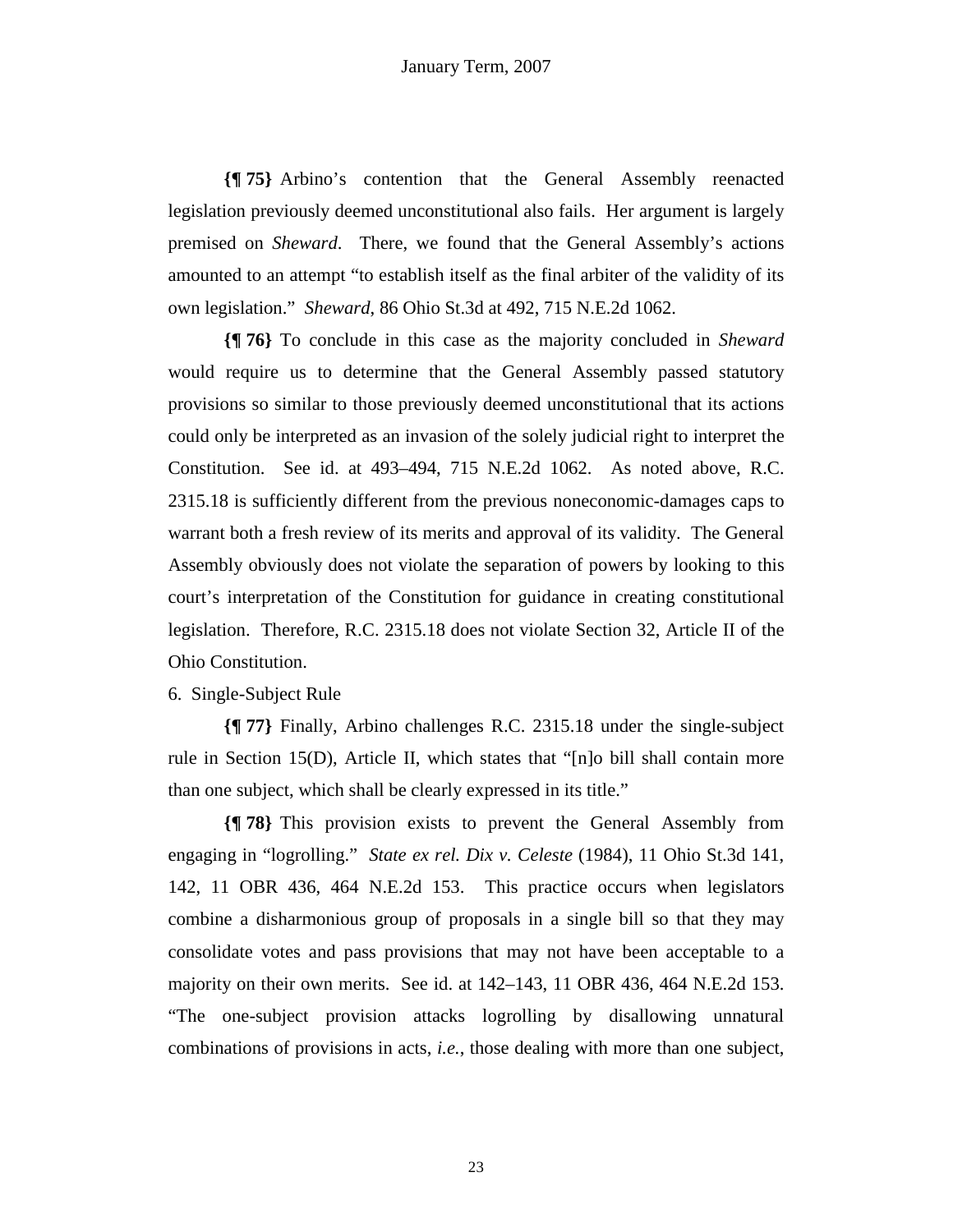**{¶ 75}** Arbino's contention that the General Assembly reenacted legislation previously deemed unconstitutional also fails. Her argument is largely premised on *Sheward*. There, we found that the General Assembly's actions amounted to an attempt "to establish itself as the final arbiter of the validity of its own legislation." *Sheward*, 86 Ohio St.3d at 492, 715 N.E.2d 1062.

**{¶ 76}** To conclude in this case as the majority concluded in *Sheward* would require us to determine that the General Assembly passed statutory provisions so similar to those previously deemed unconstitutional that its actions could only be interpreted as an invasion of the solely judicial right to interpret the Constitution. See id. at 493–494, 715 N.E.2d 1062. As noted above, R.C. 2315.18 is sufficiently different from the previous noneconomic-damages caps to warrant both a fresh review of its merits and approval of its validity. The General Assembly obviously does not violate the separation of powers by looking to this court's interpretation of the Constitution for guidance in creating constitutional legislation. Therefore, R.C. 2315.18 does not violate Section 32, Article II of the Ohio Constitution.

## 6. Single-Subject Rule

**{¶ 77}** Finally, Arbino challenges R.C. 2315.18 under the single-subject rule in Section 15(D), Article II, which states that "[n]o bill shall contain more than one subject, which shall be clearly expressed in its title."

**{¶ 78}** This provision exists to prevent the General Assembly from engaging in "logrolling." *State ex rel. Dix v. Celeste* (1984), 11 Ohio St.3d 141, 142, 11 OBR 436, 464 N.E.2d 153. This practice occurs when legislators combine a disharmonious group of proposals in a single bill so that they may consolidate votes and pass provisions that may not have been acceptable to a majority on their own merits. See id. at 142–143, 11 OBR 436, 464 N.E.2d 153. "The one-subject provision attacks logrolling by disallowing unnatural combinations of provisions in acts, *i.e.*, those dealing with more than one subject,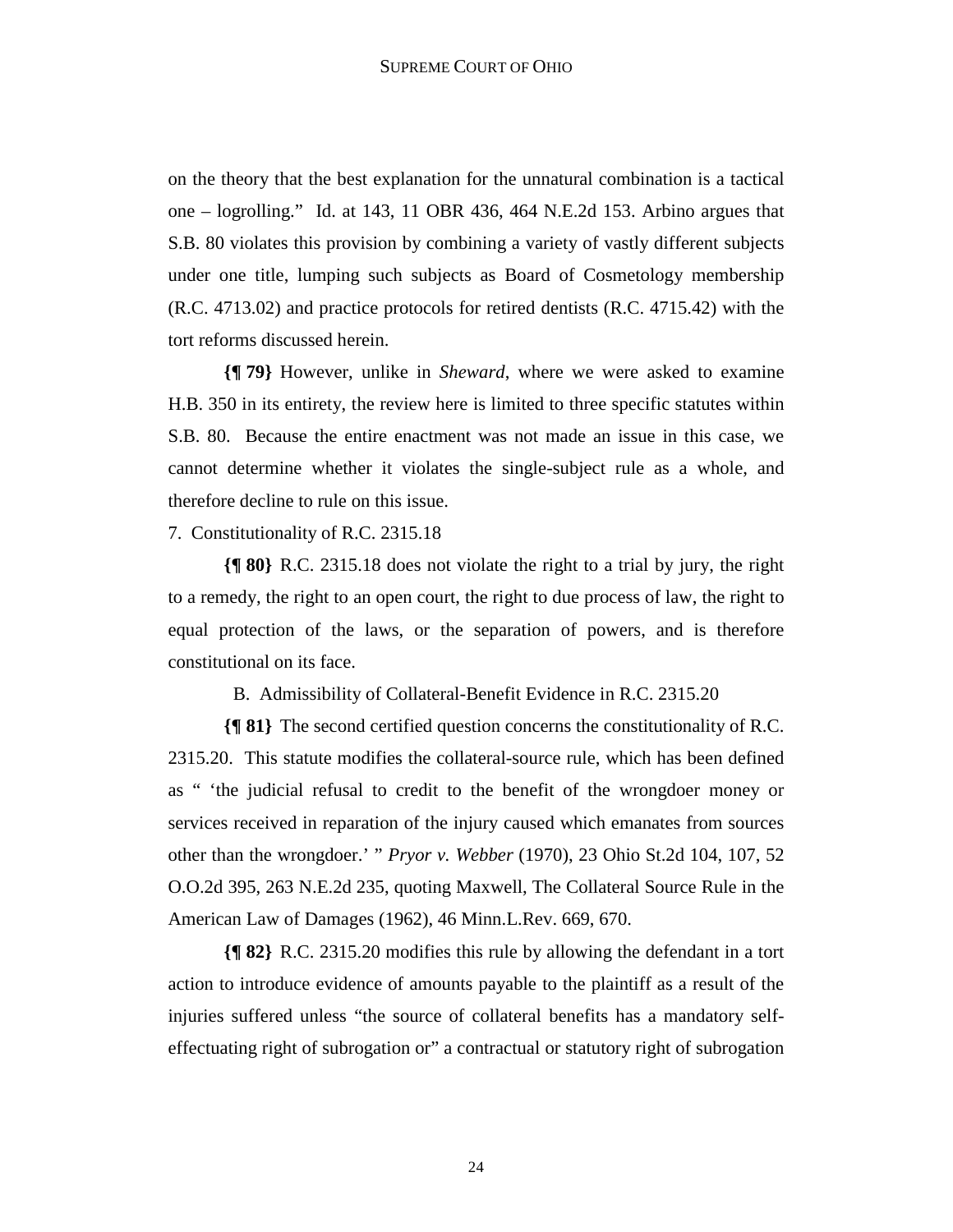on the theory that the best explanation for the unnatural combination is a tactical one – logrolling." Id. at 143, 11 OBR 436, 464 N.E.2d 153. Arbino argues that S.B. 80 violates this provision by combining a variety of vastly different subjects under one title, lumping such subjects as Board of Cosmetology membership (R.C. 4713.02) and practice protocols for retired dentists (R.C. 4715.42) with the tort reforms discussed herein.

**{¶ 79}** However, unlike in *Sheward*, where we were asked to examine H.B. 350 in its entirety, the review here is limited to three specific statutes within S.B. 80. Because the entire enactment was not made an issue in this case, we cannot determine whether it violates the single-subject rule as a whole, and therefore decline to rule on this issue.

7. Constitutionality of R.C. 2315.18

**{¶ 80}** R.C. 2315.18 does not violate the right to a trial by jury, the right to a remedy, the right to an open court, the right to due process of law, the right to equal protection of the laws, or the separation of powers, and is therefore constitutional on its face.

B. Admissibility of Collateral-Benefit Evidence in R.C. 2315.20

**{¶ 81}** The second certified question concerns the constitutionality of R.C. 2315.20. This statute modifies the collateral-source rule, which has been defined as " 'the judicial refusal to credit to the benefit of the wrongdoer money or services received in reparation of the injury caused which emanates from sources other than the wrongdoer.' " *Pryor v. Webber* (1970), 23 Ohio St.2d 104, 107, 52 O.O.2d 395, 263 N.E.2d 235, quoting Maxwell, The Collateral Source Rule in the American Law of Damages (1962), 46 Minn.L.Rev. 669, 670.

**{¶ 82}** R.C. 2315.20 modifies this rule by allowing the defendant in a tort action to introduce evidence of amounts payable to the plaintiff as a result of the injuries suffered unless "the source of collateral benefits has a mandatory selfeffectuating right of subrogation or" a contractual or statutory right of subrogation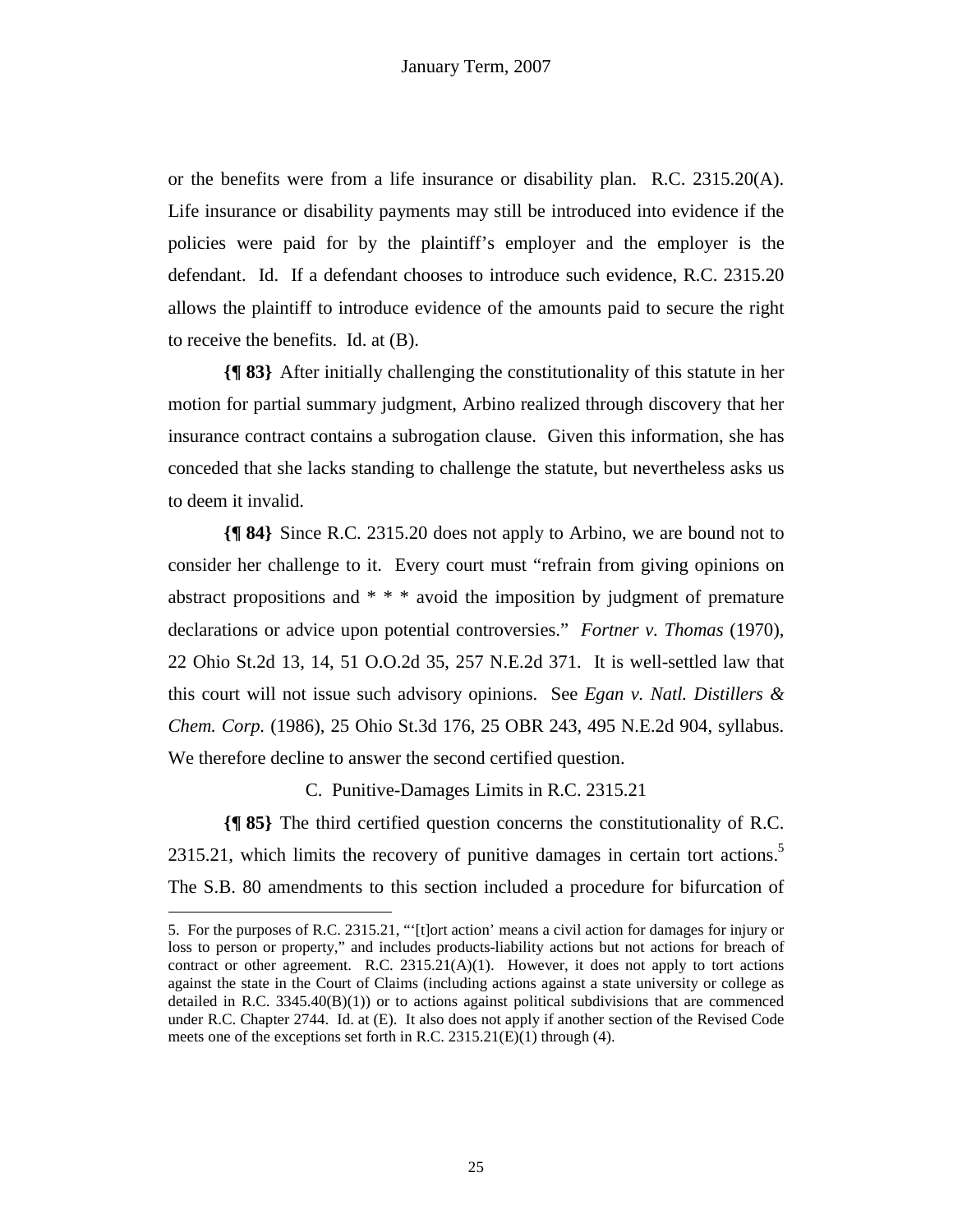or the benefits were from a life insurance or disability plan. R.C. 2315.20(A). Life insurance or disability payments may still be introduced into evidence if the policies were paid for by the plaintiff's employer and the employer is the defendant. Id. If a defendant chooses to introduce such evidence, R.C. 2315.20 allows the plaintiff to introduce evidence of the amounts paid to secure the right to receive the benefits. Id. at (B).

**{¶ 83}** After initially challenging the constitutionality of this statute in her motion for partial summary judgment, Arbino realized through discovery that her insurance contract contains a subrogation clause. Given this information, she has conceded that she lacks standing to challenge the statute, but nevertheless asks us to deem it invalid.

**{¶ 84}** Since R.C. 2315.20 does not apply to Arbino, we are bound not to consider her challenge to it. Every court must "refrain from giving opinions on abstract propositions and \* \* \* avoid the imposition by judgment of premature declarations or advice upon potential controversies." *Fortner v. Thomas* (1970), 22 Ohio St.2d 13, 14, 51 O.O.2d 35, 257 N.E.2d 371. It is well-settled law that this court will not issue such advisory opinions. See *Egan v. Natl. Distillers & Chem. Corp.* (1986), 25 Ohio St.3d 176, 25 OBR 243, 495 N.E.2d 904, syllabus. We therefore decline to answer the second certified question.

C. Punitive-Damages Limits in R.C. 2315.21

**{¶ 85}** The third certified question concerns the constitutionality of R.C. 2315.21, which limits the recovery of punitive damages in certain tort actions.<sup>5</sup> The S.B. 80 amendments to this section included a procedure for bifurcation of

1

<sup>5.</sup> For the purposes of R.C. 2315.21, "'[t]ort action' means a civil action for damages for injury or loss to person or property," and includes products-liability actions but not actions for breach of contract or other agreement. R.C.  $2315.21(A)(1)$ . However, it does not apply to tort actions against the state in the Court of Claims (including actions against a state university or college as detailed in R.C. 3345.40(B)(1)) or to actions against political subdivisions that are commenced under R.C. Chapter 2744. Id. at (E). It also does not apply if another section of the Revised Code meets one of the exceptions set forth in R.C. 2315.21(E)(1) through (4).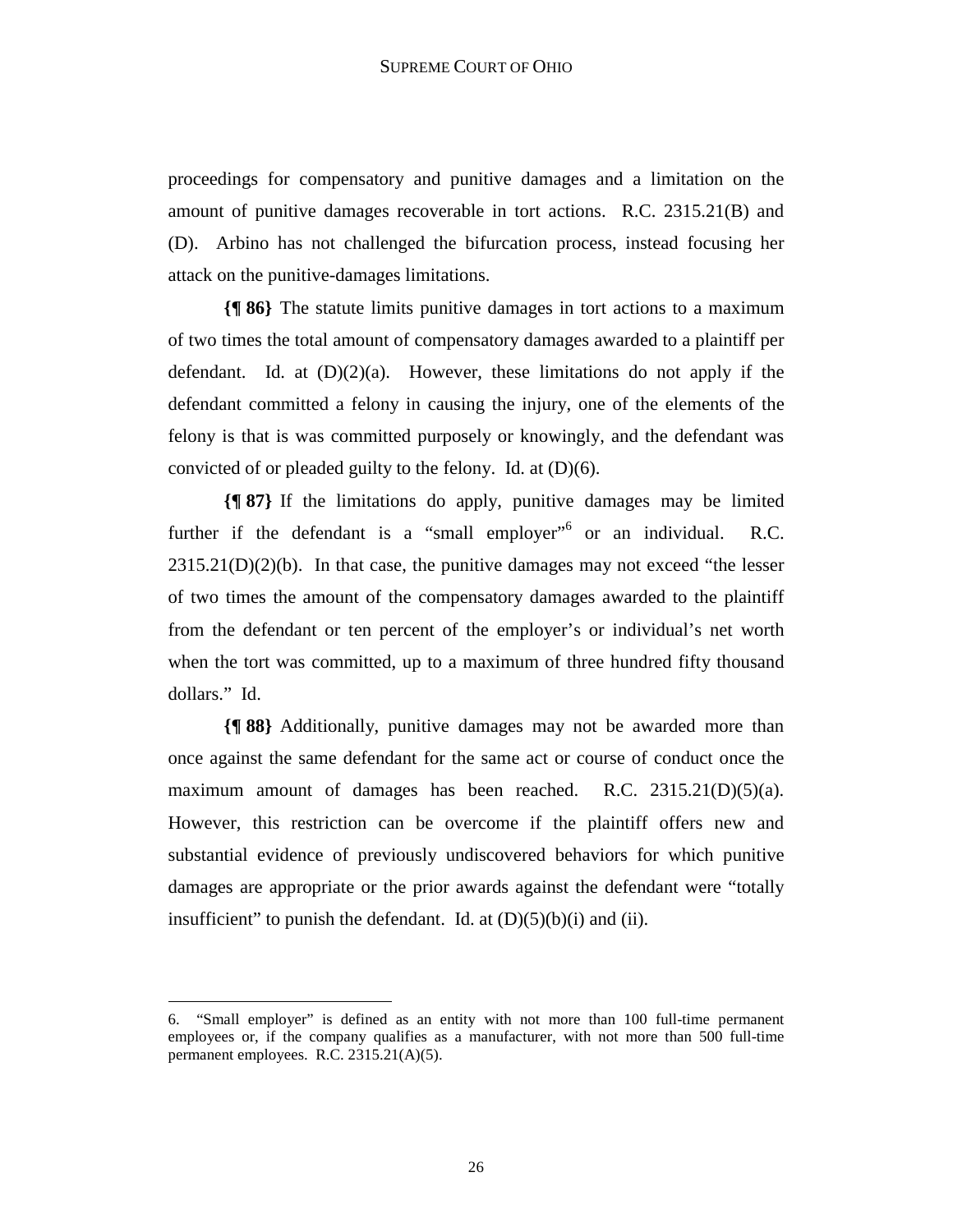proceedings for compensatory and punitive damages and a limitation on the amount of punitive damages recoverable in tort actions. R.C. 2315.21(B) and (D). Arbino has not challenged the bifurcation process, instead focusing her attack on the punitive-damages limitations.

**{¶ 86}** The statute limits punitive damages in tort actions to a maximum of two times the total amount of compensatory damages awarded to a plaintiff per defendant. Id. at  $(D)(2)(a)$ . However, these limitations do not apply if the defendant committed a felony in causing the injury, one of the elements of the felony is that is was committed purposely or knowingly, and the defendant was convicted of or pleaded guilty to the felony. Id. at (D)(6).

**{¶ 87}** If the limitations do apply, punitive damages may be limited further if the defendant is a "small employer"<sup>6</sup> or an individual. R.C.  $2315.21(D)(2)(b)$ . In that case, the punitive damages may not exceed "the lesser of two times the amount of the compensatory damages awarded to the plaintiff from the defendant or ten percent of the employer's or individual's net worth when the tort was committed, up to a maximum of three hundred fifty thousand dollars." Id.

**{¶ 88}** Additionally, punitive damages may not be awarded more than once against the same defendant for the same act or course of conduct once the maximum amount of damages has been reached. R.C.  $2315.21(D)(5)(a)$ . However, this restriction can be overcome if the plaintiff offers new and substantial evidence of previously undiscovered behaviors for which punitive damages are appropriate or the prior awards against the defendant were "totally insufficient" to punish the defendant. Id. at  $(D)(5)(b)(i)$  and  $(ii)$ .

1

<sup>6. &</sup>quot;Small employer" is defined as an entity with not more than 100 full-time permanent employees or, if the company qualifies as a manufacturer, with not more than 500 full-time permanent employees. R.C. 2315.21(A)(5).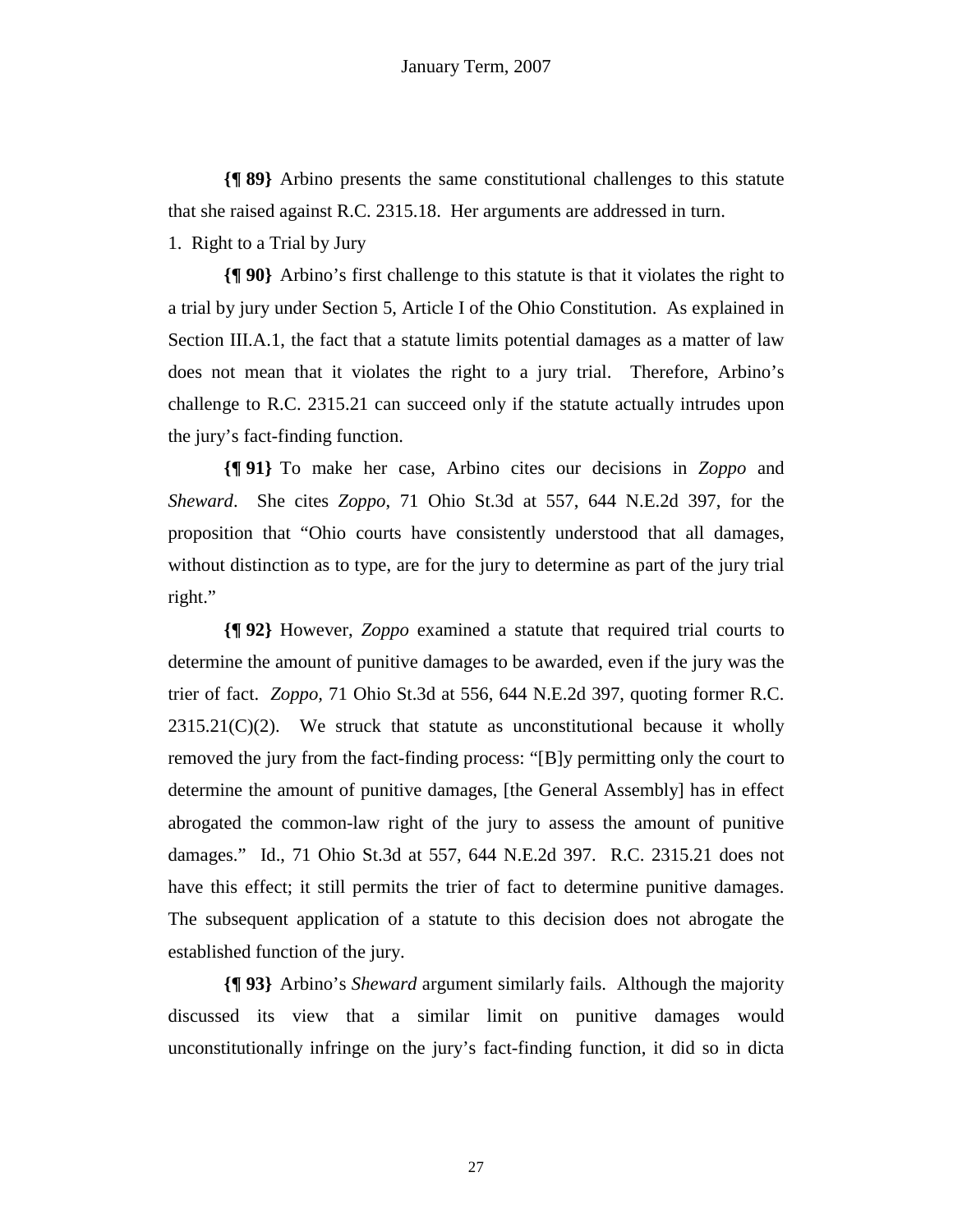**{¶ 89}** Arbino presents the same constitutional challenges to this statute that she raised against R.C. 2315.18. Her arguments are addressed in turn.

1. Right to a Trial by Jury

**{¶ 90}** Arbino's first challenge to this statute is that it violates the right to a trial by jury under Section 5, Article I of the Ohio Constitution. As explained in Section III.A.1, the fact that a statute limits potential damages as a matter of law does not mean that it violates the right to a jury trial. Therefore, Arbino's challenge to R.C. 2315.21 can succeed only if the statute actually intrudes upon the jury's fact-finding function.

**{¶ 91}** To make her case, Arbino cites our decisions in *Zoppo* and *Sheward*. She cites *Zoppo*, 71 Ohio St.3d at 557, 644 N.E.2d 397, for the proposition that "Ohio courts have consistently understood that all damages, without distinction as to type, are for the jury to determine as part of the jury trial right."

**{¶ 92}** However, *Zoppo* examined a statute that required trial courts to determine the amount of punitive damages to be awarded, even if the jury was the trier of fact. *Zoppo,* 71 Ohio St.3d at 556, 644 N.E.2d 397, quoting former R.C.  $2315.21(C)(2)$ . We struck that statute as unconstitutional because it wholly removed the jury from the fact-finding process: "[B]y permitting only the court to determine the amount of punitive damages, [the General Assembly] has in effect abrogated the common-law right of the jury to assess the amount of punitive damages." Id., 71 Ohio St.3d at 557, 644 N.E.2d 397. R.C. 2315.21 does not have this effect; it still permits the trier of fact to determine punitive damages. The subsequent application of a statute to this decision does not abrogate the established function of the jury.

**{¶ 93}** Arbino's *Sheward* argument similarly fails. Although the majority discussed its view that a similar limit on punitive damages would unconstitutionally infringe on the jury's fact-finding function, it did so in dicta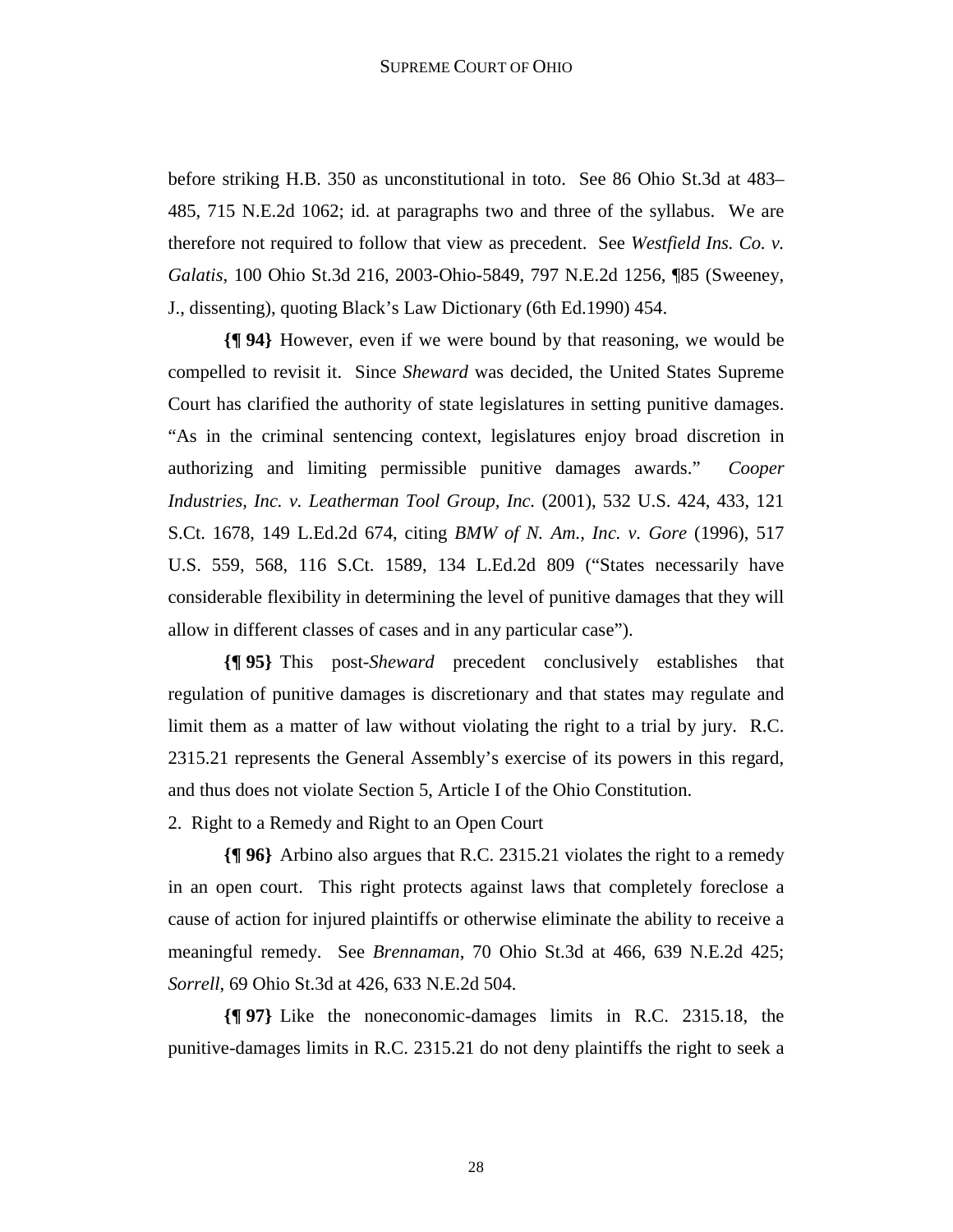before striking H.B. 350 as unconstitutional in toto. See 86 Ohio St.3d at 483– 485, 715 N.E.2d 1062; id. at paragraphs two and three of the syllabus. We are therefore not required to follow that view as precedent. See *Westfield Ins. Co. v. Galatis*, 100 Ohio St.3d 216, 2003-Ohio-5849, 797 N.E.2d 1256, ¶85 (Sweeney, J., dissenting), quoting Black's Law Dictionary (6th Ed.1990) 454.

**{¶ 94}** However, even if we were bound by that reasoning, we would be compelled to revisit it. Since *Sheward* was decided, the United States Supreme Court has clarified the authority of state legislatures in setting punitive damages. "As in the criminal sentencing context, legislatures enjoy broad discretion in authorizing and limiting permissible punitive damages awards." *Cooper Industries, Inc. v. Leatherman Tool Group, Inc.* (2001), 532 U.S. 424, 433, 121 S.Ct. 1678, 149 L.Ed.2d 674, citing *BMW of N. Am., Inc. v. Gore* (1996), 517 U.S. 559, 568, 116 S.Ct. 1589, 134 L.Ed.2d 809 ("States necessarily have considerable flexibility in determining the level of punitive damages that they will allow in different classes of cases and in any particular case").

**{¶ 95}** This post-*Sheward* precedent conclusively establishes that regulation of punitive damages is discretionary and that states may regulate and limit them as a matter of law without violating the right to a trial by jury. R.C. 2315.21 represents the General Assembly's exercise of its powers in this regard, and thus does not violate Section 5, Article I of the Ohio Constitution.

2. Right to a Remedy and Right to an Open Court

**{¶ 96}** Arbino also argues that R.C. 2315.21 violates the right to a remedy in an open court. This right protects against laws that completely foreclose a cause of action for injured plaintiffs or otherwise eliminate the ability to receive a meaningful remedy. See *Brennaman*, 70 Ohio St.3d at 466, 639 N.E.2d 425; *Sorrell*, 69 Ohio St.3d at 426, 633 N.E.2d 504.

**{¶ 97}** Like the noneconomic-damages limits in R.C. 2315.18, the punitive-damages limits in R.C. 2315.21 do not deny plaintiffs the right to seek a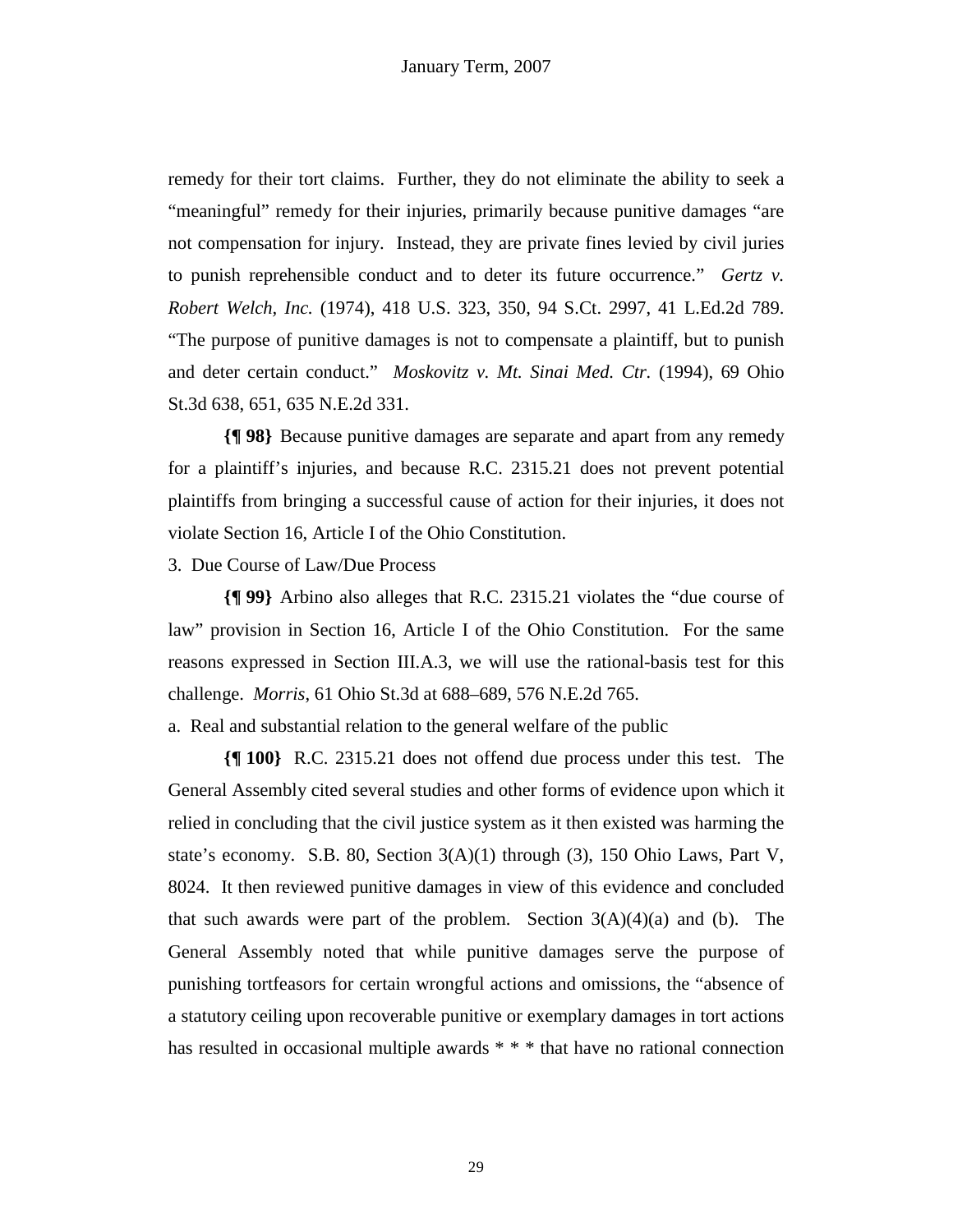remedy for their tort claims. Further, they do not eliminate the ability to seek a "meaningful" remedy for their injuries, primarily because punitive damages "are not compensation for injury. Instead, they are private fines levied by civil juries to punish reprehensible conduct and to deter its future occurrence." *Gertz v. Robert Welch, Inc.* (1974), 418 U.S. 323, 350, 94 S.Ct. 2997, 41 L.Ed.2d 789. "The purpose of punitive damages is not to compensate a plaintiff, but to punish and deter certain conduct." *Moskovitz v. Mt. Sinai Med. Ctr.* (1994), 69 Ohio St.3d 638, 651, 635 N.E.2d 331.

**{¶ 98}** Because punitive damages are separate and apart from any remedy for a plaintiff's injuries, and because R.C. 2315.21 does not prevent potential plaintiffs from bringing a successful cause of action for their injuries, it does not violate Section 16, Article I of the Ohio Constitution.

3. Due Course of Law/Due Process

**{¶ 99}** Arbino also alleges that R.C. 2315.21 violates the "due course of law" provision in Section 16, Article I of the Ohio Constitution. For the same reasons expressed in Section III.A.3, we will use the rational-basis test for this challenge. *Morris*, 61 Ohio St.3d at 688–689, 576 N.E.2d 765.

a. Real and substantial relation to the general welfare of the public

**{¶ 100}** R.C. 2315.21 does not offend due process under this test. The General Assembly cited several studies and other forms of evidence upon which it relied in concluding that the civil justice system as it then existed was harming the state's economy. S.B. 80, Section 3(A)(1) through (3), 150 Ohio Laws, Part V, 8024. It then reviewed punitive damages in view of this evidence and concluded that such awards were part of the problem. Section  $3(A)(4)(a)$  and (b). The General Assembly noted that while punitive damages serve the purpose of punishing tortfeasors for certain wrongful actions and omissions, the "absence of a statutory ceiling upon recoverable punitive or exemplary damages in tort actions has resulted in occasional multiple awards \* \* \* that have no rational connection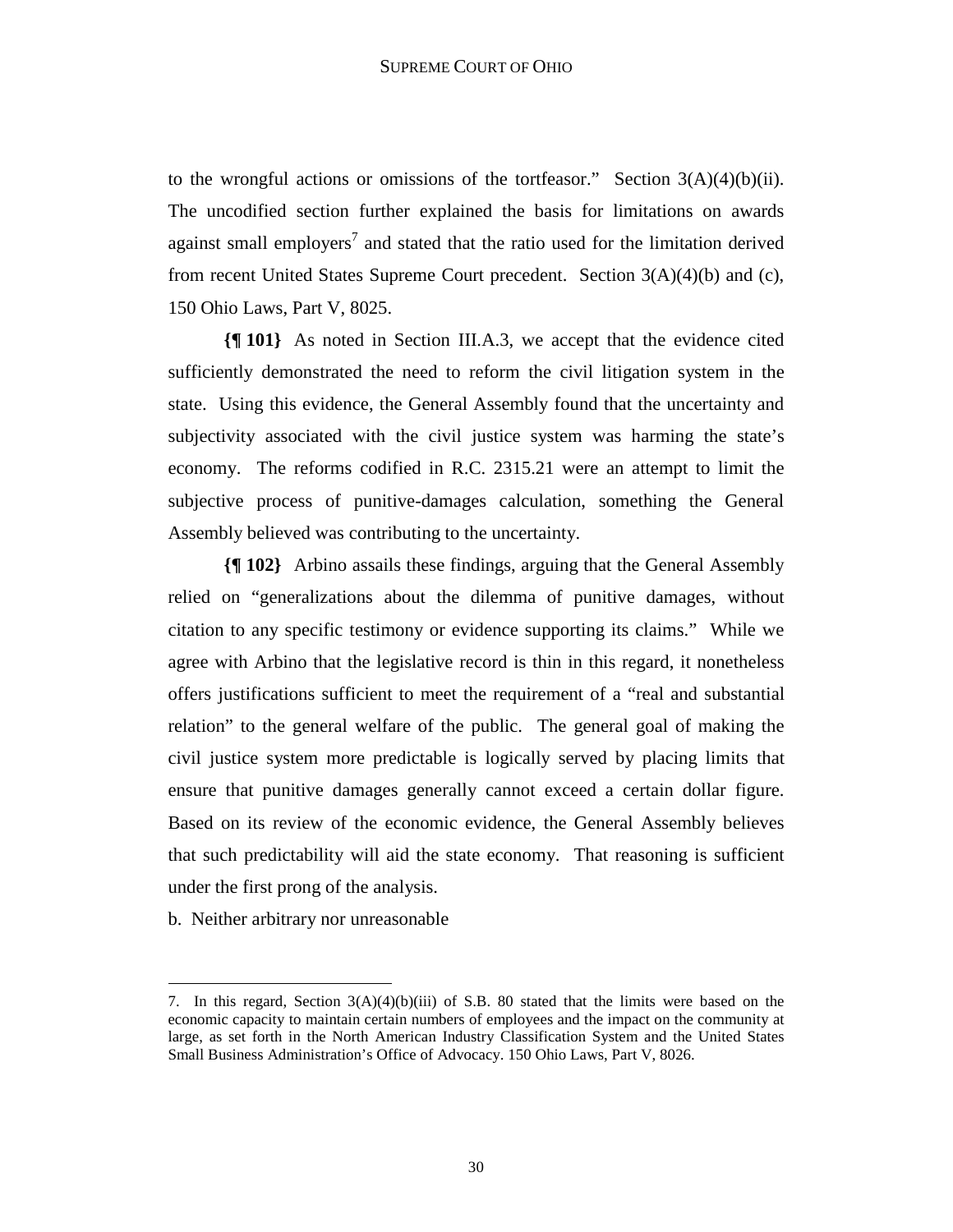to the wrongful actions or omissions of the tortfeasor." Section  $3(A)(4)(b)(ii)$ . The uncodified section further explained the basis for limitations on awards against small employers<sup>7</sup> and stated that the ratio used for the limitation derived from recent United States Supreme Court precedent. Section 3(A)(4)(b) and (c), 150 Ohio Laws, Part V, 8025.

**{¶ 101}** As noted in Section III.A.3, we accept that the evidence cited sufficiently demonstrated the need to reform the civil litigation system in the state. Using this evidence, the General Assembly found that the uncertainty and subjectivity associated with the civil justice system was harming the state's economy. The reforms codified in R.C. 2315.21 were an attempt to limit the subjective process of punitive-damages calculation, something the General Assembly believed was contributing to the uncertainty.

**{¶ 102}** Arbino assails these findings, arguing that the General Assembly relied on "generalizations about the dilemma of punitive damages, without citation to any specific testimony or evidence supporting its claims." While we agree with Arbino that the legislative record is thin in this regard, it nonetheless offers justifications sufficient to meet the requirement of a "real and substantial relation" to the general welfare of the public. The general goal of making the civil justice system more predictable is logically served by placing limits that ensure that punitive damages generally cannot exceed a certain dollar figure. Based on its review of the economic evidence, the General Assembly believes that such predictability will aid the state economy. That reasoning is sufficient under the first prong of the analysis.

b. Neither arbitrary nor unreasonable

1

<sup>7.</sup> In this regard, Section  $3(A)(4)(b)(iii)$  of S.B. 80 stated that the limits were based on the economic capacity to maintain certain numbers of employees and the impact on the community at large, as set forth in the North American Industry Classification System and the United States Small Business Administration's Office of Advocacy. 150 Ohio Laws, Part V, 8026.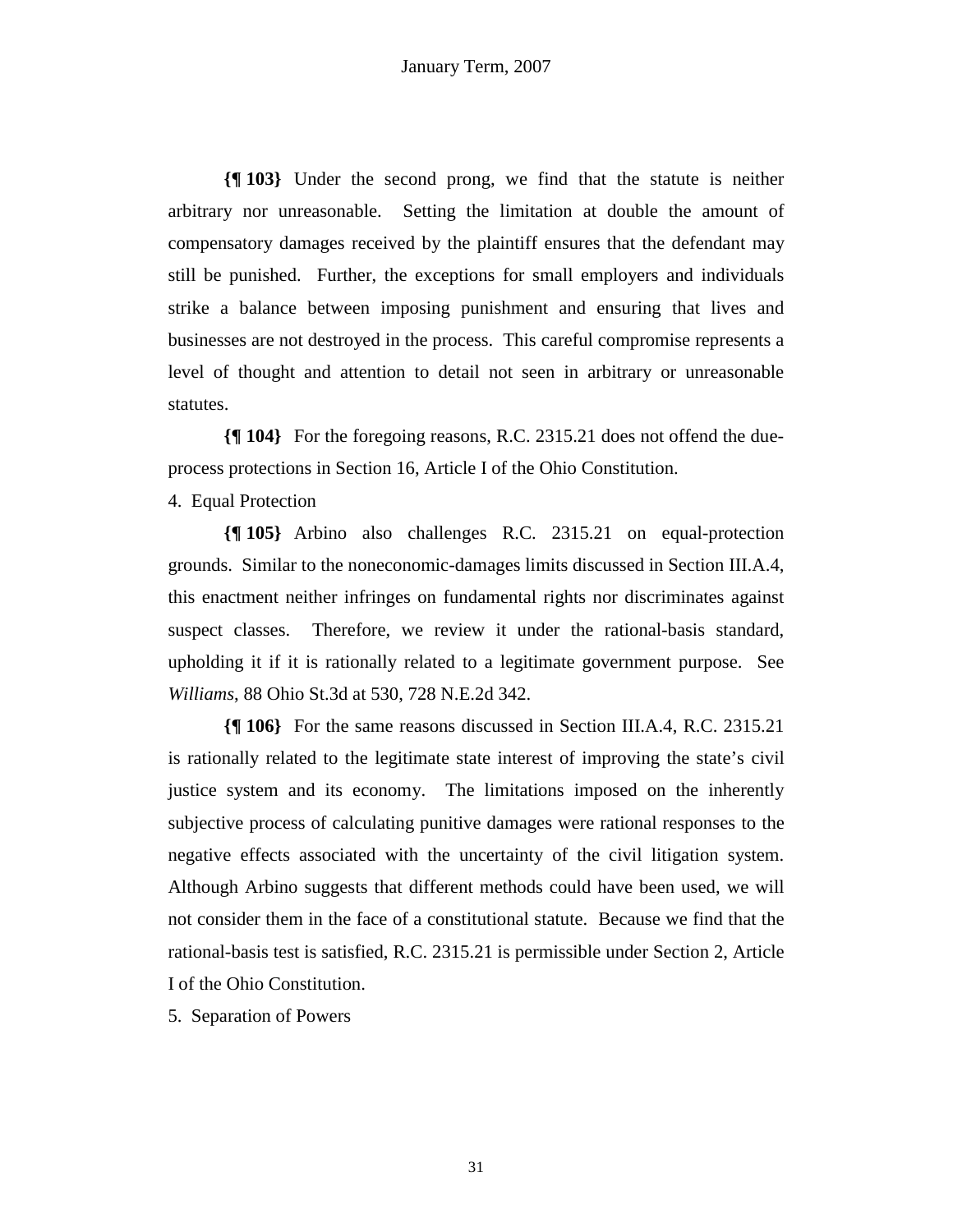**{¶ 103}** Under the second prong, we find that the statute is neither arbitrary nor unreasonable. Setting the limitation at double the amount of compensatory damages received by the plaintiff ensures that the defendant may still be punished. Further, the exceptions for small employers and individuals strike a balance between imposing punishment and ensuring that lives and businesses are not destroyed in the process. This careful compromise represents a level of thought and attention to detail not seen in arbitrary or unreasonable statutes.

**{¶ 104}** For the foregoing reasons, R.C. 2315.21 does not offend the dueprocess protections in Section 16, Article I of the Ohio Constitution.

4. Equal Protection

**{¶ 105}** Arbino also challenges R.C. 2315.21 on equal-protection grounds. Similar to the noneconomic-damages limits discussed in Section III.A.4, this enactment neither infringes on fundamental rights nor discriminates against suspect classes. Therefore, we review it under the rational-basis standard, upholding it if it is rationally related to a legitimate government purpose. See *Williams*, 88 Ohio St.3d at 530, 728 N.E.2d 342.

**{¶ 106}** For the same reasons discussed in Section III.A.4, R.C. 2315.21 is rationally related to the legitimate state interest of improving the state's civil justice system and its economy. The limitations imposed on the inherently subjective process of calculating punitive damages were rational responses to the negative effects associated with the uncertainty of the civil litigation system. Although Arbino suggests that different methods could have been used, we will not consider them in the face of a constitutional statute. Because we find that the rational-basis test is satisfied, R.C. 2315.21 is permissible under Section 2, Article I of the Ohio Constitution.

5. Separation of Powers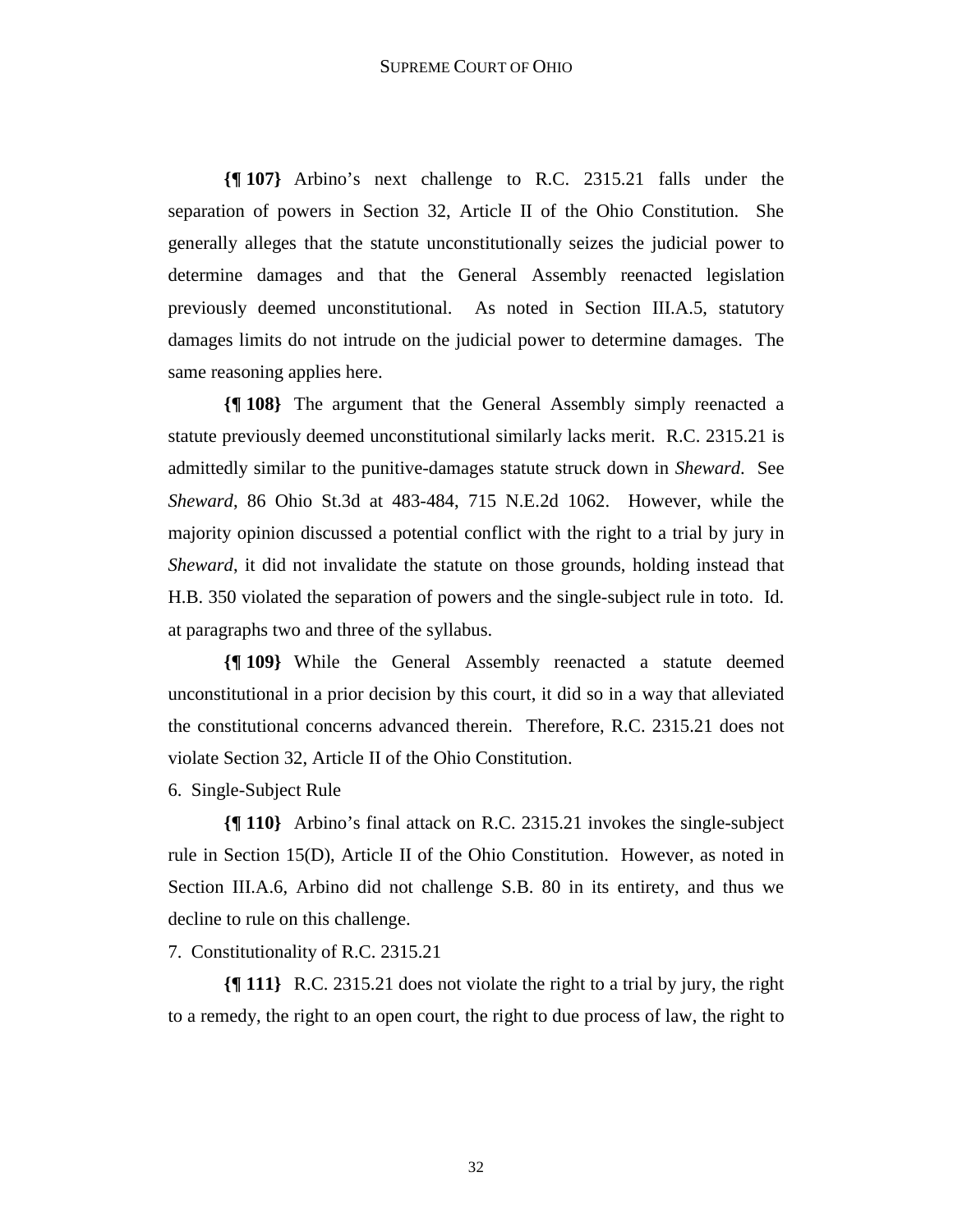**{¶ 107}** Arbino's next challenge to R.C. 2315.21 falls under the separation of powers in Section 32, Article II of the Ohio Constitution. She generally alleges that the statute unconstitutionally seizes the judicial power to determine damages and that the General Assembly reenacted legislation previously deemed unconstitutional. As noted in Section III.A.5, statutory damages limits do not intrude on the judicial power to determine damages. The same reasoning applies here.

**{¶ 108}** The argument that the General Assembly simply reenacted a statute previously deemed unconstitutional similarly lacks merit. R.C. 2315.21 is admittedly similar to the punitive-damages statute struck down in *Sheward*. See *Sheward*, 86 Ohio St.3d at 483-484, 715 N.E.2d 1062. However, while the majority opinion discussed a potential conflict with the right to a trial by jury in *Sheward*, it did not invalidate the statute on those grounds, holding instead that H.B. 350 violated the separation of powers and the single-subject rule in toto. Id. at paragraphs two and three of the syllabus.

**{¶ 109}** While the General Assembly reenacted a statute deemed unconstitutional in a prior decision by this court, it did so in a way that alleviated the constitutional concerns advanced therein. Therefore, R.C. 2315.21 does not violate Section 32, Article II of the Ohio Constitution.

6. Single-Subject Rule

**{¶ 110}** Arbino's final attack on R.C. 2315.21 invokes the single-subject rule in Section 15(D), Article II of the Ohio Constitution. However, as noted in Section III.A.6, Arbino did not challenge S.B. 80 in its entirety, and thus we decline to rule on this challenge.

7. Constitutionality of R.C. 2315.21

**{¶ 111}** R.C. 2315.21 does not violate the right to a trial by jury, the right to a remedy, the right to an open court, the right to due process of law, the right to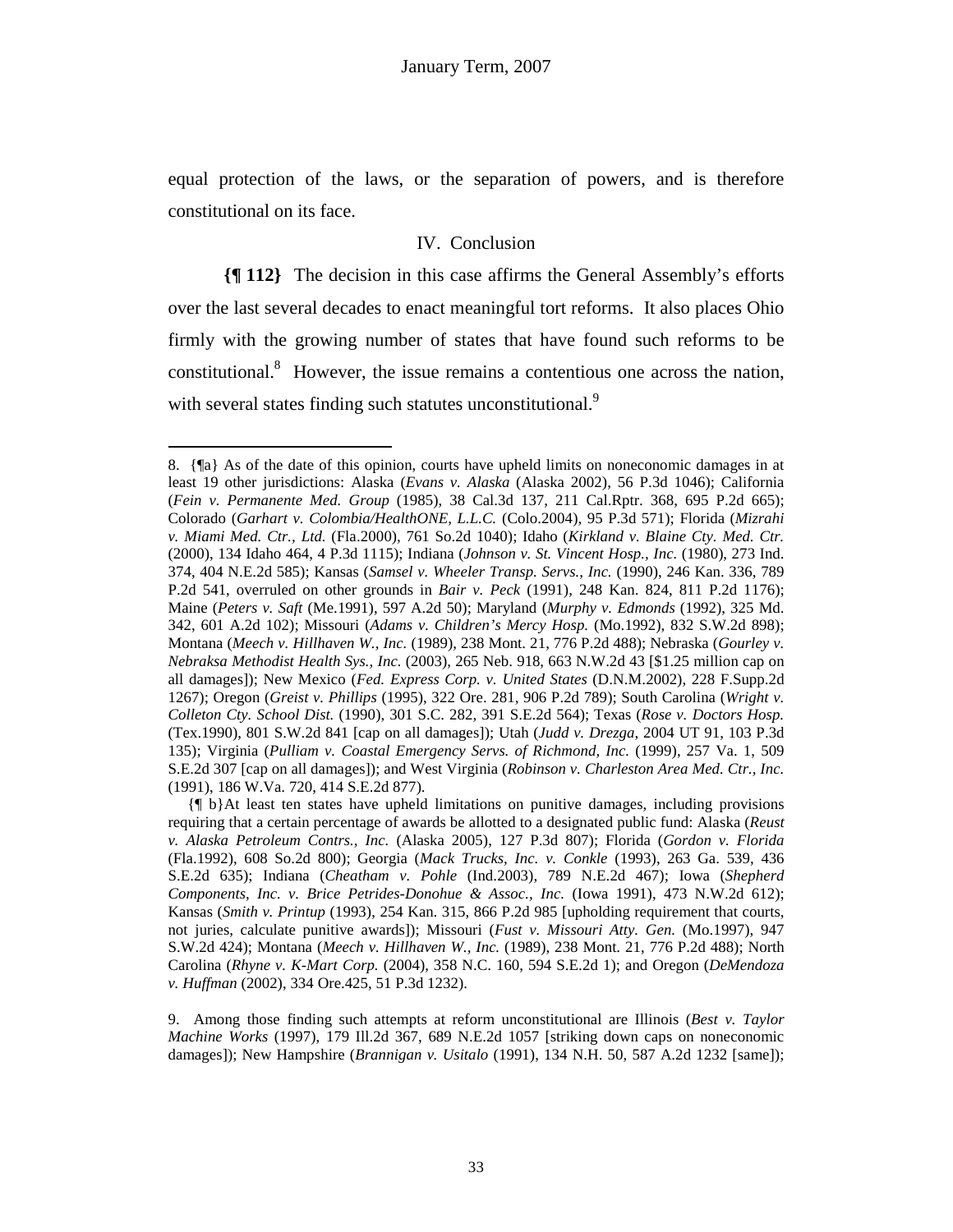equal protection of the laws, or the separation of powers, and is therefore constitutional on its face.

# IV. Conclusion

**{¶ 112}** The decision in this case affirms the General Assembly's efforts over the last several decades to enact meaningful tort reforms. It also places Ohio firmly with the growing number of states that have found such reforms to be constitutional.<sup>8</sup> However, the issue remains a contentious one across the nation, with several states finding such statutes unconstitutional.<sup>9</sup>

1

<sup>8. {¶</sup>a} As of the date of this opinion, courts have upheld limits on noneconomic damages in at least 19 other jurisdictions: Alaska (*Evans v. Alaska* (Alaska 2002), 56 P.3d 1046); California (*Fein v. Permanente Med. Group* (1985), 38 Cal.3d 137, 211 Cal.Rptr. 368, 695 P.2d 665); Colorado (*Garhart v. Colombia/HealthONE, L.L.C.* (Colo.2004), 95 P.3d 571); Florida (*Mizrahi v. Miami Med. Ctr., Ltd.* (Fla.2000), 761 So.2d 1040); Idaho (*Kirkland v. Blaine Cty. Med. Ctr.* (2000), 134 Idaho 464, 4 P.3d 1115); Indiana (*Johnson v. St. Vincent Hosp., Inc.* (1980), 273 Ind. 374, 404 N.E.2d 585); Kansas (*Samsel v. Wheeler Transp. Servs., Inc.* (1990), 246 Kan. 336, 789 P.2d 541, overruled on other grounds in *Bair v. Peck* (1991), 248 Kan. 824, 811 P.2d 1176); Maine (*Peters v. Saft* (Me.1991), 597 A.2d 50); Maryland (*Murphy v. Edmonds* (1992), 325 Md. 342, 601 A.2d 102); Missouri (*Adams v. Children's Mercy Hosp.* (Mo.1992), 832 S.W.2d 898); Montana (*Meech v. Hillhaven W., Inc.* (1989), 238 Mont. 21, 776 P.2d 488); Nebraska (*Gourley v. Nebraksa Methodist Health Sys., Inc.* (2003), 265 Neb. 918, 663 N.W.2d 43 [\$1.25 million cap on all damages]); New Mexico (*Fed. Express Corp. v. United States* (D.N.M.2002), 228 F.Supp.2d 1267); Oregon (*Greist v. Phillips* (1995), 322 Ore. 281, 906 P.2d 789); South Carolina (*Wright v. Colleton Cty. School Dist.* (1990), 301 S.C. 282, 391 S.E.2d 564); Texas (*Rose v. Doctors Hosp.*  (Tex.1990), 801 S.W.2d 841 [cap on all damages]); Utah (*Judd v. Drezga*, 2004 UT 91, 103 P.3d 135); Virginia (*Pulliam v. Coastal Emergency Servs. of Richmond, Inc.* (1999), 257 Va. 1, 509 S.E.2d 307 [cap on all damages]); and West Virginia (*Robinson v. Charleston Area Med. Ctr., Inc.*  (1991), 186 W.Va. 720, 414 S.E.2d 877).

 <sup>{¶</sup> b}At least ten states have upheld limitations on punitive damages, including provisions requiring that a certain percentage of awards be allotted to a designated public fund: Alaska (*Reust v. Alaska Petroleum Contrs., Inc.* (Alaska 2005), 127 P.3d 807); Florida (*Gordon v. Florida* (Fla.1992), 608 So.2d 800); Georgia (*Mack Trucks, Inc. v. Conkle* (1993), 263 Ga. 539, 436 S.E.2d 635); Indiana (*Cheatham v. Pohle* (Ind.2003), 789 N.E.2d 467); Iowa (*Shepherd Components, Inc. v. Brice Petrides-Donohue & Assoc., Inc.* (Iowa 1991), 473 N.W.2d 612); Kansas (*Smith v. Printup* (1993), 254 Kan. 315, 866 P.2d 985 [upholding requirement that courts, not juries, calculate punitive awards]); Missouri (*Fust v. Missouri Atty. Gen.* (Mo.1997), 947 S.W.2d 424); Montana (*Meech v. Hillhaven W., Inc.* (1989), 238 Mont. 21, 776 P.2d 488); North Carolina (*Rhyne v. K-Mart Corp.* (2004), 358 N.C. 160, 594 S.E.2d 1); and Oregon (*DeMendoza v. Huffman* (2002), 334 Ore.425, 51 P.3d 1232).

<sup>9.</sup> Among those finding such attempts at reform unconstitutional are Illinois (*Best v. Taylor Machine Works* (1997), 179 Ill.2d 367, 689 N.E.2d 1057 [striking down caps on noneconomic damages]); New Hampshire (*Brannigan v. Usitalo* (1991), 134 N.H. 50, 587 A.2d 1232 [same]);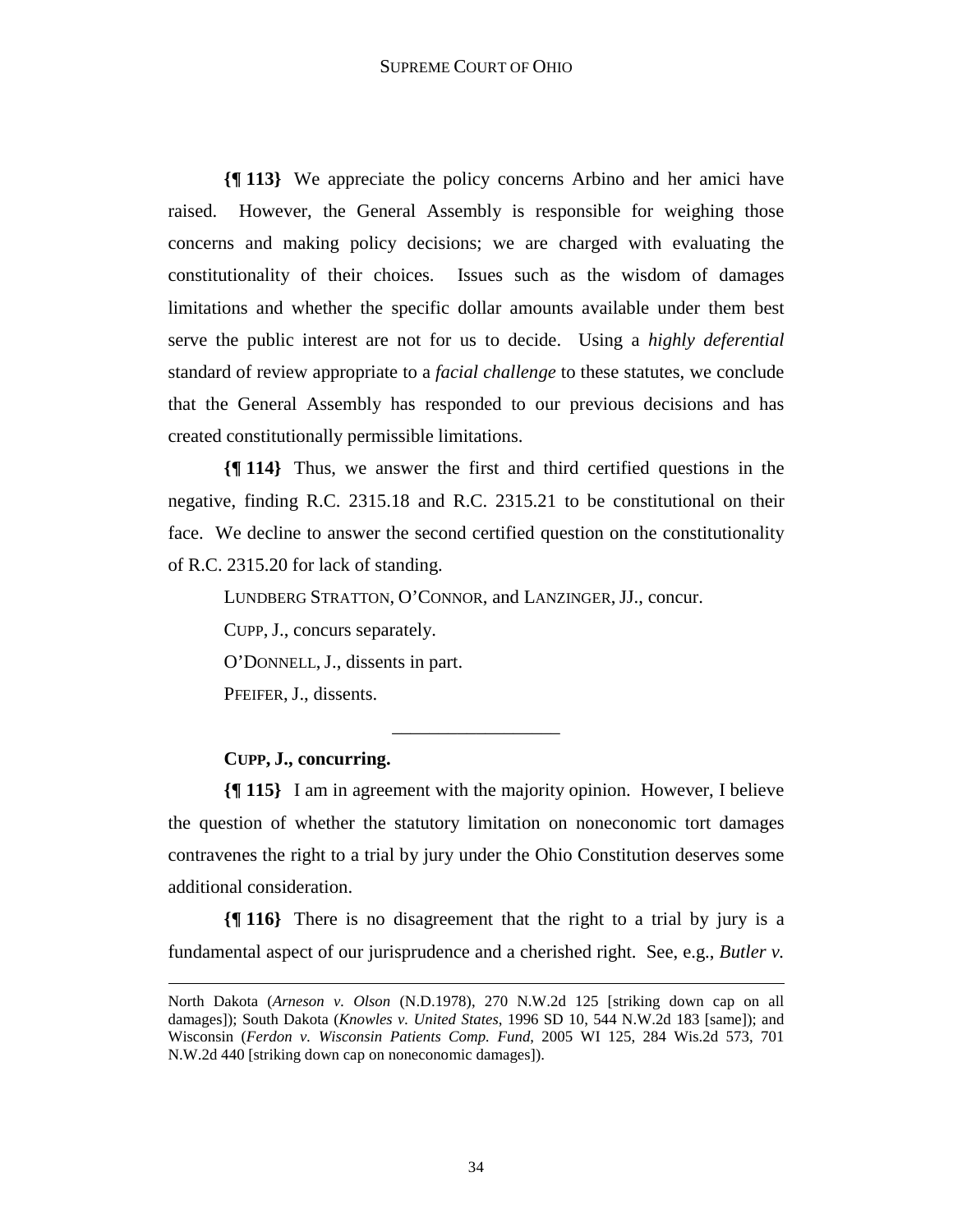**{¶ 113}** We appreciate the policy concerns Arbino and her amici have raised. However, the General Assembly is responsible for weighing those concerns and making policy decisions; we are charged with evaluating the constitutionality of their choices. Issues such as the wisdom of damages limitations and whether the specific dollar amounts available under them best serve the public interest are not for us to decide. Using a *highly deferential*  standard of review appropriate to a *facial challenge* to these statutes, we conclude that the General Assembly has responded to our previous decisions and has created constitutionally permissible limitations.

**{¶ 114}** Thus, we answer the first and third certified questions in the negative, finding R.C. 2315.18 and R.C. 2315.21 to be constitutional on their face. We decline to answer the second certified question on the constitutionality of R.C. 2315.20 for lack of standing.

LUNDBERG STRATTON, O'CONNOR, and LANZINGER, JJ., concur.

CUPP, J., concurs separately.

O'DONNELL, J., dissents in part.

PFEIFER, J., dissents.

## **CUPP, J., concurring.**

1

**{¶ 115}** I am in agreement with the majority opinion. However, I believe the question of whether the statutory limitation on noneconomic tort damages contravenes the right to a trial by jury under the Ohio Constitution deserves some additional consideration.

\_\_\_\_\_\_\_\_\_\_\_\_\_\_\_\_\_\_

**{¶ 116}** There is no disagreement that the right to a trial by jury is a fundamental aspect of our jurisprudence and a cherished right. See, e.g., *Butler v.* 

North Dakota (*Arneson v. Olson* (N.D.1978), 270 N.W.2d 125 [striking down cap on all damages]); South Dakota (*Knowles v. United States*, 1996 SD 10, 544 N.W.2d 183 [same]); and Wisconsin (*Ferdon v. Wisconsin Patients Comp. Fund*, 2005 WI 125, 284 Wis.2d 573, 701 N.W.2d 440 [striking down cap on noneconomic damages]).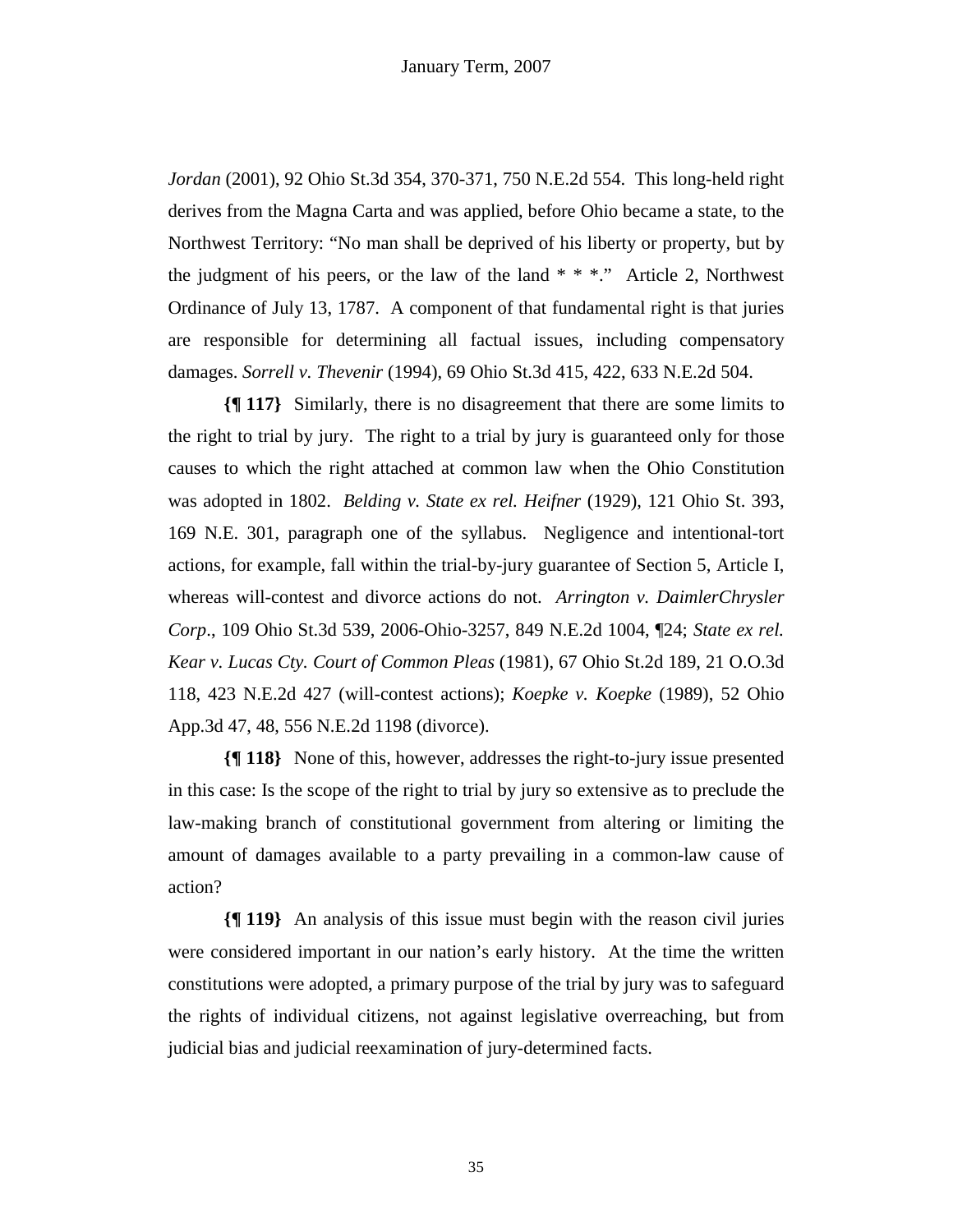*Jordan* (2001), 92 Ohio St.3d 354, 370-371, 750 N.E.2d 554. This long-held right derives from the Magna Carta and was applied, before Ohio became a state, to the Northwest Territory: "No man shall be deprived of his liberty or property, but by the judgment of his peers, or the law of the land  $* * *$ ." Article 2, Northwest Ordinance of July 13, 1787. A component of that fundamental right is that juries are responsible for determining all factual issues, including compensatory damages. *Sorrell v. Thevenir* (1994), 69 Ohio St.3d 415, 422, 633 N.E.2d 504.

**{¶ 117}** Similarly, there is no disagreement that there are some limits to the right to trial by jury. The right to a trial by jury is guaranteed only for those causes to which the right attached at common law when the Ohio Constitution was adopted in 1802. *Belding v. State ex rel. Heifner* (1929), 121 Ohio St. 393, 169 N.E. 301, paragraph one of the syllabus. Negligence and intentional-tort actions, for example, fall within the trial-by-jury guarantee of Section 5, Article I, whereas will-contest and divorce actions do not. *Arrington v. DaimlerChrysler Corp*., 109 Ohio St.3d 539, 2006-Ohio-3257, 849 N.E.2d 1004, ¶24; *State ex rel. Kear v. Lucas Cty. Court of Common Pleas* (1981), 67 Ohio St.2d 189, 21 O.O.3d 118, 423 N.E.2d 427 (will-contest actions); *Koepke v. Koepke* (1989), 52 Ohio App.3d 47, 48, 556 N.E.2d 1198 (divorce).

**{¶ 118}** None of this, however, addresses the right-to-jury issue presented in this case: Is the scope of the right to trial by jury so extensive as to preclude the law-making branch of constitutional government from altering or limiting the amount of damages available to a party prevailing in a common-law cause of action?

**{¶ 119}** An analysis of this issue must begin with the reason civil juries were considered important in our nation's early history. At the time the written constitutions were adopted, a primary purpose of the trial by jury was to safeguard the rights of individual citizens, not against legislative overreaching, but from judicial bias and judicial reexamination of jury-determined facts.

35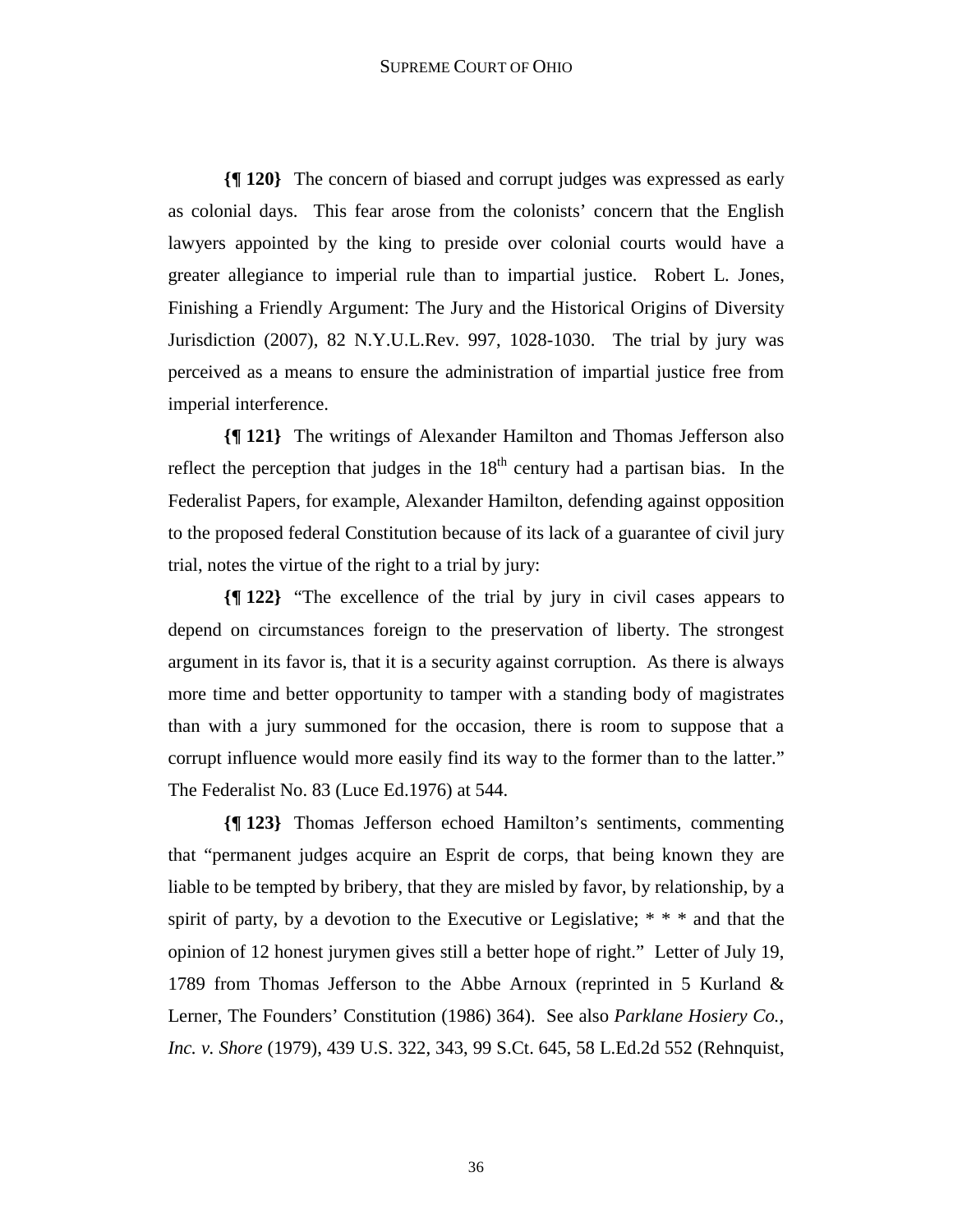**{¶ 120}** The concern of biased and corrupt judges was expressed as early as colonial days. This fear arose from the colonists' concern that the English lawyers appointed by the king to preside over colonial courts would have a greater allegiance to imperial rule than to impartial justice. Robert L. Jones, Finishing a Friendly Argument: The Jury and the Historical Origins of Diversity Jurisdiction (2007), 82 N.Y.U.L.Rev. 997, 1028-1030. The trial by jury was perceived as a means to ensure the administration of impartial justice free from imperial interference.

**{¶ 121}** The writings of Alexander Hamilton and Thomas Jefferson also reflect the perception that judges in the  $18<sup>th</sup>$  century had a partisan bias. In the Federalist Papers, for example, Alexander Hamilton, defending against opposition to the proposed federal Constitution because of its lack of a guarantee of civil jury trial, notes the virtue of the right to a trial by jury:

**{¶ 122}** "The excellence of the trial by jury in civil cases appears to depend on circumstances foreign to the preservation of liberty. The strongest argument in its favor is, that it is a security against corruption. As there is always more time and better opportunity to tamper with a standing body of magistrates than with a jury summoned for the occasion, there is room to suppose that a corrupt influence would more easily find its way to the former than to the latter." The Federalist No. 83 (Luce Ed.1976) at 544.

**{¶ 123}** Thomas Jefferson echoed Hamilton's sentiments, commenting that "permanent judges acquire an Esprit de corps, that being known they are liable to be tempted by bribery, that they are misled by favor, by relationship, by a spirit of party, by a devotion to the Executive or Legislative;  $* * *$  and that the opinion of 12 honest jurymen gives still a better hope of right." Letter of July 19, 1789 from Thomas Jefferson to the Abbe Arnoux (reprinted in 5 Kurland & Lerner, The Founders' Constitution (1986) 364). See also *Parklane Hosiery Co., Inc. v. Shore* (1979), 439 U.S. 322, 343, 99 S.Ct. 645, 58 L.Ed.2d 552 (Rehnquist,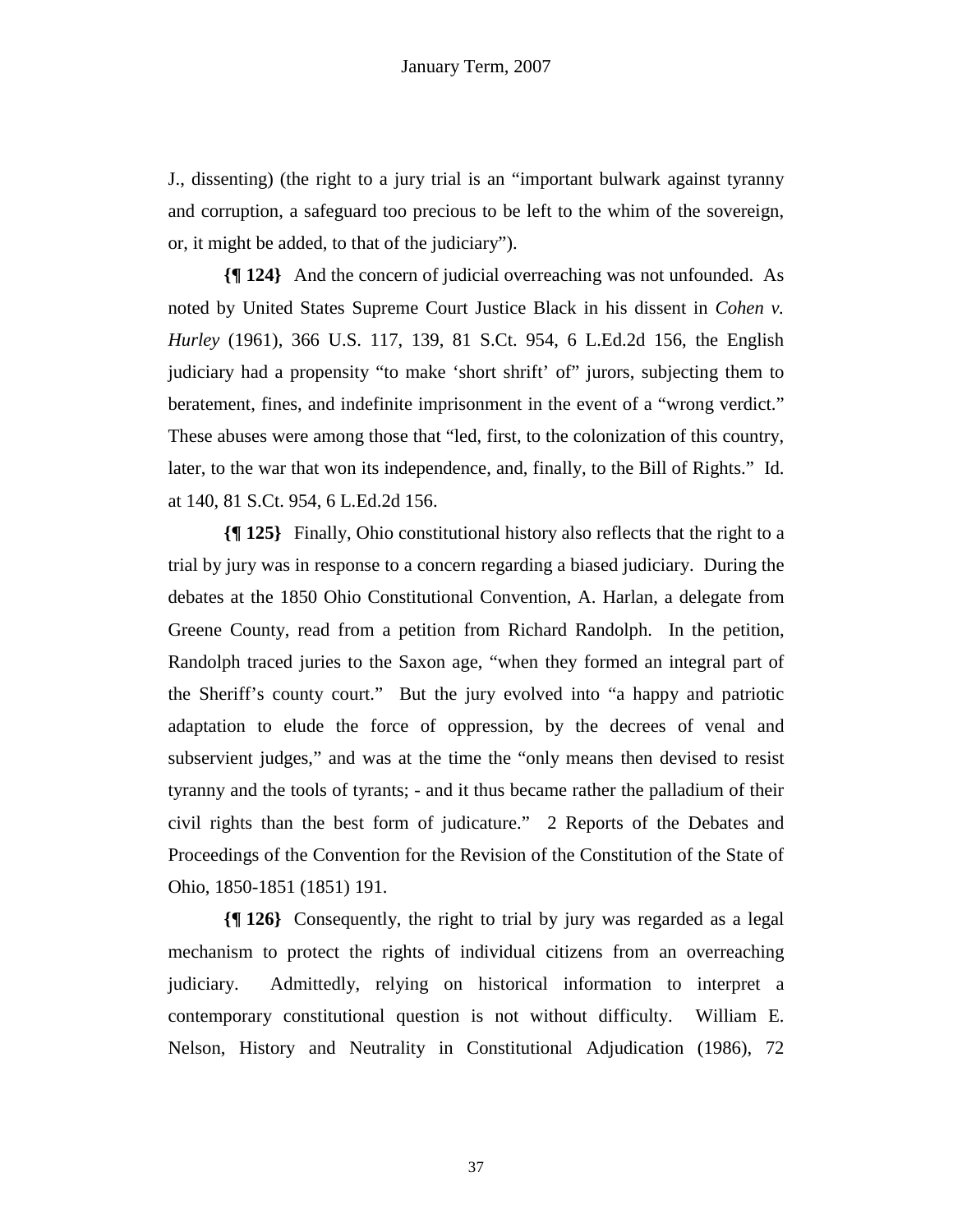J., dissenting) (the right to a jury trial is an "important bulwark against tyranny and corruption, a safeguard too precious to be left to the whim of the sovereign, or, it might be added, to that of the judiciary").

**{¶ 124}** And the concern of judicial overreaching was not unfounded. As noted by United States Supreme Court Justice Black in his dissent in *Cohen v. Hurley* (1961), 366 U.S. 117, 139, 81 S.Ct. 954, 6 L.Ed.2d 156, the English judiciary had a propensity "to make 'short shrift' of" jurors, subjecting them to beratement, fines, and indefinite imprisonment in the event of a "wrong verdict." These abuses were among those that "led, first, to the colonization of this country, later, to the war that won its independence, and, finally, to the Bill of Rights." Id. at 140, 81 S.Ct. 954, 6 L.Ed.2d 156.

**{¶ 125}** Finally, Ohio constitutional history also reflects that the right to a trial by jury was in response to a concern regarding a biased judiciary. During the debates at the 1850 Ohio Constitutional Convention, A. Harlan, a delegate from Greene County, read from a petition from Richard Randolph. In the petition, Randolph traced juries to the Saxon age, "when they formed an integral part of the Sheriff's county court." But the jury evolved into "a happy and patriotic adaptation to elude the force of oppression, by the decrees of venal and subservient judges," and was at the time the "only means then devised to resist tyranny and the tools of tyrants; - and it thus became rather the palladium of their civil rights than the best form of judicature." 2 Reports of the Debates and Proceedings of the Convention for the Revision of the Constitution of the State of Ohio, 1850-1851 (1851) 191.

**{¶ 126}** Consequently, the right to trial by jury was regarded as a legal mechanism to protect the rights of individual citizens from an overreaching judiciary. Admittedly, relying on historical information to interpret a contemporary constitutional question is not without difficulty. William E. Nelson, History and Neutrality in Constitutional Adjudication (1986), 72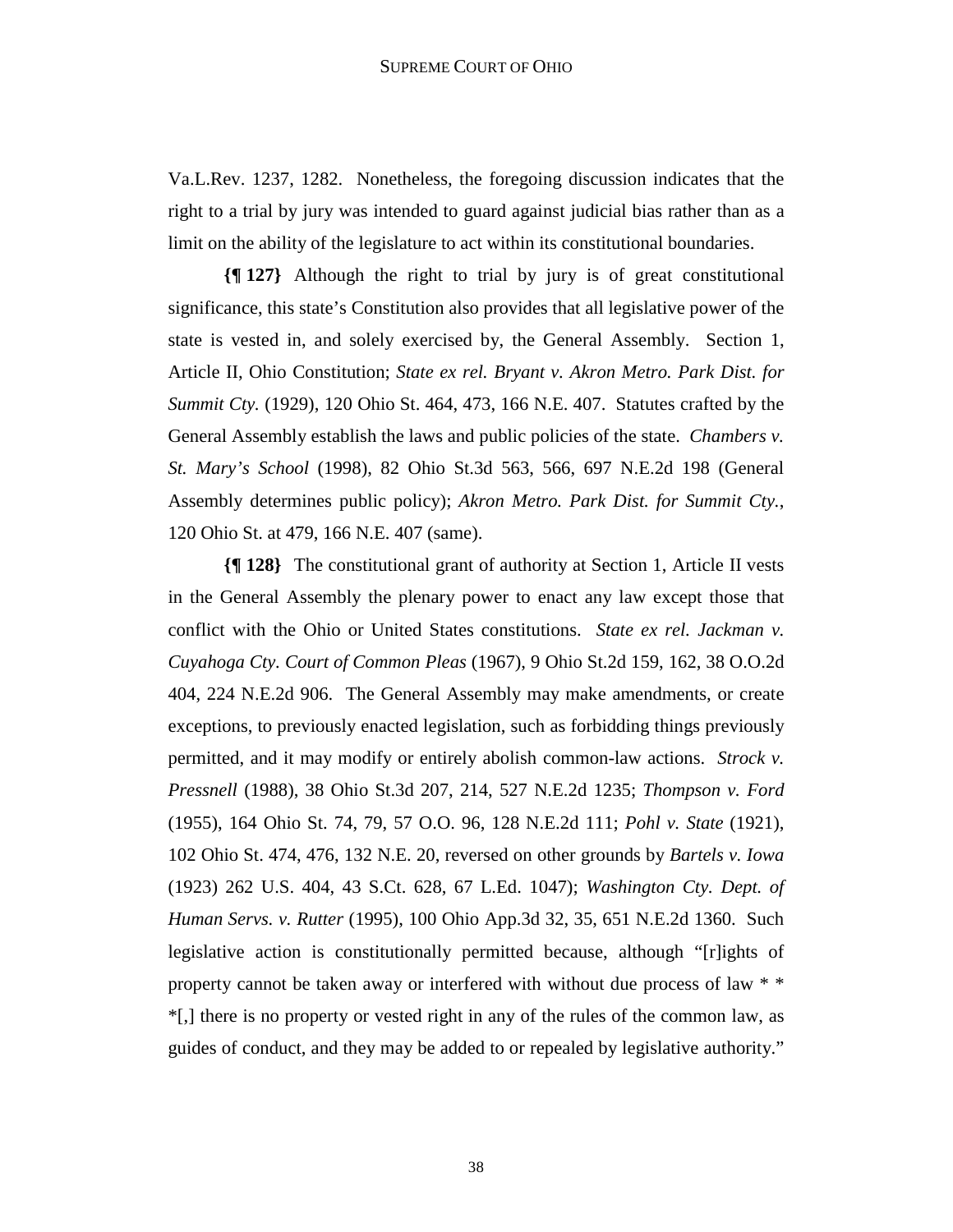Va.L.Rev. 1237, 1282. Nonetheless, the foregoing discussion indicates that the right to a trial by jury was intended to guard against judicial bias rather than as a limit on the ability of the legislature to act within its constitutional boundaries.

**{¶ 127}** Although the right to trial by jury is of great constitutional significance, this state's Constitution also provides that all legislative power of the state is vested in, and solely exercised by, the General Assembly. Section 1, Article II, Ohio Constitution; *State ex rel. Bryant v. Akron Metro. Park Dist. for Summit Cty.* (1929), 120 Ohio St. 464, 473, 166 N.E. 407. Statutes crafted by the General Assembly establish the laws and public policies of the state. *Chambers v. St. Mary's School* (1998), 82 Ohio St.3d 563, 566, 697 N.E.2d 198 (General Assembly determines public policy); *Akron Metro. Park Dist. for Summit Cty.*, 120 Ohio St. at 479, 166 N.E. 407 (same).

**{¶ 128}** The constitutional grant of authority at Section 1, Article II vests in the General Assembly the plenary power to enact any law except those that conflict with the Ohio or United States constitutions. *State ex rel. Jackman v. Cuyahoga Cty. Court of Common Pleas* (1967), 9 Ohio St.2d 159, 162, 38 O.O.2d 404, 224 N.E.2d 906. The General Assembly may make amendments, or create exceptions, to previously enacted legislation, such as forbidding things previously permitted, and it may modify or entirely abolish common-law actions. *Strock v. Pressnell* (1988), 38 Ohio St.3d 207, 214, 527 N.E.2d 1235; *Thompson v. Ford* (1955), 164 Ohio St. 74, 79, 57 O.O. 96, 128 N.E.2d 111; *Pohl v. State* (1921), 102 Ohio St. 474, 476, 132 N.E. 20, reversed on other grounds by *Bartels v. Iowa* (1923) 262 U.S. 404, 43 S.Ct. 628, 67 L.Ed. 1047); *Washington Cty. Dept. of Human Servs. v. Rutter* (1995), 100 Ohio App.3d 32, 35, 651 N.E.2d 1360. Such legislative action is constitutionally permitted because, although "[r]ights of property cannot be taken away or interfered with without due process of law \* \* \*[,] there is no property or vested right in any of the rules of the common law, as guides of conduct, and they may be added to or repealed by legislative authority."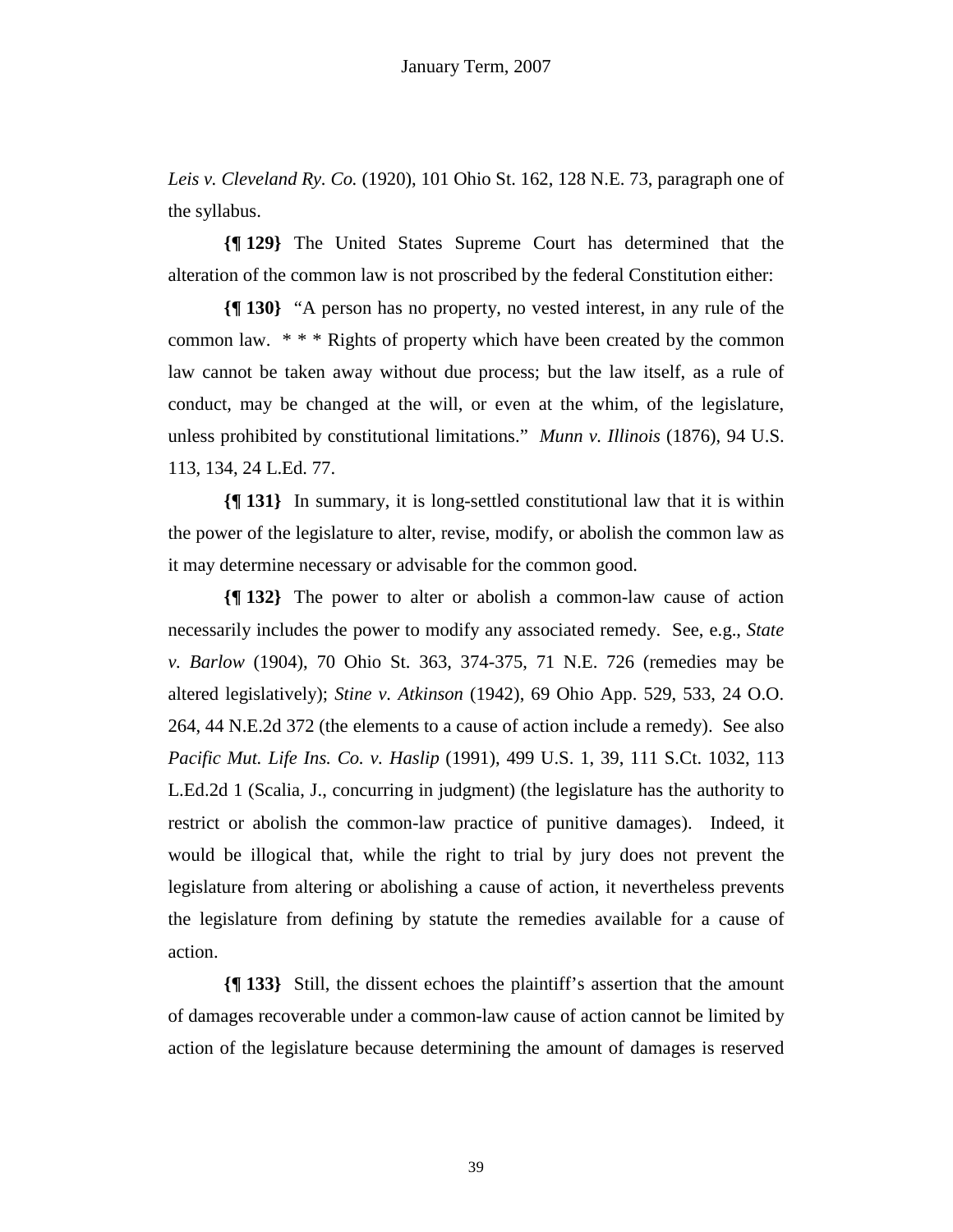*Leis v. Cleveland Ry. Co.* (1920), 101 Ohio St. 162, 128 N.E. 73, paragraph one of the syllabus.

**{¶ 129}** The United States Supreme Court has determined that the alteration of the common law is not proscribed by the federal Constitution either:

**{¶ 130}** "A person has no property, no vested interest, in any rule of the common law. \* \* \* Rights of property which have been created by the common law cannot be taken away without due process; but the law itself, as a rule of conduct, may be changed at the will, or even at the whim, of the legislature, unless prohibited by constitutional limitations." *Munn v. Illinois* (1876), 94 U.S. 113, 134, 24 L.Ed. 77.

**{¶ 131}** In summary, it is long-settled constitutional law that it is within the power of the legislature to alter, revise, modify, or abolish the common law as it may determine necessary or advisable for the common good.

**{¶ 132}** The power to alter or abolish a common-law cause of action necessarily includes the power to modify any associated remedy. See, e.g., *State v. Barlow* (1904), 70 Ohio St. 363, 374-375, 71 N.E. 726 (remedies may be altered legislatively); *Stine v. Atkinson* (1942), 69 Ohio App. 529, 533, 24 O.O. 264, 44 N.E.2d 372 (the elements to a cause of action include a remedy). See also *Pacific Mut. Life Ins. Co. v. Haslip* (1991), 499 U.S. 1, 39, 111 S.Ct. 1032, 113 L.Ed.2d 1 (Scalia, J., concurring in judgment) (the legislature has the authority to restrict or abolish the common-law practice of punitive damages). Indeed, it would be illogical that, while the right to trial by jury does not prevent the legislature from altering or abolishing a cause of action, it nevertheless prevents the legislature from defining by statute the remedies available for a cause of action.

**{¶ 133}** Still, the dissent echoes the plaintiff's assertion that the amount of damages recoverable under a common-law cause of action cannot be limited by action of the legislature because determining the amount of damages is reserved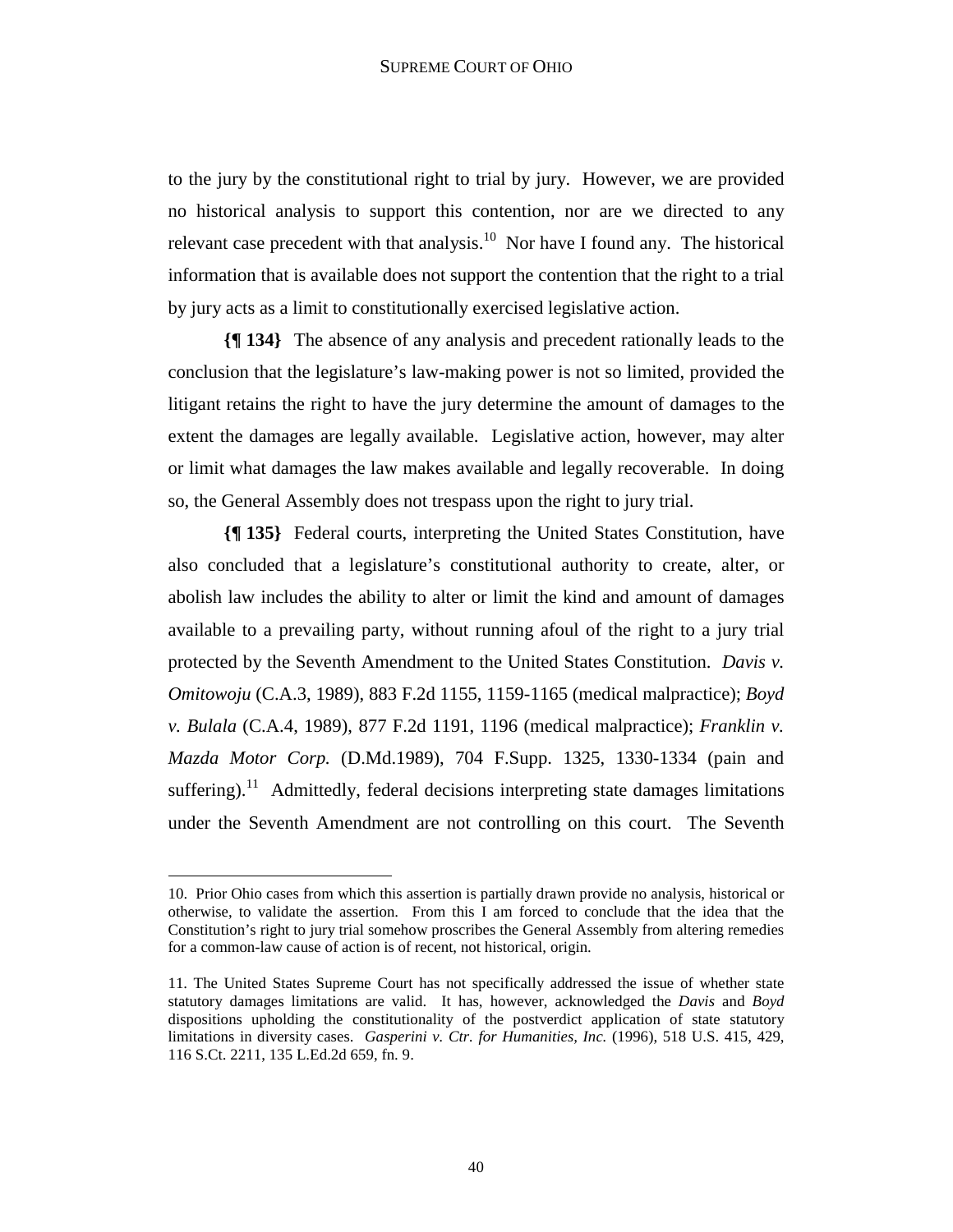to the jury by the constitutional right to trial by jury. However, we are provided no historical analysis to support this contention, nor are we directed to any relevant case precedent with that analysis.<sup>10</sup> Nor have I found any. The historical information that is available does not support the contention that the right to a trial by jury acts as a limit to constitutionally exercised legislative action.

**{¶ 134}** The absence of any analysis and precedent rationally leads to the conclusion that the legislature's law-making power is not so limited, provided the litigant retains the right to have the jury determine the amount of damages to the extent the damages are legally available. Legislative action, however, may alter or limit what damages the law makes available and legally recoverable. In doing so, the General Assembly does not trespass upon the right to jury trial.

**{¶ 135}** Federal courts, interpreting the United States Constitution, have also concluded that a legislature's constitutional authority to create, alter, or abolish law includes the ability to alter or limit the kind and amount of damages available to a prevailing party, without running afoul of the right to a jury trial protected by the Seventh Amendment to the United States Constitution. *Davis v. Omitowoju* (C.A.3, 1989), 883 F.2d 1155, 1159-1165 (medical malpractice); *Boyd v. Bulala* (C.A.4, 1989), 877 F.2d 1191, 1196 (medical malpractice); *Franklin v. Mazda Motor Corp.* (D.Md.1989), 704 F.Supp. 1325, 1330-1334 (pain and suffering).<sup>11</sup> Admittedly, federal decisions interpreting state damages limitations under the Seventh Amendment are not controlling on this court. The Seventh

<sup>10.</sup> Prior Ohio cases from which this assertion is partially drawn provide no analysis, historical or otherwise, to validate the assertion. From this I am forced to conclude that the idea that the Constitution's right to jury trial somehow proscribes the General Assembly from altering remedies for a common-law cause of action is of recent, not historical, origin.

<sup>11.</sup> The United States Supreme Court has not specifically addressed the issue of whether state statutory damages limitations are valid. It has, however, acknowledged the *Davis* and *Boyd* dispositions upholding the constitutionality of the postverdict application of state statutory limitations in diversity cases. *Gasperini v. Ctr. for Humanities, Inc.* (1996), 518 U.S. 415, 429, 116 S.Ct. 2211, 135 L.Ed.2d 659, fn. 9.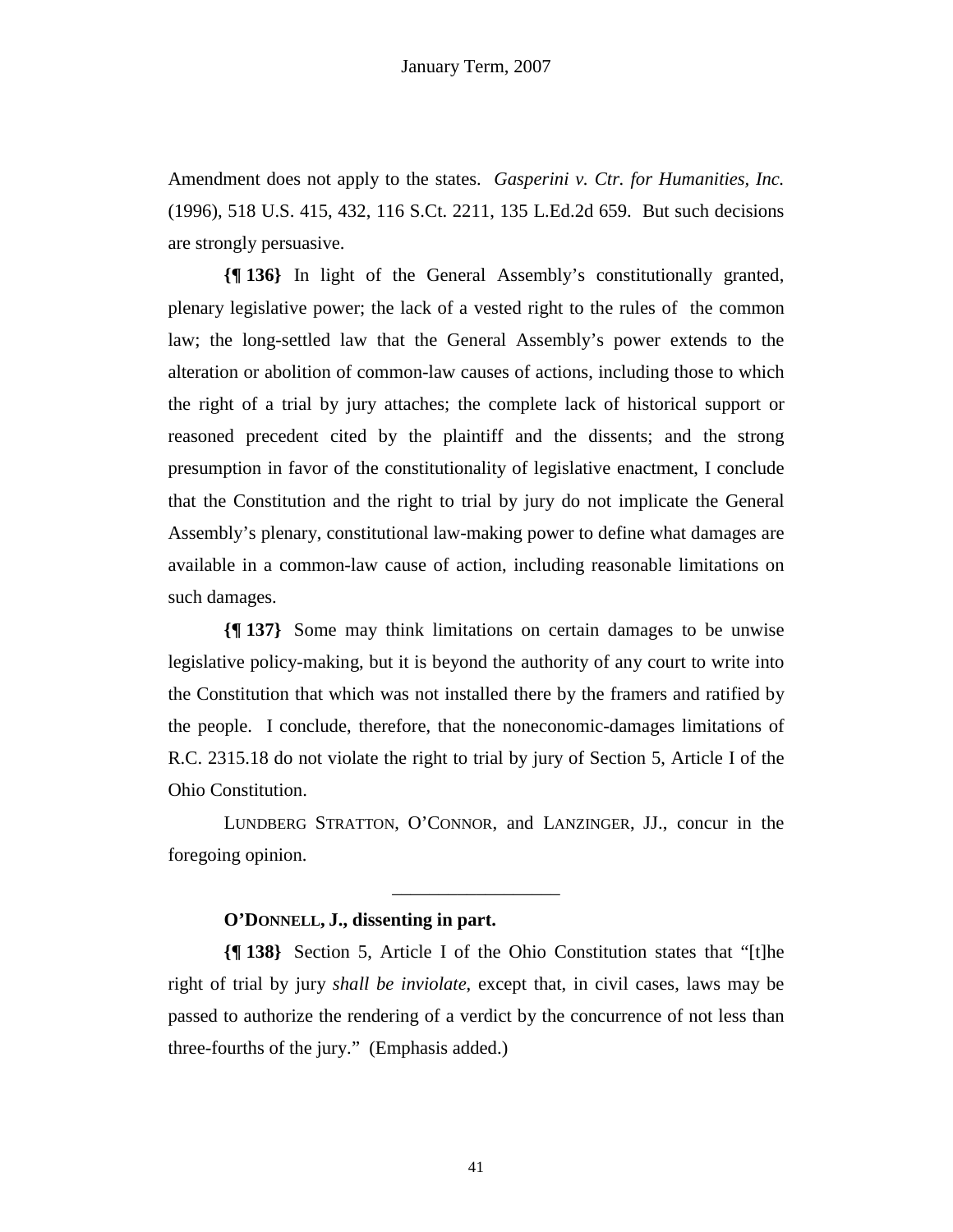Amendment does not apply to the states. *Gasperini v. Ctr. for Humanities, Inc.*  (1996), 518 U.S. 415, 432, 116 S.Ct. 2211, 135 L.Ed.2d 659. But such decisions are strongly persuasive.

**{¶ 136}** In light of the General Assembly's constitutionally granted, plenary legislative power; the lack of a vested right to the rules of the common law; the long-settled law that the General Assembly's power extends to the alteration or abolition of common-law causes of actions, including those to which the right of a trial by jury attaches; the complete lack of historical support or reasoned precedent cited by the plaintiff and the dissents; and the strong presumption in favor of the constitutionality of legislative enactment, I conclude that the Constitution and the right to trial by jury do not implicate the General Assembly's plenary, constitutional law-making power to define what damages are available in a common-law cause of action, including reasonable limitations on such damages.

**{¶ 137}** Some may think limitations on certain damages to be unwise legislative policy-making, but it is beyond the authority of any court to write into the Constitution that which was not installed there by the framers and ratified by the people. I conclude, therefore, that the noneconomic-damages limitations of R.C. 2315.18 do not violate the right to trial by jury of Section 5, Article I of the Ohio Constitution.

LUNDBERG STRATTON, O'CONNOR, and LANZINGER, JJ., concur in the foregoing opinion.

\_\_\_\_\_\_\_\_\_\_\_\_\_\_\_\_\_\_

#### **O'DONNELL, J., dissenting in part.**

**{¶ 138}** Section 5, Article I of the Ohio Constitution states that "[t]he right of trial by jury *shall be inviolate*, except that, in civil cases, laws may be passed to authorize the rendering of a verdict by the concurrence of not less than three-fourths of the jury." (Emphasis added.)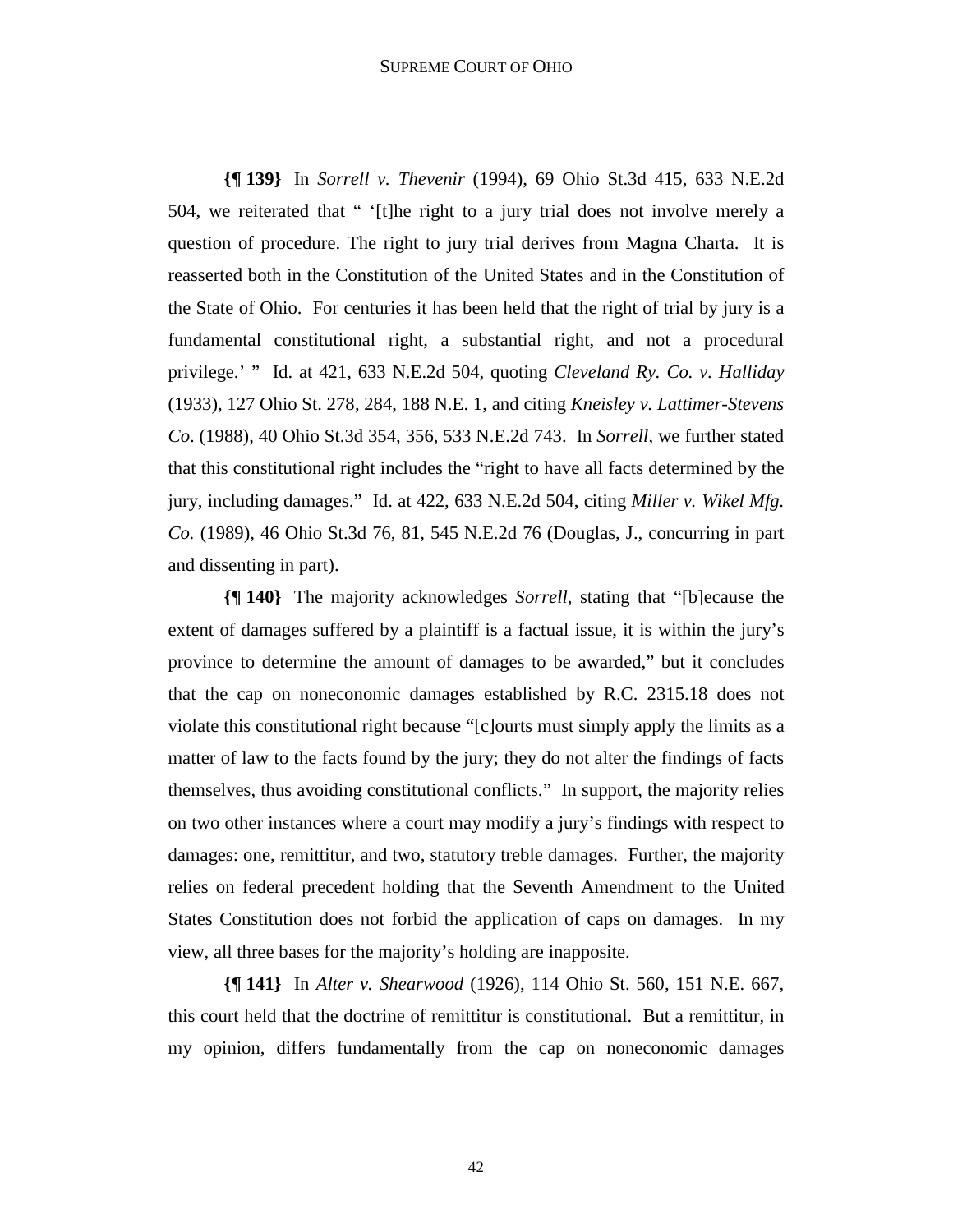**{¶ 139}** In *Sorrell v. Thevenir* (1994), 69 Ohio St.3d 415, 633 N.E.2d 504, we reiterated that " '[t]he right to a jury trial does not involve merely a question of procedure. The right to jury trial derives from Magna Charta. It is reasserted both in the Constitution of the United States and in the Constitution of the State of Ohio. For centuries it has been held that the right of trial by jury is a fundamental constitutional right, a substantial right, and not a procedural privilege.' " Id. at 421, 633 N.E.2d 504, quoting *Cleveland Ry. Co. v. Halliday* (1933), 127 Ohio St. 278, 284, 188 N.E. 1, and citing *Kneisley v. Lattimer-Stevens Co*. (1988), 40 Ohio St.3d 354, 356, 533 N.E.2d 743. In *Sorrell*, we further stated that this constitutional right includes the "right to have all facts determined by the jury, including damages." Id. at 422, 633 N.E.2d 504, citing *Miller v. Wikel Mfg. Co.* (1989), 46 Ohio St.3d 76, 81, 545 N.E.2d 76 (Douglas, J., concurring in part and dissenting in part).

**{¶ 140}** The majority acknowledges *Sorrell*, stating that "[b]ecause the extent of damages suffered by a plaintiff is a factual issue, it is within the jury's province to determine the amount of damages to be awarded," but it concludes that the cap on noneconomic damages established by R.C. 2315.18 does not violate this constitutional right because "[c]ourts must simply apply the limits as a matter of law to the facts found by the jury; they do not alter the findings of facts themselves, thus avoiding constitutional conflicts." In support, the majority relies on two other instances where a court may modify a jury's findings with respect to damages: one, remittitur, and two, statutory treble damages. Further, the majority relies on federal precedent holding that the Seventh Amendment to the United States Constitution does not forbid the application of caps on damages. In my view, all three bases for the majority's holding are inapposite.

**{¶ 141}** In *Alter v. Shearwood* (1926), 114 Ohio St. 560, 151 N.E. 667, this court held that the doctrine of remittitur is constitutional. But a remittitur, in my opinion, differs fundamentally from the cap on noneconomic damages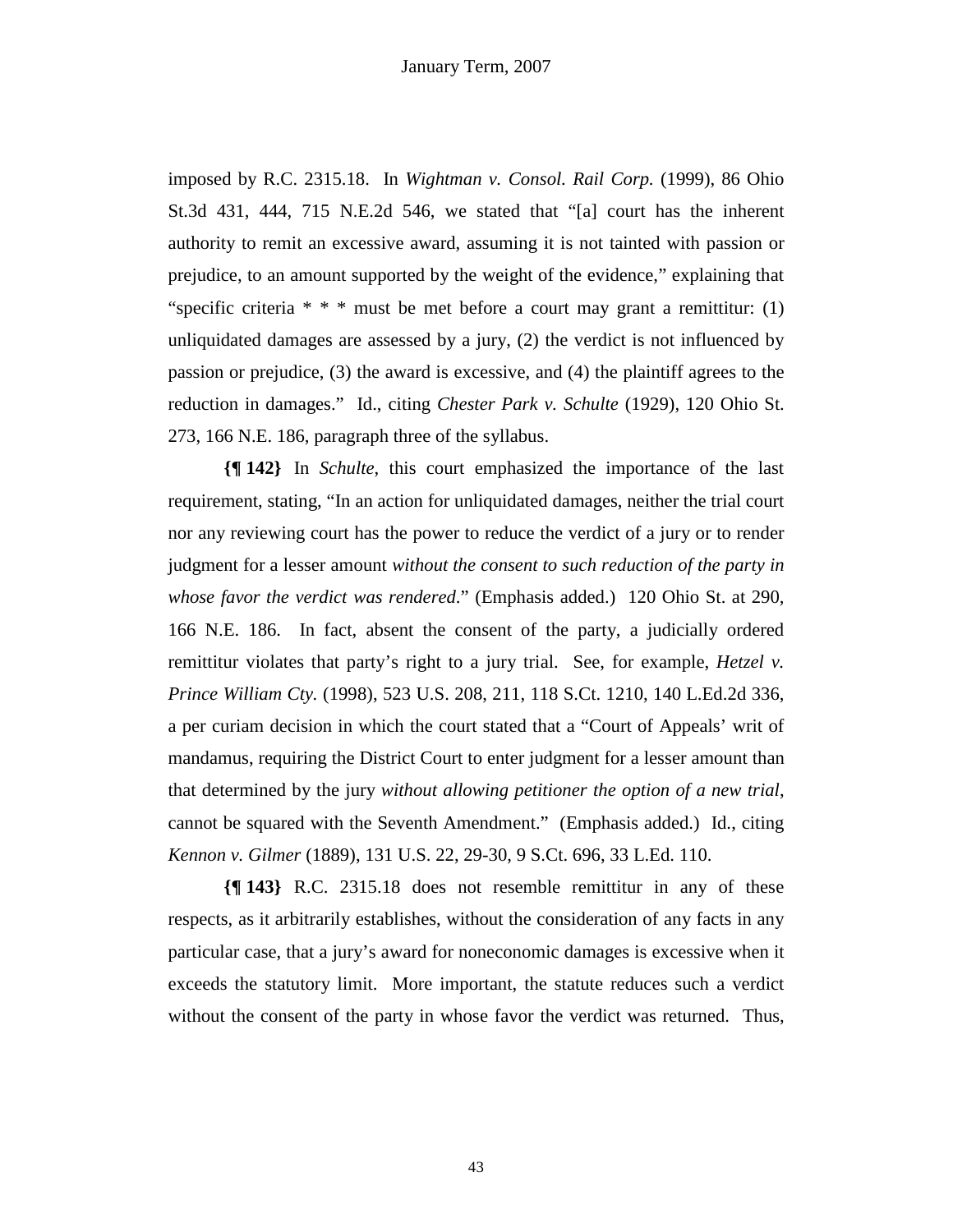imposed by R.C. 2315.18. In *Wightman v. Consol. Rail Corp.* (1999), 86 Ohio St.3d 431, 444, 715 N.E.2d 546, we stated that "[a] court has the inherent authority to remit an excessive award, assuming it is not tainted with passion or prejudice, to an amount supported by the weight of the evidence," explaining that "specific criteria  $* * *$  must be met before a court may grant a remittitur: (1) unliquidated damages are assessed by a jury, (2) the verdict is not influenced by passion or prejudice, (3) the award is excessive, and (4) the plaintiff agrees to the reduction in damages." Id., citing *Chester Park v. Schulte* (1929), 120 Ohio St. 273, 166 N.E. 186, paragraph three of the syllabus.

**{¶ 142}** In *Schulte*, this court emphasized the importance of the last requirement, stating, "In an action for unliquidated damages, neither the trial court nor any reviewing court has the power to reduce the verdict of a jury or to render judgment for a lesser amount *without the consent to such reduction of the party in whose favor the verdict was rendered*." (Emphasis added.) 120 Ohio St. at 290, 166 N.E. 186. In fact, absent the consent of the party, a judicially ordered remittitur violates that party's right to a jury trial. See, for example, *Hetzel v. Prince William Cty.* (1998), 523 U.S. 208, 211, 118 S.Ct. 1210, 140 L.Ed.2d 336, a per curiam decision in which the court stated that a "Court of Appeals' writ of mandamus, requiring the District Court to enter judgment for a lesser amount than that determined by the jury *without allowing petitioner the option of a new trial*, cannot be squared with the Seventh Amendment." (Emphasis added.) Id., citing *Kennon v. Gilmer* (1889), 131 U.S. 22, 29-30, 9 S.Ct. 696, 33 L.Ed. 110.

**{¶ 143}** R.C. 2315.18 does not resemble remittitur in any of these respects, as it arbitrarily establishes, without the consideration of any facts in any particular case, that a jury's award for noneconomic damages is excessive when it exceeds the statutory limit. More important, the statute reduces such a verdict without the consent of the party in whose favor the verdict was returned. Thus,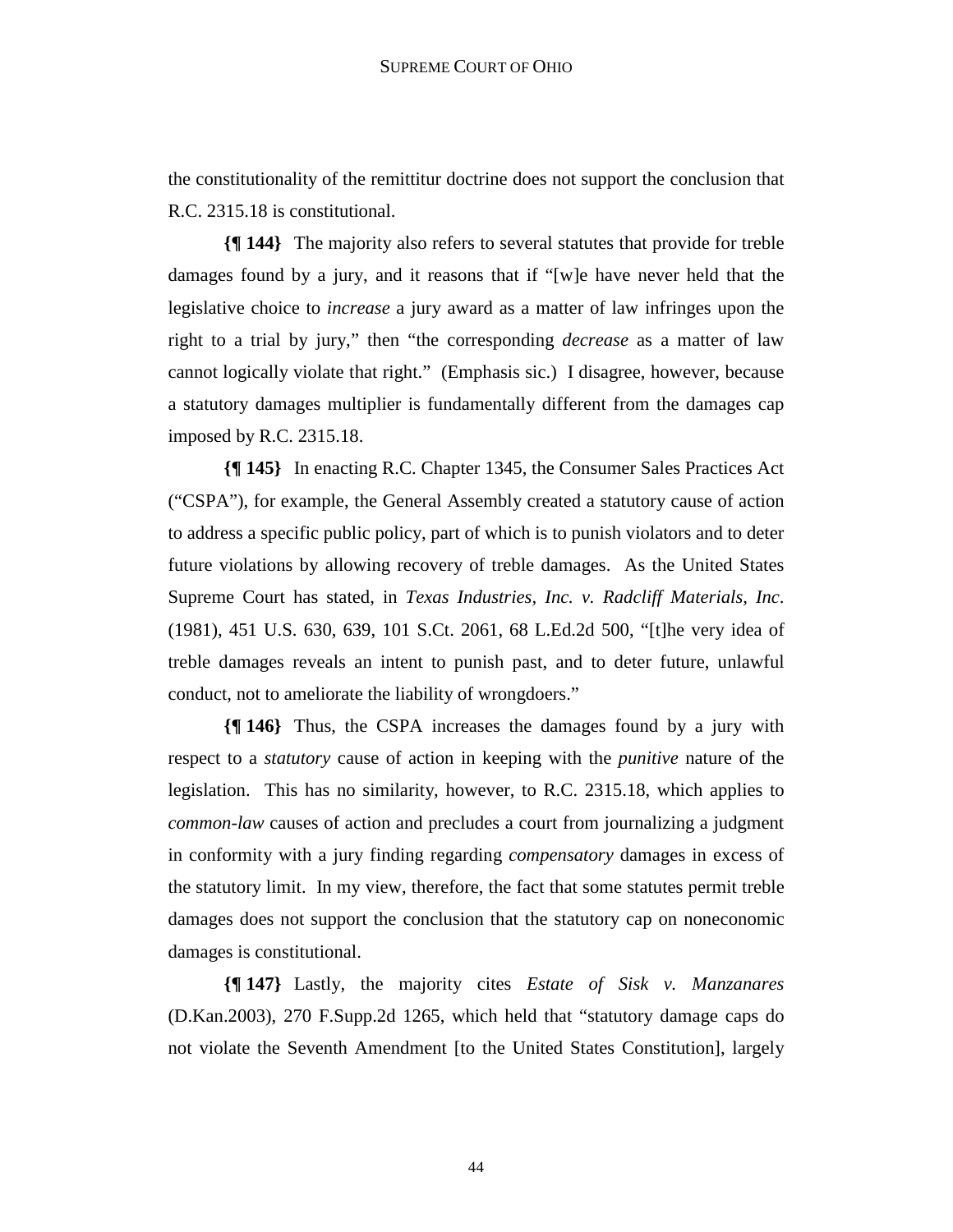the constitutionality of the remittitur doctrine does not support the conclusion that R.C. 2315.18 is constitutional.

**{¶ 144}** The majority also refers to several statutes that provide for treble damages found by a jury, and it reasons that if "[w]e have never held that the legislative choice to *increase* a jury award as a matter of law infringes upon the right to a trial by jury," then "the corresponding *decrease* as a matter of law cannot logically violate that right." (Emphasis sic.) I disagree, however, because a statutory damages multiplier is fundamentally different from the damages cap imposed by R.C. 2315.18.

**{¶ 145}** In enacting R.C. Chapter 1345, the Consumer Sales Practices Act ("CSPA"), for example, the General Assembly created a statutory cause of action to address a specific public policy, part of which is to punish violators and to deter future violations by allowing recovery of treble damages. As the United States Supreme Court has stated, in *Texas Industries, Inc. v. Radcliff Materials, Inc*. (1981), 451 U.S. 630, 639, 101 S.Ct. 2061, 68 L.Ed.2d 500, "[t]he very idea of treble damages reveals an intent to punish past, and to deter future, unlawful conduct, not to ameliorate the liability of wrongdoers."

**{¶ 146}** Thus, the CSPA increases the damages found by a jury with respect to a *statutory* cause of action in keeping with the *punitive* nature of the legislation. This has no similarity, however, to R.C. 2315.18, which applies to *common-law* causes of action and precludes a court from journalizing a judgment in conformity with a jury finding regarding *compensatory* damages in excess of the statutory limit. In my view, therefore, the fact that some statutes permit treble damages does not support the conclusion that the statutory cap on noneconomic damages is constitutional.

**{¶ 147}** Lastly, the majority cites *Estate of Sisk v. Manzanares*  (D.Kan.2003), 270 F.Supp.2d 1265, which held that "statutory damage caps do not violate the Seventh Amendment [to the United States Constitution], largely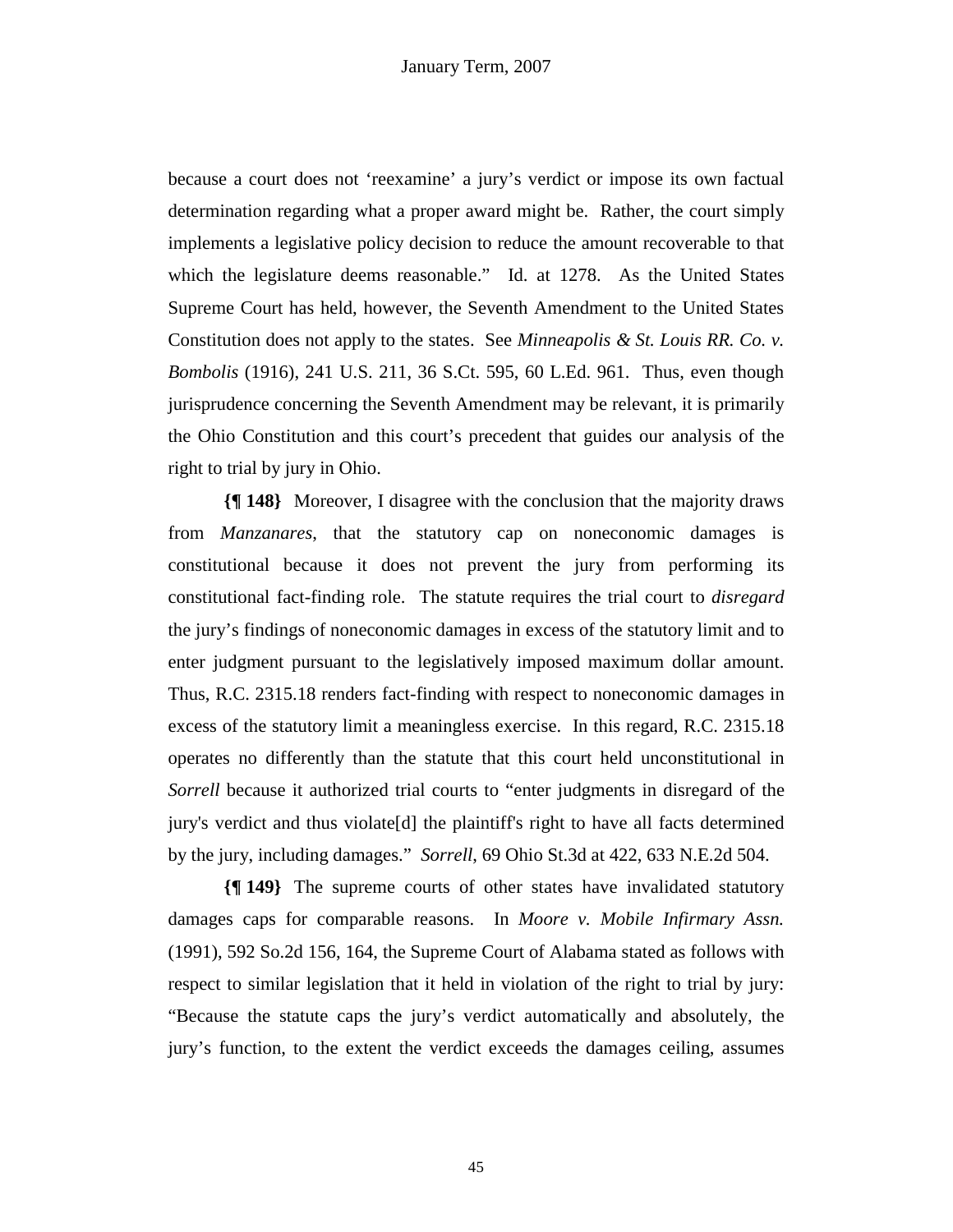because a court does not 'reexamine' a jury's verdict or impose its own factual determination regarding what a proper award might be. Rather, the court simply implements a legislative policy decision to reduce the amount recoverable to that which the legislature deems reasonable." Id. at 1278. As the United States Supreme Court has held, however, the Seventh Amendment to the United States Constitution does not apply to the states. See *Minneapolis & St. Louis RR. Co. v. Bombolis* (1916), 241 U.S. 211, 36 S.Ct. 595, 60 L.Ed. 961. Thus, even though jurisprudence concerning the Seventh Amendment may be relevant, it is primarily the Ohio Constitution and this court's precedent that guides our analysis of the right to trial by jury in Ohio.

**{¶ 148}** Moreover, I disagree with the conclusion that the majority draws from *Manzanares*, that the statutory cap on noneconomic damages is constitutional because it does not prevent the jury from performing its constitutional fact-finding role. The statute requires the trial court to *disregard* the jury's findings of noneconomic damages in excess of the statutory limit and to enter judgment pursuant to the legislatively imposed maximum dollar amount. Thus, R.C. 2315.18 renders fact-finding with respect to noneconomic damages in excess of the statutory limit a meaningless exercise. In this regard, R.C. 2315.18 operates no differently than the statute that this court held unconstitutional in *Sorrell* because it authorized trial courts to "enter judgments in disregard of the jury's verdict and thus violate[d] the plaintiff's right to have all facts determined by the jury, including damages." *Sorrell*, 69 Ohio St.3d at 422, 633 N.E.2d 504.

**{¶ 149}** The supreme courts of other states have invalidated statutory damages caps for comparable reasons. In *Moore v. Mobile Infirmary Assn.*  (1991), 592 So.2d 156, 164, the Supreme Court of Alabama stated as follows with respect to similar legislation that it held in violation of the right to trial by jury: "Because the statute caps the jury's verdict automatically and absolutely, the jury's function, to the extent the verdict exceeds the damages ceiling, assumes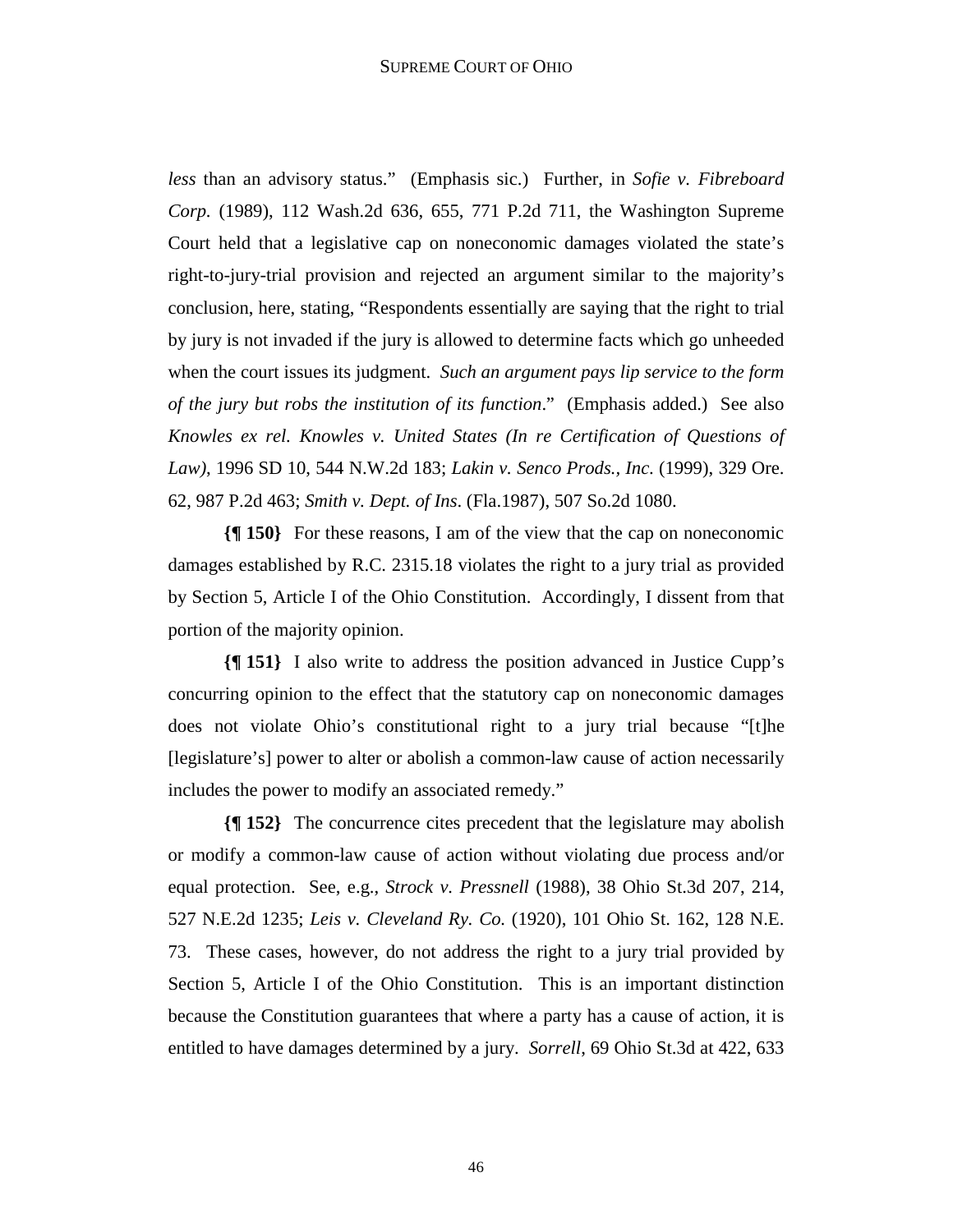*less* than an advisory status." (Emphasis sic.) Further, in *Sofie v. Fibreboard Corp.* (1989), 112 Wash.2d 636, 655, 771 P.2d 711, the Washington Supreme Court held that a legislative cap on noneconomic damages violated the state's right-to-jury-trial provision and rejected an argument similar to the majority's conclusion, here, stating, "Respondents essentially are saying that the right to trial by jury is not invaded if the jury is allowed to determine facts which go unheeded when the court issues its judgment. *Such an argument pays lip service to the form of the jury but robs the institution of its function*." (Emphasis added.) See also *Knowles ex rel. Knowles v. United States (In re Certification of Questions of Law)*, 1996 SD 10, 544 N.W.2d 183; *Lakin v. Senco Prods., Inc*. (1999), 329 Ore. 62, 987 P.2d 463; *Smith v. Dept. of Ins*. (Fla.1987), 507 So.2d 1080.

**{¶ 150}** For these reasons, I am of the view that the cap on noneconomic damages established by R.C. 2315.18 violates the right to a jury trial as provided by Section 5, Article I of the Ohio Constitution. Accordingly, I dissent from that portion of the majority opinion.

**{¶ 151}** I also write to address the position advanced in Justice Cupp's concurring opinion to the effect that the statutory cap on noneconomic damages does not violate Ohio's constitutional right to a jury trial because "[t]he [legislature's] power to alter or abolish a common-law cause of action necessarily includes the power to modify an associated remedy."

**{¶ 152}** The concurrence cites precedent that the legislature may abolish or modify a common-law cause of action without violating due process and/or equal protection. See, e.g., *Strock v. Pressnell* (1988), 38 Ohio St.3d 207, 214, 527 N.E.2d 1235; *Leis v. Cleveland Ry. Co.* (1920), 101 Ohio St. 162, 128 N.E. 73. These cases, however, do not address the right to a jury trial provided by Section 5, Article I of the Ohio Constitution. This is an important distinction because the Constitution guarantees that where a party has a cause of action, it is entitled to have damages determined by a jury. *Sorrell*, 69 Ohio St.3d at 422, 633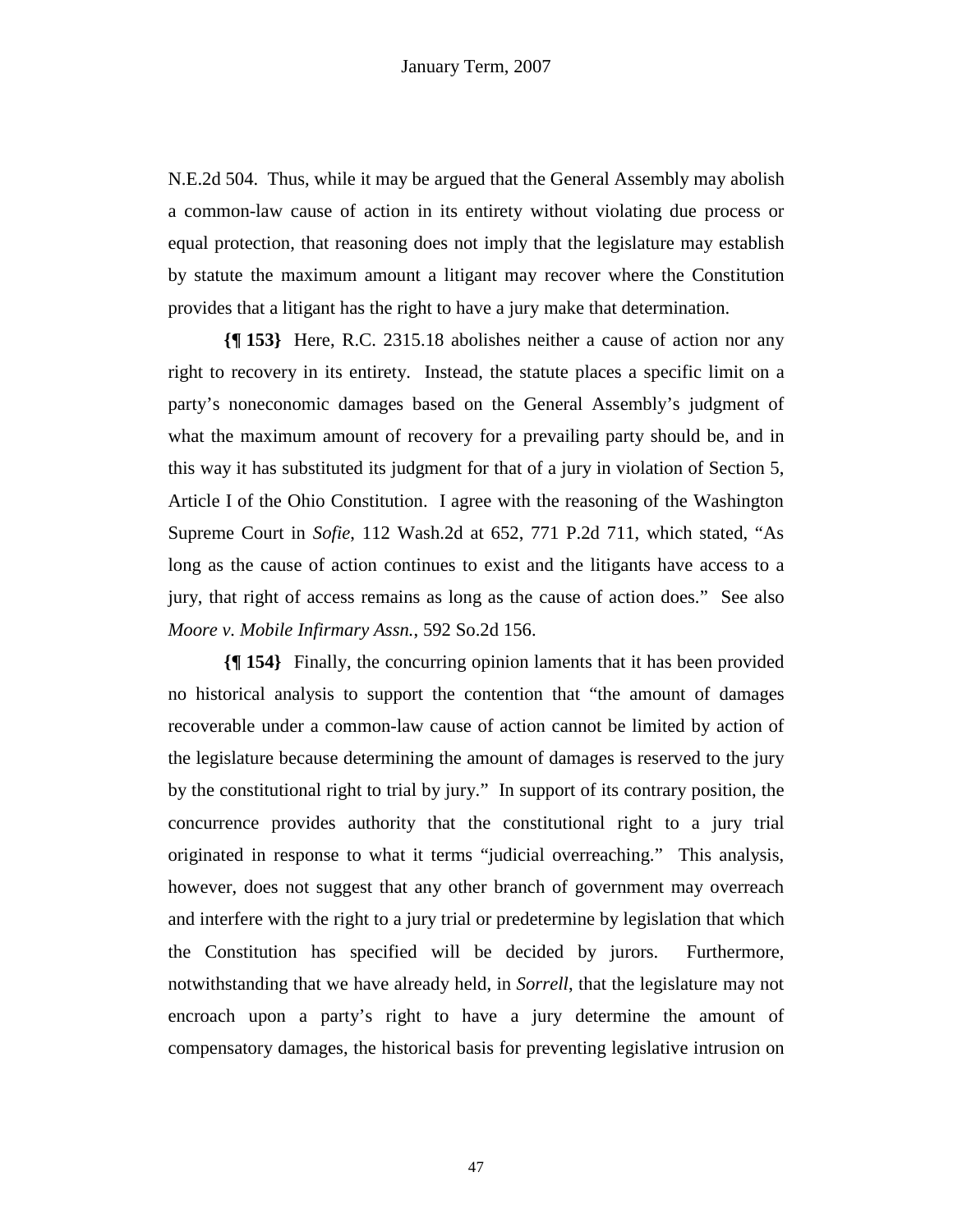N.E.2d 504. Thus, while it may be argued that the General Assembly may abolish a common-law cause of action in its entirety without violating due process or equal protection, that reasoning does not imply that the legislature may establish by statute the maximum amount a litigant may recover where the Constitution provides that a litigant has the right to have a jury make that determination.

**{¶ 153}** Here, R.C. 2315.18 abolishes neither a cause of action nor any right to recovery in its entirety. Instead, the statute places a specific limit on a party's noneconomic damages based on the General Assembly's judgment of what the maximum amount of recovery for a prevailing party should be, and in this way it has substituted its judgment for that of a jury in violation of Section 5, Article I of the Ohio Constitution. I agree with the reasoning of the Washington Supreme Court in *Sofie*, 112 Wash.2d at 652, 771 P.2d 711, which stated, "As long as the cause of action continues to exist and the litigants have access to a jury, that right of access remains as long as the cause of action does." See also *Moore v. Mobile Infirmary Assn.*, 592 So.2d 156.

**{¶ 154}** Finally, the concurring opinion laments that it has been provided no historical analysis to support the contention that "the amount of damages recoverable under a common-law cause of action cannot be limited by action of the legislature because determining the amount of damages is reserved to the jury by the constitutional right to trial by jury." In support of its contrary position, the concurrence provides authority that the constitutional right to a jury trial originated in response to what it terms "judicial overreaching." This analysis, however, does not suggest that any other branch of government may overreach and interfere with the right to a jury trial or predetermine by legislation that which the Constitution has specified will be decided by jurors. Furthermore, notwithstanding that we have already held, in *Sorrell*, that the legislature may not encroach upon a party's right to have a jury determine the amount of compensatory damages, the historical basis for preventing legislative intrusion on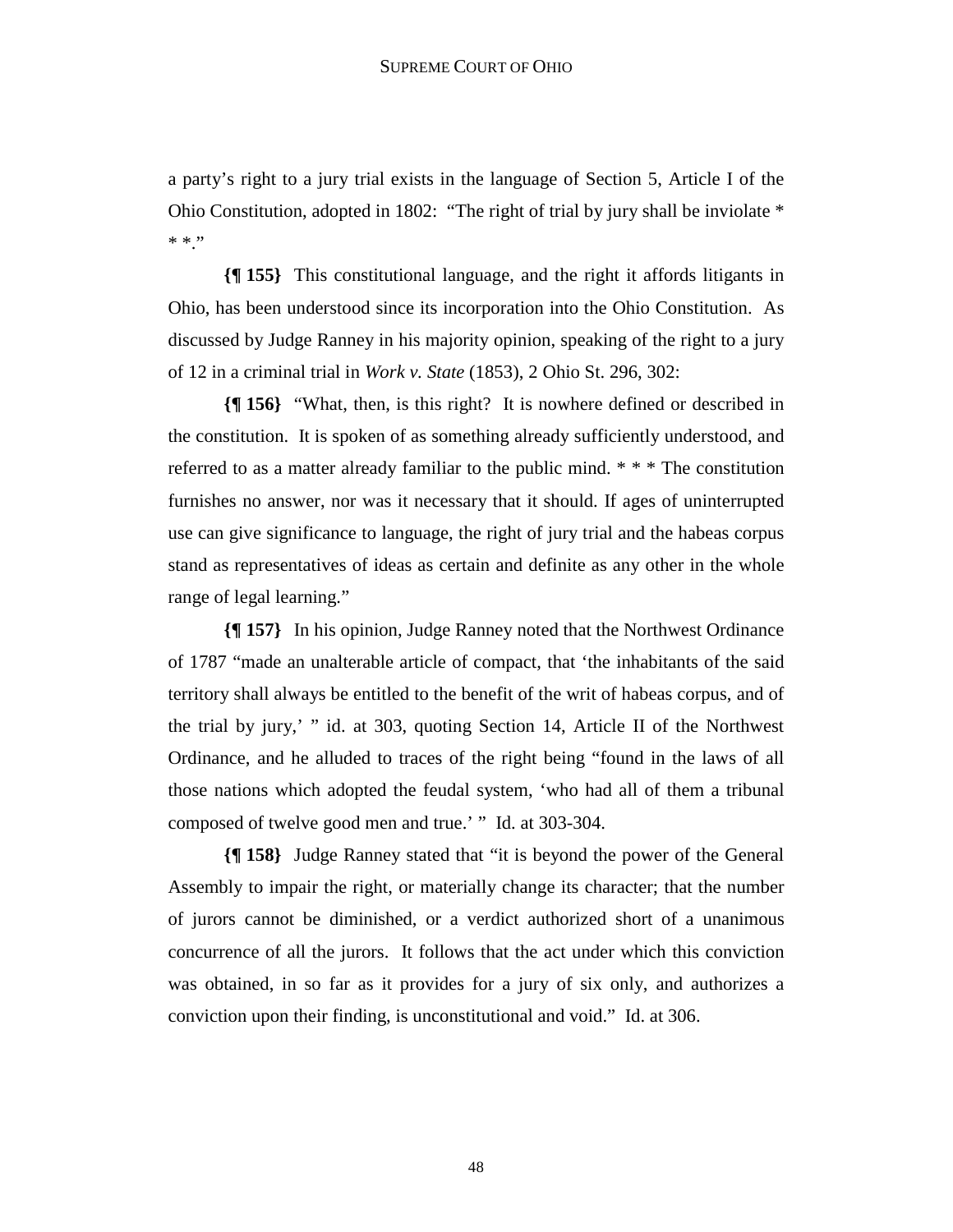a party's right to a jury trial exists in the language of Section 5, Article I of the Ohio Constitution, adopted in 1802: "The right of trial by jury shall be inviolate \*  $\ast$   $\ast$  ''

**{¶ 155}** This constitutional language, and the right it affords litigants in Ohio, has been understood since its incorporation into the Ohio Constitution. As discussed by Judge Ranney in his majority opinion, speaking of the right to a jury of 12 in a criminal trial in *Work v. State* (1853), 2 Ohio St. 296, 302:

**{¶ 156}** "What, then, is this right? It is nowhere defined or described in the constitution. It is spoken of as something already sufficiently understood, and referred to as a matter already familiar to the public mind. \* \* \* The constitution furnishes no answer, nor was it necessary that it should. If ages of uninterrupted use can give significance to language, the right of jury trial and the habeas corpus stand as representatives of ideas as certain and definite as any other in the whole range of legal learning."

**{¶ 157}** In his opinion, Judge Ranney noted that the Northwest Ordinance of 1787 "made an unalterable article of compact, that 'the inhabitants of the said territory shall always be entitled to the benefit of the writ of habeas corpus, and of the trial by jury,' " id. at 303, quoting Section 14, Article II of the Northwest Ordinance, and he alluded to traces of the right being "found in the laws of all those nations which adopted the feudal system, 'who had all of them a tribunal composed of twelve good men and true.' " Id. at 303-304.

**{¶ 158}** Judge Ranney stated that "it is beyond the power of the General Assembly to impair the right, or materially change its character; that the number of jurors cannot be diminished, or a verdict authorized short of a unanimous concurrence of all the jurors. It follows that the act under which this conviction was obtained, in so far as it provides for a jury of six only, and authorizes a conviction upon their finding, is unconstitutional and void." Id. at 306.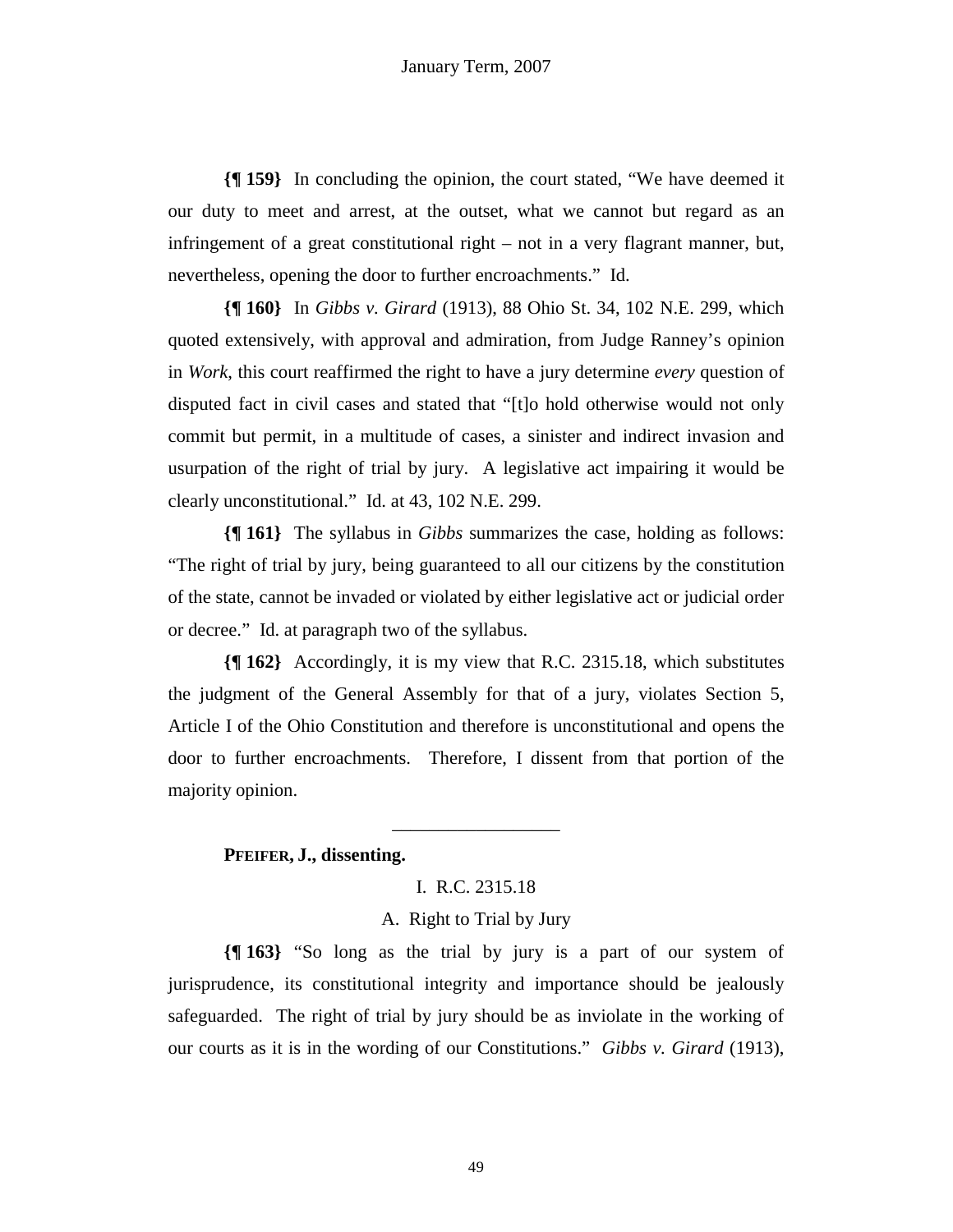**{¶ 159}** In concluding the opinion, the court stated, "We have deemed it our duty to meet and arrest, at the outset, what we cannot but regard as an infringement of a great constitutional right – not in a very flagrant manner, but, nevertheless, opening the door to further encroachments." Id.

**{¶ 160}** In *Gibbs v. Girard* (1913), 88 Ohio St. 34, 102 N.E. 299, which quoted extensively, with approval and admiration, from Judge Ranney's opinion in *Work*, this court reaffirmed the right to have a jury determine *every* question of disputed fact in civil cases and stated that "[t]o hold otherwise would not only commit but permit, in a multitude of cases, a sinister and indirect invasion and usurpation of the right of trial by jury. A legislative act impairing it would be clearly unconstitutional." Id. at 43, 102 N.E. 299.

**{¶ 161}** The syllabus in *Gibbs* summarizes the case, holding as follows: "The right of trial by jury, being guaranteed to all our citizens by the constitution of the state, cannot be invaded or violated by either legislative act or judicial order or decree." Id. at paragraph two of the syllabus.

**{¶ 162}** Accordingly, it is my view that R.C. 2315.18, which substitutes the judgment of the General Assembly for that of a jury, violates Section 5, Article I of the Ohio Constitution and therefore is unconstitutional and opens the door to further encroachments. Therefore, I dissent from that portion of the majority opinion.

# **PFEIFER, J., dissenting.**

## I. R.C. 2315.18

\_\_\_\_\_\_\_\_\_\_\_\_\_\_\_\_\_\_

### A. Right to Trial by Jury

**{¶ 163}** "So long as the trial by jury is a part of our system of jurisprudence, its constitutional integrity and importance should be jealously safeguarded. The right of trial by jury should be as inviolate in the working of our courts as it is in the wording of our Constitutions." *Gibbs v. Girard* (1913),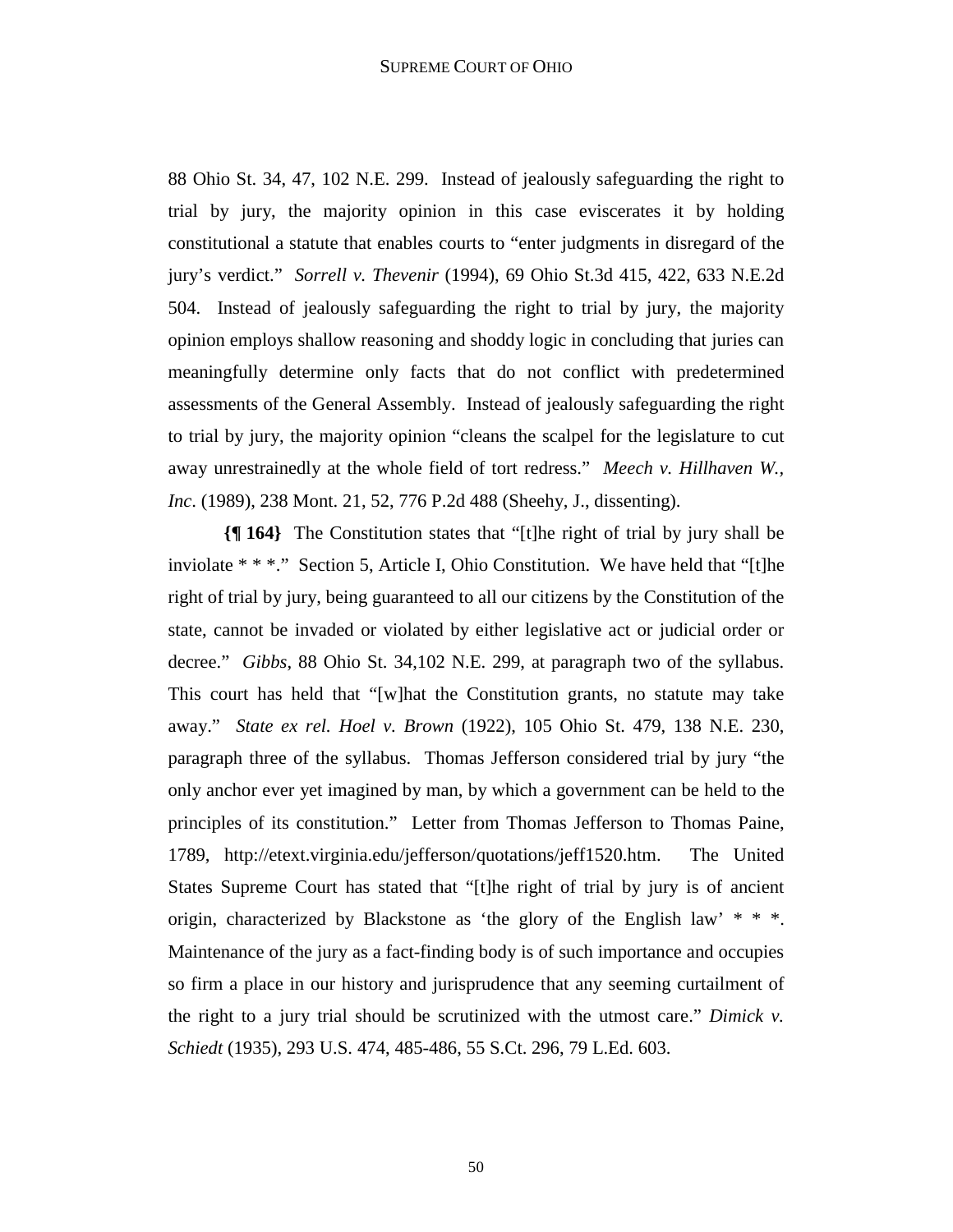88 Ohio St. 34, 47, 102 N.E. 299. Instead of jealously safeguarding the right to trial by jury, the majority opinion in this case eviscerates it by holding constitutional a statute that enables courts to "enter judgments in disregard of the jury's verdict." *Sorrell v. Thevenir* (1994), 69 Ohio St.3d 415, 422, 633 N.E.2d 504. Instead of jealously safeguarding the right to trial by jury, the majority opinion employs shallow reasoning and shoddy logic in concluding that juries can meaningfully determine only facts that do not conflict with predetermined assessments of the General Assembly. Instead of jealously safeguarding the right to trial by jury, the majority opinion "cleans the scalpel for the legislature to cut away unrestrainedly at the whole field of tort redress." *Meech v. Hillhaven W., Inc*. (1989), 238 Mont. 21, 52, 776 P.2d 488 (Sheehy, J., dissenting).

**{¶ 164}** The Constitution states that "[t]he right of trial by jury shall be inviolate \* \* \*." Section 5, Article I, Ohio Constitution. We have held that "[t]he right of trial by jury, being guaranteed to all our citizens by the Constitution of the state, cannot be invaded or violated by either legislative act or judicial order or decree." *Gibbs*, 88 Ohio St. 34,102 N.E. 299, at paragraph two of the syllabus. This court has held that "[w]hat the Constitution grants, no statute may take away." *State ex rel. Hoel v. Brown* (1922), 105 Ohio St. 479, 138 N.E. 230, paragraph three of the syllabus. Thomas Jefferson considered trial by jury "the only anchor ever yet imagined by man, by which a government can be held to the principles of its constitution." Letter from Thomas Jefferson to Thomas Paine, 1789, http://etext.virginia.edu/jefferson/quotations/jeff1520.htm. The United States Supreme Court has stated that "[t]he right of trial by jury is of ancient origin, characterized by Blackstone as 'the glory of the English law' \* \* \*. Maintenance of the jury as a fact-finding body is of such importance and occupies so firm a place in our history and jurisprudence that any seeming curtailment of the right to a jury trial should be scrutinized with the utmost care." *Dimick v. Schiedt* (1935), 293 U.S. 474, 485-486, 55 S.Ct. 296, 79 L.Ed. 603.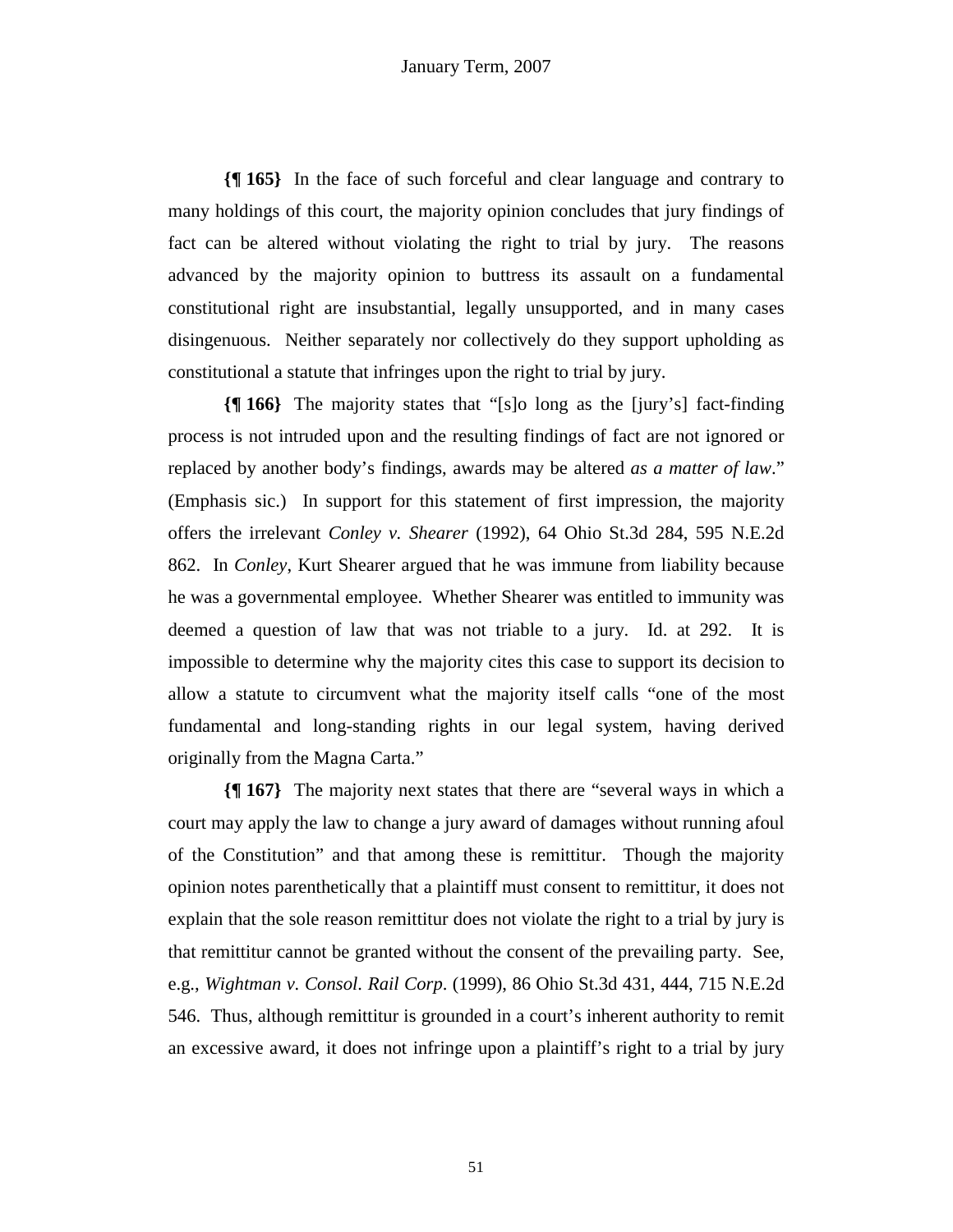**{¶ 165}** In the face of such forceful and clear language and contrary to many holdings of this court, the majority opinion concludes that jury findings of fact can be altered without violating the right to trial by jury. The reasons advanced by the majority opinion to buttress its assault on a fundamental constitutional right are insubstantial, legally unsupported, and in many cases disingenuous. Neither separately nor collectively do they support upholding as constitutional a statute that infringes upon the right to trial by jury.

**{¶ 166}** The majority states that "[s]o long as the [jury's] fact-finding process is not intruded upon and the resulting findings of fact are not ignored or replaced by another body's findings, awards may be altered *as a matter of law*." (Emphasis sic.) In support for this statement of first impression, the majority offers the irrelevant *Conley v. Shearer* (1992), 64 Ohio St.3d 284, 595 N.E.2d 862. In *Conley*, Kurt Shearer argued that he was immune from liability because he was a governmental employee. Whether Shearer was entitled to immunity was deemed a question of law that was not triable to a jury. Id. at 292. It is impossible to determine why the majority cites this case to support its decision to allow a statute to circumvent what the majority itself calls "one of the most fundamental and long-standing rights in our legal system, having derived originally from the Magna Carta."

**{¶ 167}** The majority next states that there are "several ways in which a court may apply the law to change a jury award of damages without running afoul of the Constitution" and that among these is remittitur. Though the majority opinion notes parenthetically that a plaintiff must consent to remittitur, it does not explain that the sole reason remittitur does not violate the right to a trial by jury is that remittitur cannot be granted without the consent of the prevailing party. See, e.g., *Wightman v. Consol. Rail Corp*. (1999), 86 Ohio St.3d 431, 444, 715 N.E.2d 546. Thus, although remittitur is grounded in a court's inherent authority to remit an excessive award, it does not infringe upon a plaintiff's right to a trial by jury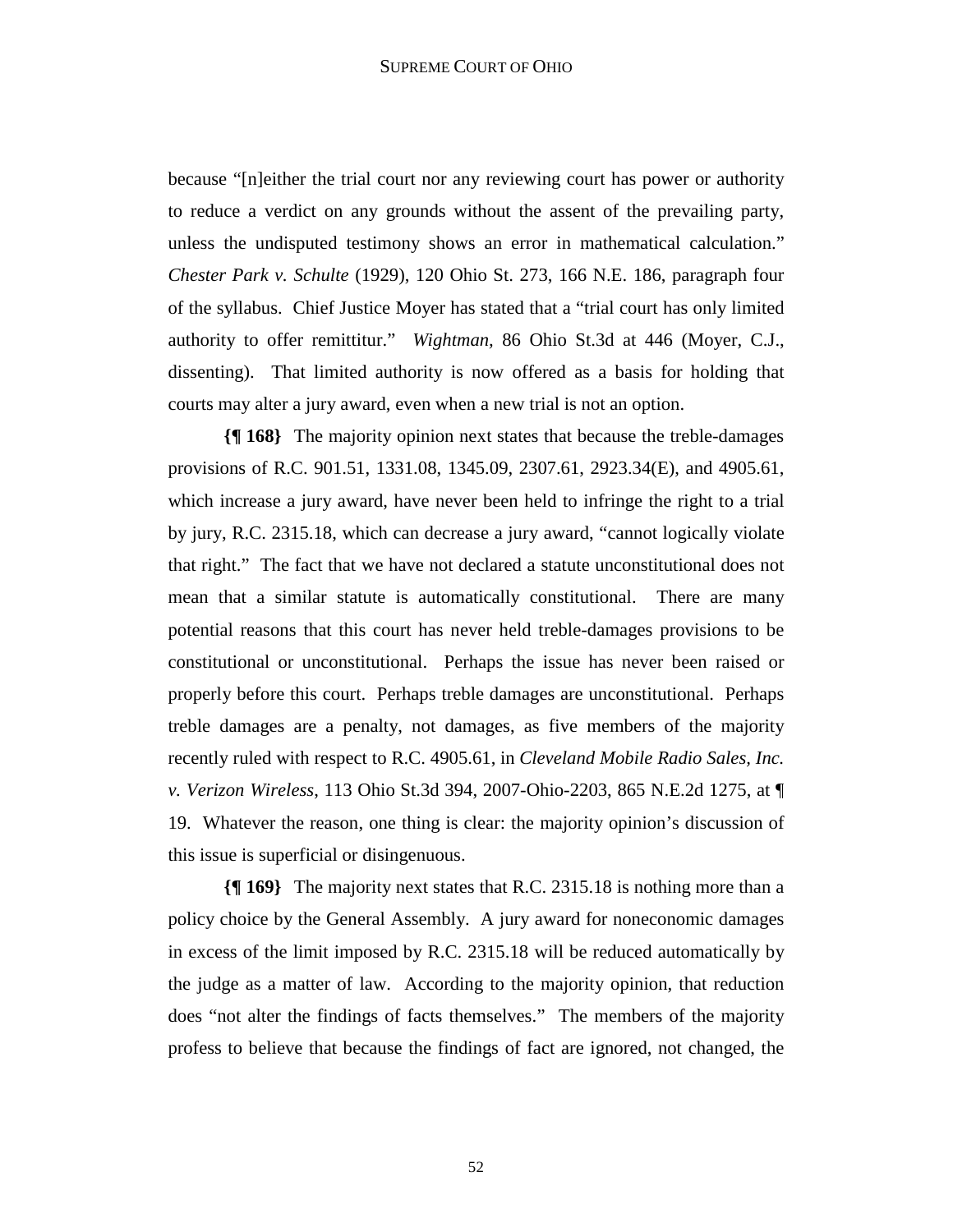because "[n]either the trial court nor any reviewing court has power or authority to reduce a verdict on any grounds without the assent of the prevailing party, unless the undisputed testimony shows an error in mathematical calculation." *Chester Park v. Schulte* (1929), 120 Ohio St. 273, 166 N.E. 186, paragraph four of the syllabus. Chief Justice Moyer has stated that a "trial court has only limited authority to offer remittitur." *Wightman,* 86 Ohio St.3d at 446 (Moyer, C.J., dissenting). That limited authority is now offered as a basis for holding that courts may alter a jury award, even when a new trial is not an option.

**{¶ 168}** The majority opinion next states that because the treble-damages provisions of R.C. 901.51, 1331.08, 1345.09, 2307.61, 2923.34(E), and 4905.61, which increase a jury award, have never been held to infringe the right to a trial by jury, R.C. 2315.18, which can decrease a jury award, "cannot logically violate that right." The fact that we have not declared a statute unconstitutional does not mean that a similar statute is automatically constitutional. There are many potential reasons that this court has never held treble-damages provisions to be constitutional or unconstitutional. Perhaps the issue has never been raised or properly before this court. Perhaps treble damages are unconstitutional. Perhaps treble damages are a penalty, not damages, as five members of the majority recently ruled with respect to R.C. 4905.61, in *Cleveland Mobile Radio Sales, Inc. v. Verizon Wireless*, 113 Ohio St.3d 394, 2007-Ohio-2203, 865 N.E.2d 1275, at ¶ 19. Whatever the reason, one thing is clear: the majority opinion's discussion of this issue is superficial or disingenuous.

**{¶ 169}** The majority next states that R.C. 2315.18 is nothing more than a policy choice by the General Assembly. A jury award for noneconomic damages in excess of the limit imposed by R.C. 2315.18 will be reduced automatically by the judge as a matter of law. According to the majority opinion, that reduction does "not alter the findings of facts themselves." The members of the majority profess to believe that because the findings of fact are ignored, not changed, the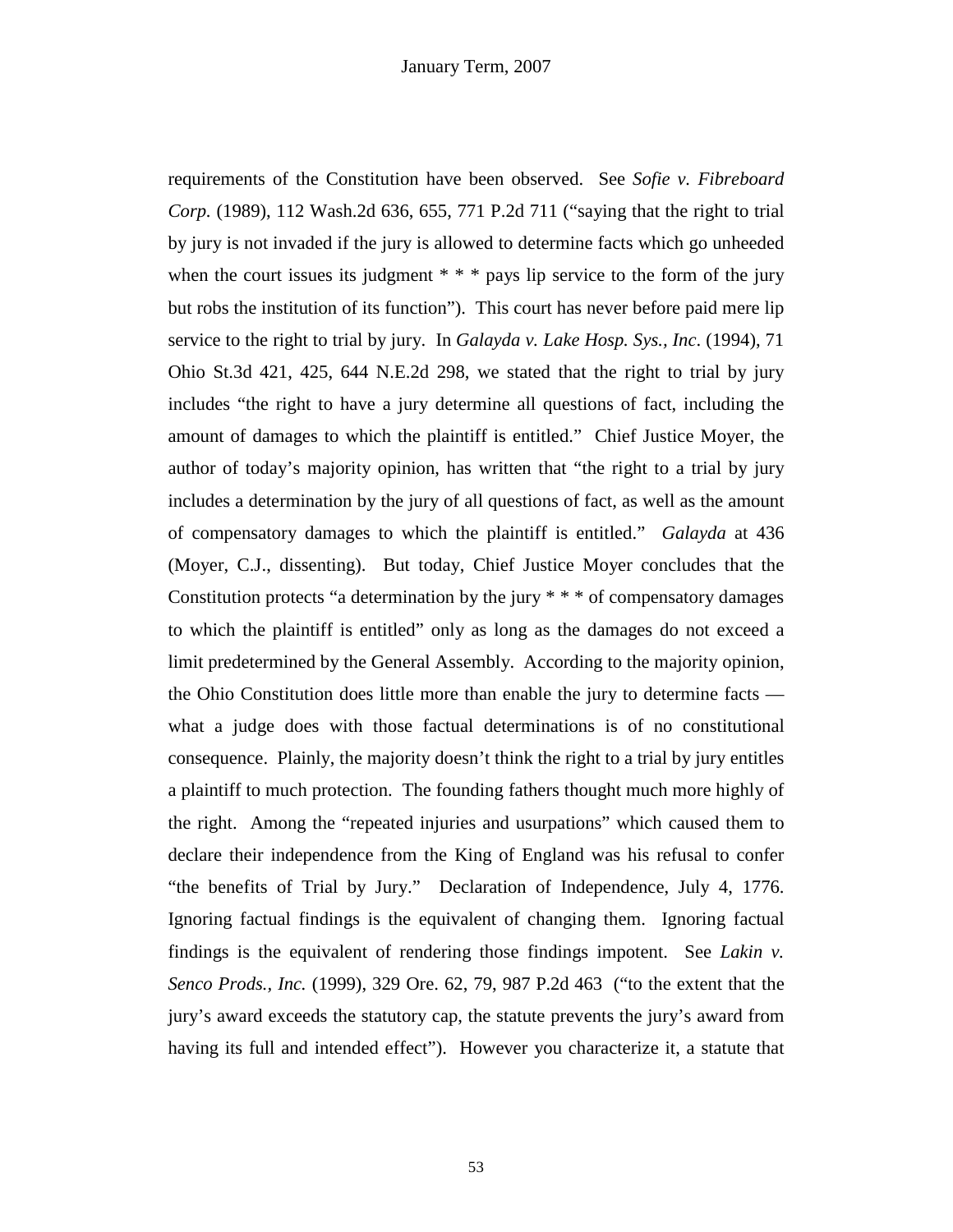requirements of the Constitution have been observed. See *Sofie v. Fibreboard Corp.* (1989), 112 Wash.2d 636, 655, 771 P.2d 711 ("saying that the right to trial by jury is not invaded if the jury is allowed to determine facts which go unheeded when the court issues its judgment  $* * *$  pays lip service to the form of the jury but robs the institution of its function"). This court has never before paid mere lip service to the right to trial by jury. In *Galayda v. Lake Hosp. Sys., Inc*. (1994), 71 Ohio St.3d 421, 425, 644 N.E.2d 298, we stated that the right to trial by jury includes "the right to have a jury determine all questions of fact, including the amount of damages to which the plaintiff is entitled." Chief Justice Moyer, the author of today's majority opinion, has written that "the right to a trial by jury includes a determination by the jury of all questions of fact, as well as the amount of compensatory damages to which the plaintiff is entitled." *Galayda* at 436 (Moyer, C.J., dissenting). But today, Chief Justice Moyer concludes that the Constitution protects "a determination by the jury  $**$ " of compensatory damages to which the plaintiff is entitled" only as long as the damages do not exceed a limit predetermined by the General Assembly. According to the majority opinion, the Ohio Constitution does little more than enable the jury to determine facts what a judge does with those factual determinations is of no constitutional consequence. Plainly, the majority doesn't think the right to a trial by jury entitles a plaintiff to much protection. The founding fathers thought much more highly of the right. Among the "repeated injuries and usurpations" which caused them to declare their independence from the King of England was his refusal to confer "the benefits of Trial by Jury." Declaration of Independence, July 4, 1776. Ignoring factual findings is the equivalent of changing them. Ignoring factual findings is the equivalent of rendering those findings impotent. See *Lakin v. Senco Prods., Inc.* (1999), 329 Ore. 62, 79, 987 P.2d 463 ("to the extent that the jury's award exceeds the statutory cap, the statute prevents the jury's award from having its full and intended effect"). However you characterize it, a statute that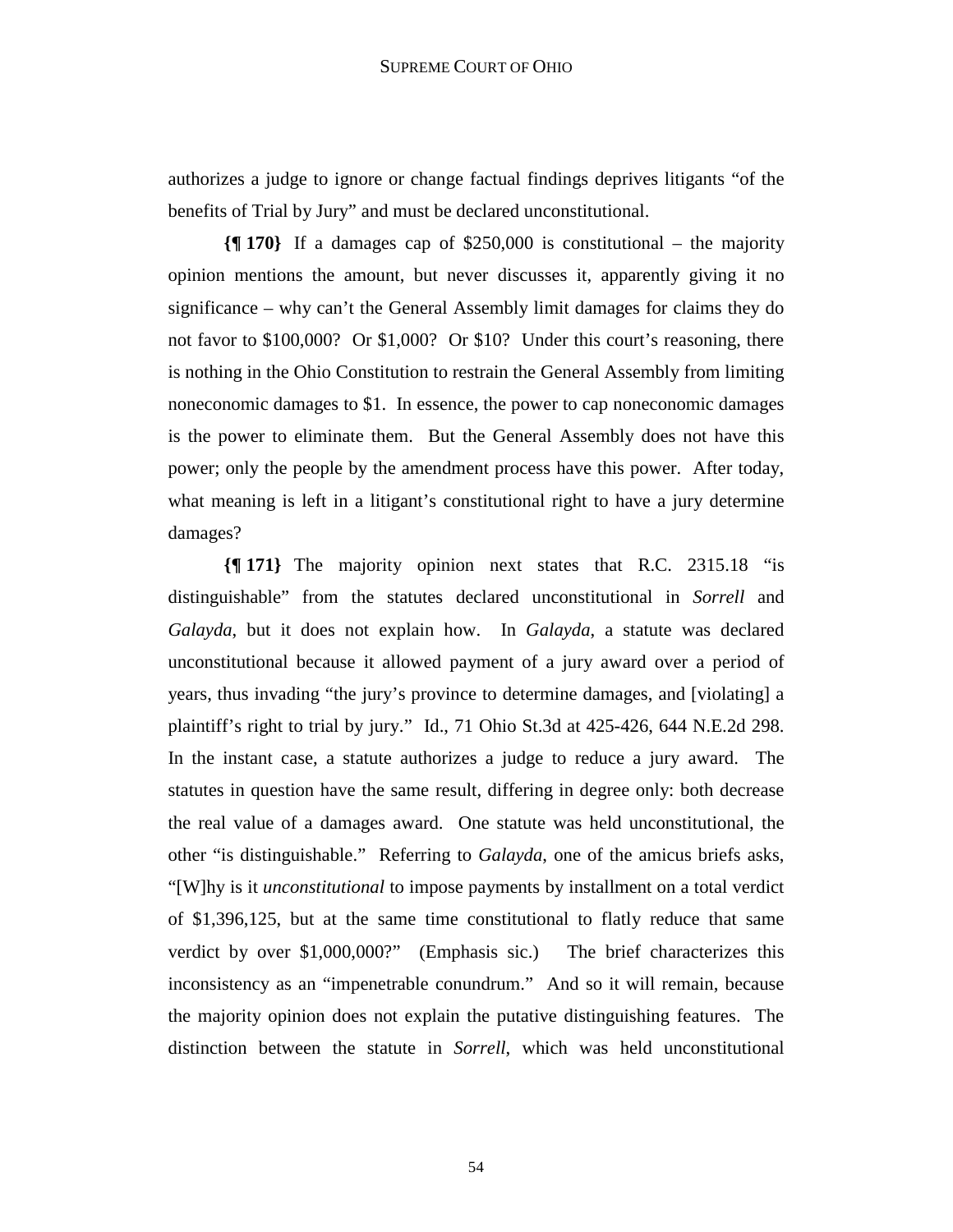authorizes a judge to ignore or change factual findings deprives litigants "of the benefits of Trial by Jury" and must be declared unconstitutional.

**{¶ 170}** If a damages cap of \$250,000 is constitutional – the majority opinion mentions the amount, but never discusses it, apparently giving it no significance – why can't the General Assembly limit damages for claims they do not favor to \$100,000? Or \$1,000? Or \$10? Under this court's reasoning, there is nothing in the Ohio Constitution to restrain the General Assembly from limiting noneconomic damages to \$1. In essence, the power to cap noneconomic damages is the power to eliminate them. But the General Assembly does not have this power; only the people by the amendment process have this power. After today, what meaning is left in a litigant's constitutional right to have a jury determine damages?

**{¶ 171}** The majority opinion next states that R.C. 2315.18 "is distinguishable" from the statutes declared unconstitutional in *Sorrell* and *Galayda*, but it does not explain how. In *Galayda*, a statute was declared unconstitutional because it allowed payment of a jury award over a period of years, thus invading "the jury's province to determine damages, and [violating] a plaintiff's right to trial by jury." Id., 71 Ohio St.3d at 425-426, 644 N.E.2d 298. In the instant case, a statute authorizes a judge to reduce a jury award. The statutes in question have the same result, differing in degree only: both decrease the real value of a damages award. One statute was held unconstitutional, the other "is distinguishable." Referring to *Galayda*, one of the amicus briefs asks, "[W]hy is it *unconstitutional* to impose payments by installment on a total verdict of \$1,396,125, but at the same time constitutional to flatly reduce that same verdict by over \$1,000,000?" (Emphasis sic.) The brief characterizes this inconsistency as an "impenetrable conundrum." And so it will remain, because the majority opinion does not explain the putative distinguishing features. The distinction between the statute in *Sorrell*, which was held unconstitutional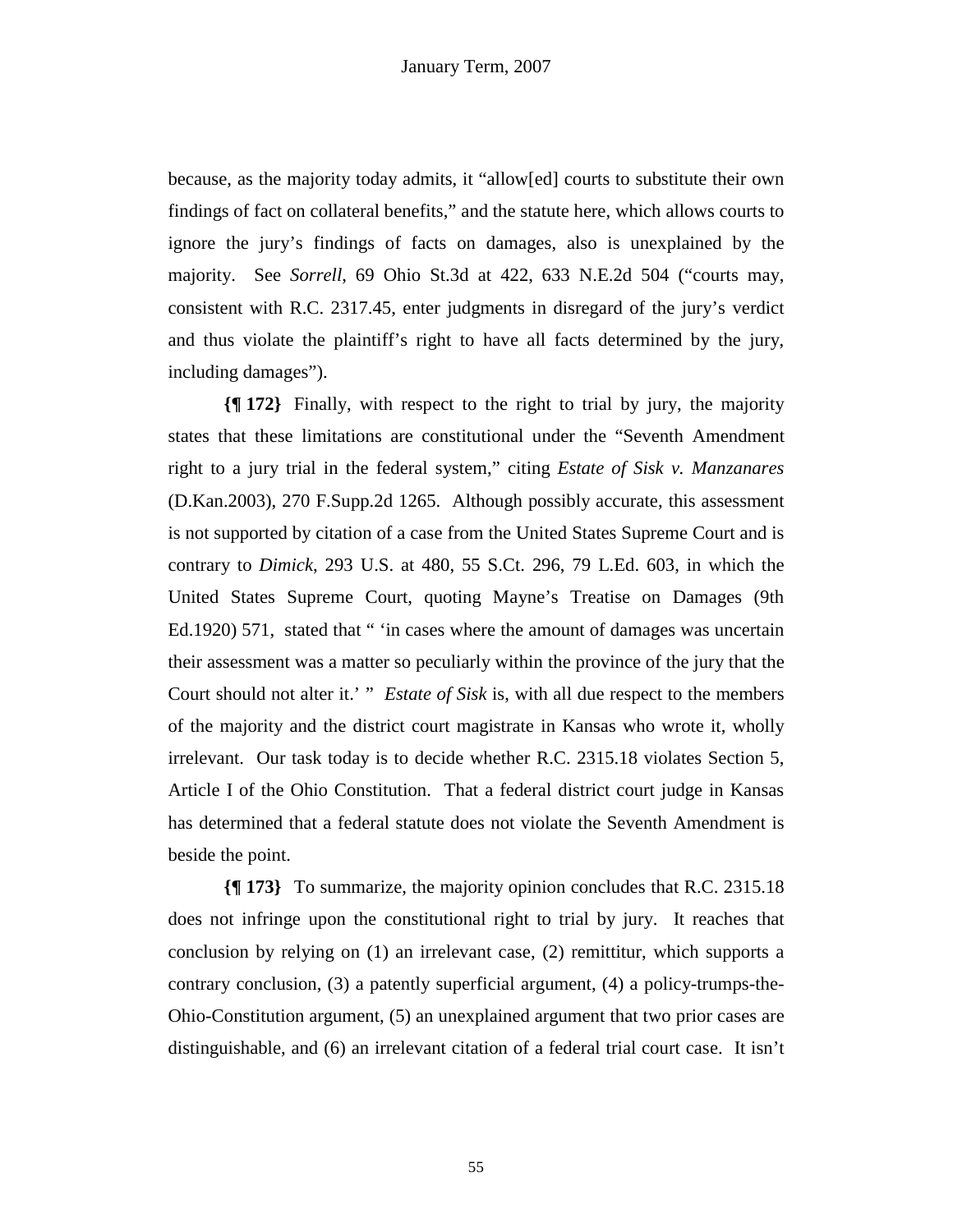because, as the majority today admits, it "allow[ed] courts to substitute their own findings of fact on collateral benefits," and the statute here, which allows courts to ignore the jury's findings of facts on damages, also is unexplained by the majority. See *Sorrell*, 69 Ohio St.3d at 422, 633 N.E.2d 504 ("courts may, consistent with R.C. 2317.45, enter judgments in disregard of the jury's verdict and thus violate the plaintiff's right to have all facts determined by the jury, including damages").

**{¶ 172}** Finally, with respect to the right to trial by jury, the majority states that these limitations are constitutional under the "Seventh Amendment right to a jury trial in the federal system," citing *Estate of Sisk v. Manzanares* (D.Kan.2003), 270 F.Supp.2d 1265. Although possibly accurate, this assessment is not supported by citation of a case from the United States Supreme Court and is contrary to *Dimick*, 293 U.S. at 480, 55 S.Ct. 296, 79 L.Ed. 603, in which the United States Supreme Court, quoting Mayne's Treatise on Damages (9th Ed.1920) 571, stated that " 'in cases where the amount of damages was uncertain their assessment was a matter so peculiarly within the province of the jury that the Court should not alter it.' " *Estate of Sisk* is, with all due respect to the members of the majority and the district court magistrate in Kansas who wrote it, wholly irrelevant. Our task today is to decide whether R.C. 2315.18 violates Section 5, Article I of the Ohio Constitution. That a federal district court judge in Kansas has determined that a federal statute does not violate the Seventh Amendment is beside the point.

**{¶ 173}** To summarize, the majority opinion concludes that R.C. 2315.18 does not infringe upon the constitutional right to trial by jury. It reaches that conclusion by relying on (1) an irrelevant case, (2) remittitur, which supports a contrary conclusion, (3) a patently superficial argument, (4) a policy-trumps-the-Ohio-Constitution argument, (5) an unexplained argument that two prior cases are distinguishable, and (6) an irrelevant citation of a federal trial court case. It isn't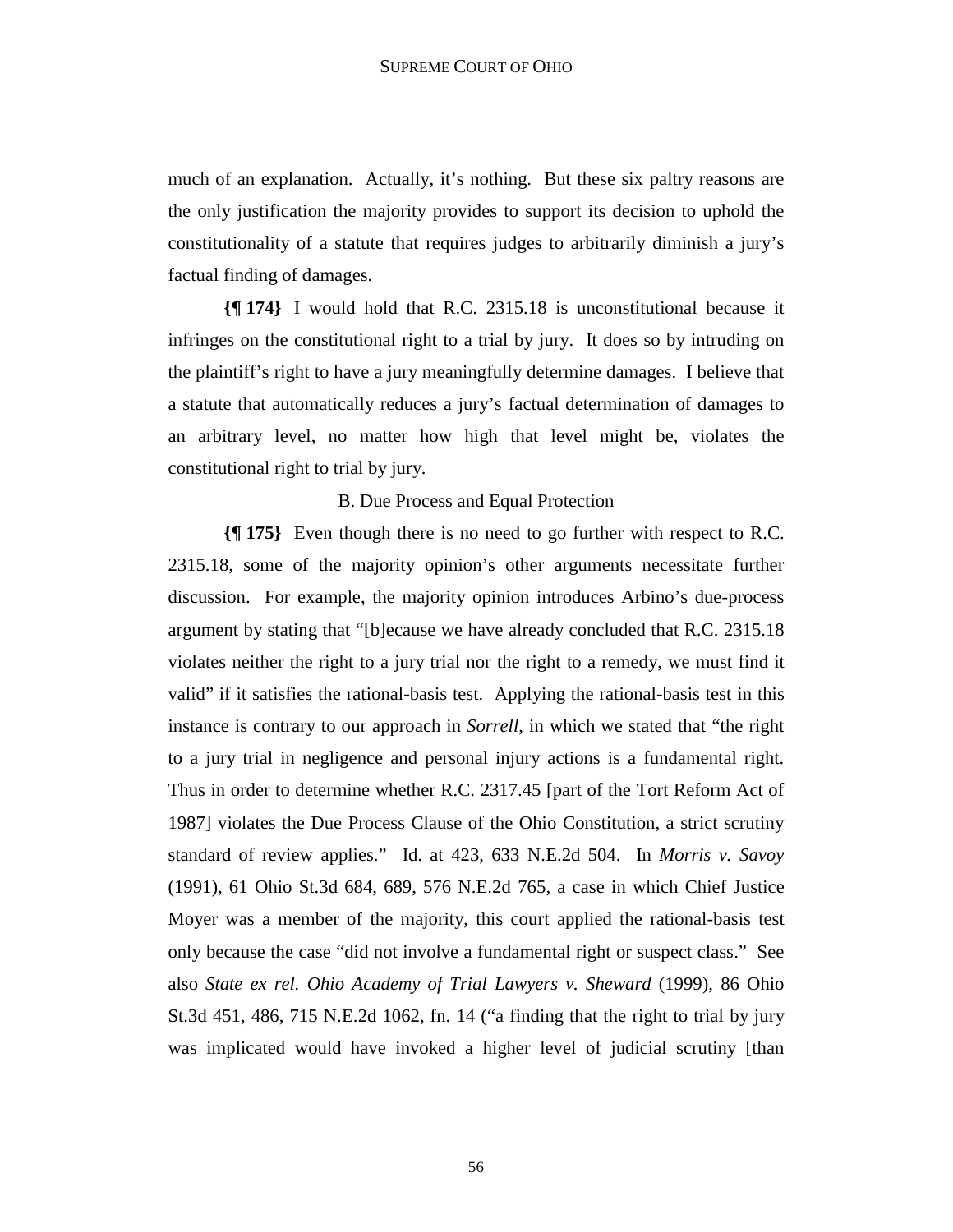much of an explanation. Actually, it's nothing. But these six paltry reasons are the only justification the majority provides to support its decision to uphold the constitutionality of a statute that requires judges to arbitrarily diminish a jury's factual finding of damages.

**{¶ 174}** I would hold that R.C. 2315.18 is unconstitutional because it infringes on the constitutional right to a trial by jury. It does so by intruding on the plaintiff's right to have a jury meaningfully determine damages. I believe that a statute that automatically reduces a jury's factual determination of damages to an arbitrary level, no matter how high that level might be, violates the constitutional right to trial by jury.

### B. Due Process and Equal Protection

**{¶ 175}** Even though there is no need to go further with respect to R.C. 2315.18, some of the majority opinion's other arguments necessitate further discussion. For example, the majority opinion introduces Arbino's due-process argument by stating that "[b]ecause we have already concluded that R.C. 2315.18 violates neither the right to a jury trial nor the right to a remedy, we must find it valid" if it satisfies the rational-basis test. Applying the rational-basis test in this instance is contrary to our approach in *Sorrell*, in which we stated that "the right to a jury trial in negligence and personal injury actions is a fundamental right. Thus in order to determine whether R.C. 2317.45 [part of the Tort Reform Act of 1987] violates the Due Process Clause of the Ohio Constitution, a strict scrutiny standard of review applies." Id. at 423, 633 N.E.2d 504. In *Morris v. Savoy* (1991), 61 Ohio St.3d 684, 689, 576 N.E.2d 765, a case in which Chief Justice Moyer was a member of the majority, this court applied the rational-basis test only because the case "did not involve a fundamental right or suspect class." See also *State ex rel. Ohio Academy of Trial Lawyers v. Sheward* (1999), 86 Ohio St.3d 451, 486, 715 N.E.2d 1062, fn. 14 ("a finding that the right to trial by jury was implicated would have invoked a higher level of judicial scrutiny [than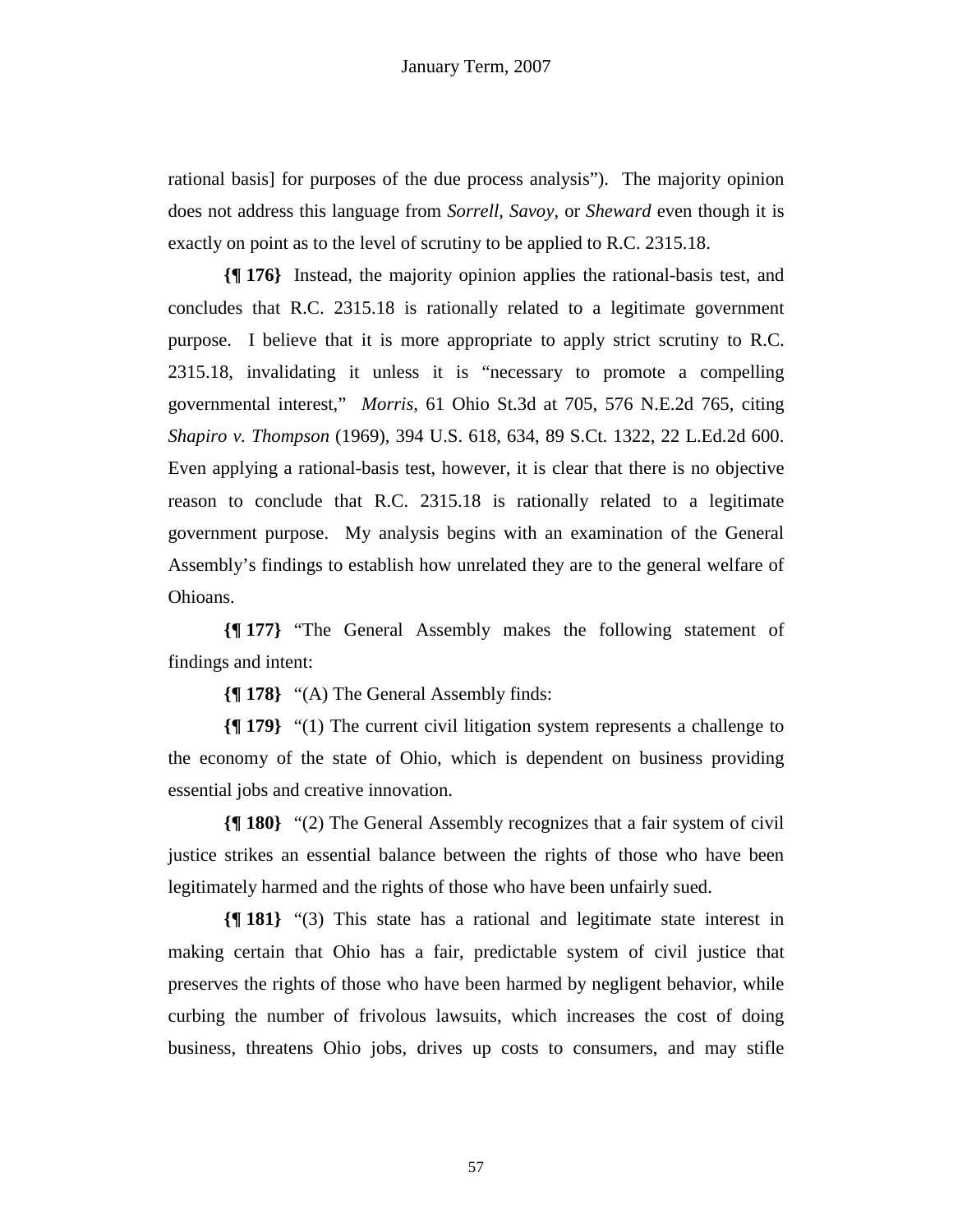rational basis] for purposes of the due process analysis"). The majority opinion does not address this language from *Sorrell, Savoy,* or *Sheward* even though it is exactly on point as to the level of scrutiny to be applied to R.C. 2315.18.

**{¶ 176}** Instead, the majority opinion applies the rational-basis test, and concludes that R.C. 2315.18 is rationally related to a legitimate government purpose. I believe that it is more appropriate to apply strict scrutiny to R.C. 2315.18, invalidating it unless it is "necessary to promote a compelling governmental interest," *Morris*, 61 Ohio St.3d at 705, 576 N.E.2d 765, citing *Shapiro v. Thompson* (1969), 394 U.S. 618, 634, 89 S.Ct. 1322, 22 L.Ed.2d 600. Even applying a rational-basis test, however, it is clear that there is no objective reason to conclude that R.C. 2315.18 is rationally related to a legitimate government purpose. My analysis begins with an examination of the General Assembly's findings to establish how unrelated they are to the general welfare of Ohioans.

**{¶ 177}** "The General Assembly makes the following statement of findings and intent:

**{¶ 178}** "(A) The General Assembly finds:

**{¶ 179}** "(1) The current civil litigation system represents a challenge to the economy of the state of Ohio, which is dependent on business providing essential jobs and creative innovation.

**{¶ 180}** "(2) The General Assembly recognizes that a fair system of civil justice strikes an essential balance between the rights of those who have been legitimately harmed and the rights of those who have been unfairly sued.

**{¶ 181}** "(3) This state has a rational and legitimate state interest in making certain that Ohio has a fair, predictable system of civil justice that preserves the rights of those who have been harmed by negligent behavior, while curbing the number of frivolous lawsuits, which increases the cost of doing business, threatens Ohio jobs, drives up costs to consumers, and may stifle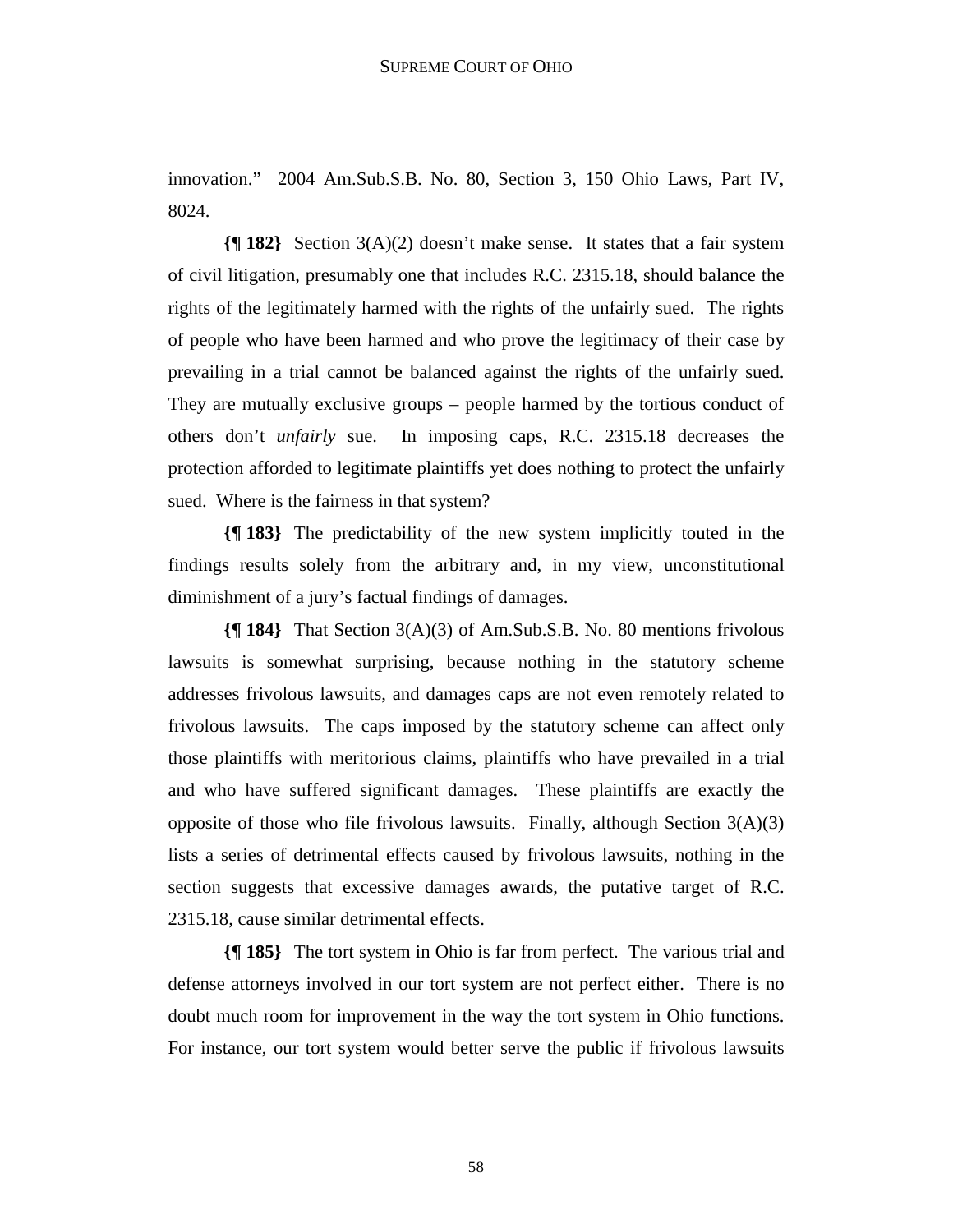innovation." 2004 Am.Sub.S.B. No. 80, Section 3, 150 Ohio Laws, Part IV, 8024.

**{¶ 182}** Section 3(A)(2) doesn't make sense. It states that a fair system of civil litigation, presumably one that includes R.C. 2315.18, should balance the rights of the legitimately harmed with the rights of the unfairly sued. The rights of people who have been harmed and who prove the legitimacy of their case by prevailing in a trial cannot be balanced against the rights of the unfairly sued. They are mutually exclusive groups – people harmed by the tortious conduct of others don't *unfairly* sue. In imposing caps, R.C. 2315.18 decreases the protection afforded to legitimate plaintiffs yet does nothing to protect the unfairly sued. Where is the fairness in that system?

**{¶ 183}** The predictability of the new system implicitly touted in the findings results solely from the arbitrary and, in my view, unconstitutional diminishment of a jury's factual findings of damages.

**{¶ 184}** That Section 3(A)(3) of Am.Sub.S.B. No. 80 mentions frivolous lawsuits is somewhat surprising, because nothing in the statutory scheme addresses frivolous lawsuits, and damages caps are not even remotely related to frivolous lawsuits. The caps imposed by the statutory scheme can affect only those plaintiffs with meritorious claims, plaintiffs who have prevailed in a trial and who have suffered significant damages. These plaintiffs are exactly the opposite of those who file frivolous lawsuits. Finally, although Section  $3(A)(3)$ lists a series of detrimental effects caused by frivolous lawsuits, nothing in the section suggests that excessive damages awards, the putative target of R.C. 2315.18, cause similar detrimental effects.

**{¶ 185}** The tort system in Ohio is far from perfect. The various trial and defense attorneys involved in our tort system are not perfect either. There is no doubt much room for improvement in the way the tort system in Ohio functions. For instance, our tort system would better serve the public if frivolous lawsuits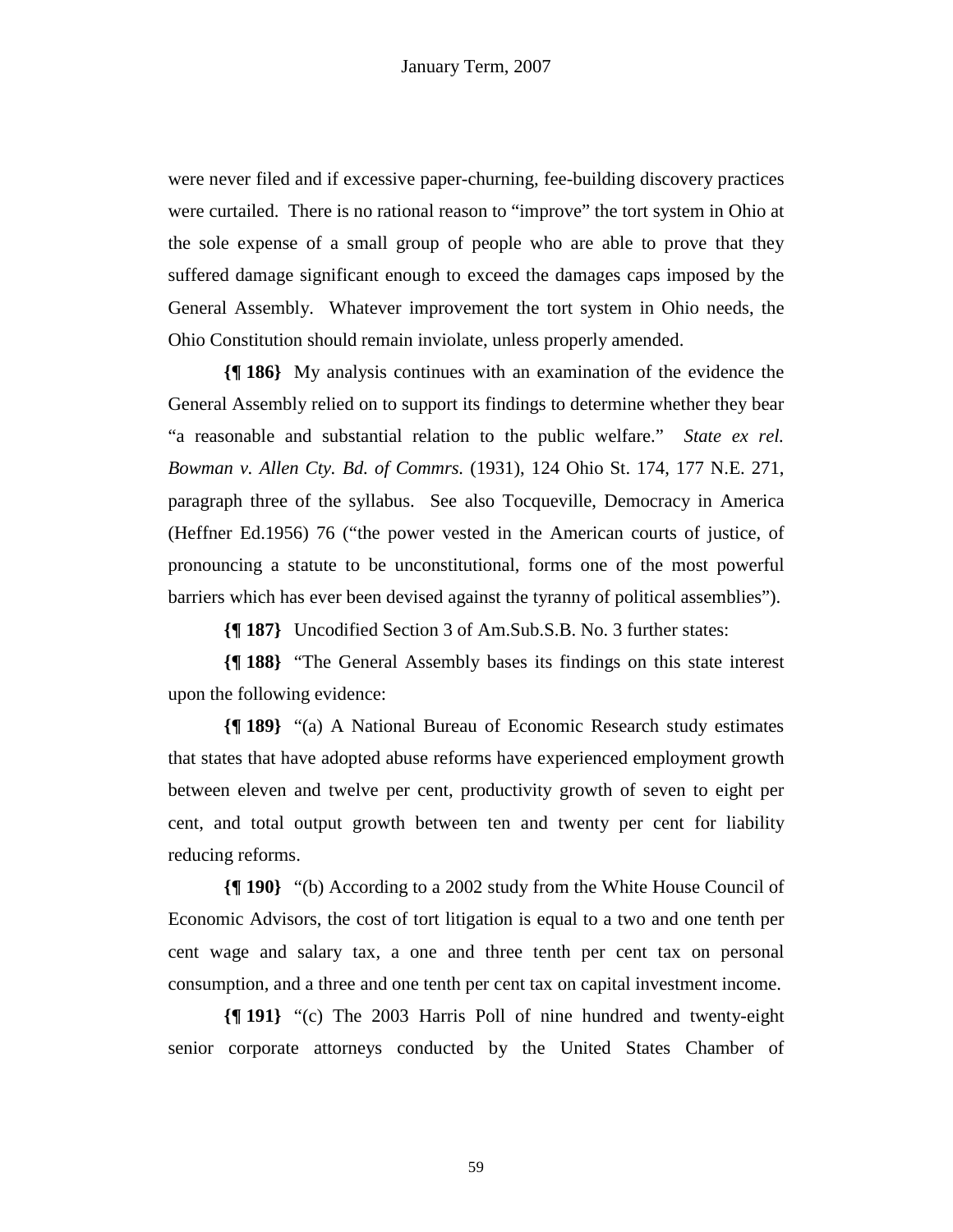were never filed and if excessive paper-churning, fee-building discovery practices were curtailed. There is no rational reason to "improve" the tort system in Ohio at the sole expense of a small group of people who are able to prove that they suffered damage significant enough to exceed the damages caps imposed by the General Assembly. Whatever improvement the tort system in Ohio needs, the Ohio Constitution should remain inviolate, unless properly amended.

**{¶ 186}** My analysis continues with an examination of the evidence the General Assembly relied on to support its findings to determine whether they bear "a reasonable and substantial relation to the public welfare." *State ex rel. Bowman v. Allen Cty. Bd. of Commrs.* (1931), 124 Ohio St. 174, 177 N.E. 271, paragraph three of the syllabus. See also Tocqueville, Democracy in America (Heffner Ed.1956) 76 ("the power vested in the American courts of justice, of pronouncing a statute to be unconstitutional, forms one of the most powerful barriers which has ever been devised against the tyranny of political assemblies").

**{¶ 187}** Uncodified Section 3 of Am.Sub.S.B. No. 3 further states:

**{¶ 188}** "The General Assembly bases its findings on this state interest upon the following evidence:

**{¶ 189}** "(a) A National Bureau of Economic Research study estimates that states that have adopted abuse reforms have experienced employment growth between eleven and twelve per cent, productivity growth of seven to eight per cent, and total output growth between ten and twenty per cent for liability reducing reforms.

**{¶ 190}** "(b) According to a 2002 study from the White House Council of Economic Advisors, the cost of tort litigation is equal to a two and one tenth per cent wage and salary tax, a one and three tenth per cent tax on personal consumption, and a three and one tenth per cent tax on capital investment income.

**{¶ 191}** "(c) The 2003 Harris Poll of nine hundred and twenty-eight senior corporate attorneys conducted by the United States Chamber of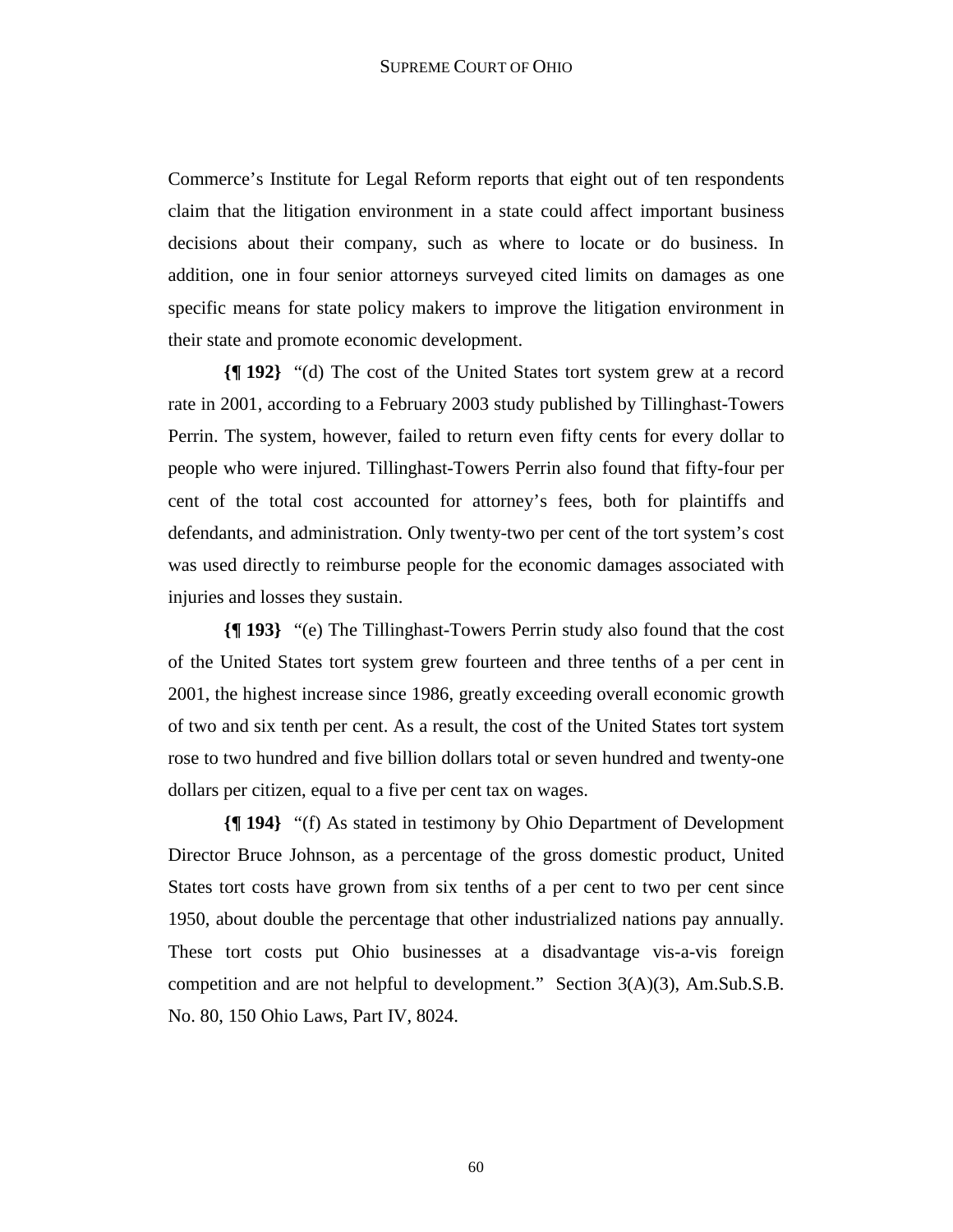Commerce's Institute for Legal Reform reports that eight out of ten respondents claim that the litigation environment in a state could affect important business decisions about their company, such as where to locate or do business. In addition, one in four senior attorneys surveyed cited limits on damages as one specific means for state policy makers to improve the litigation environment in their state and promote economic development.

**{¶ 192}** "(d) The cost of the United States tort system grew at a record rate in 2001, according to a February 2003 study published by Tillinghast-Towers Perrin. The system, however, failed to return even fifty cents for every dollar to people who were injured. Tillinghast-Towers Perrin also found that fifty-four per cent of the total cost accounted for attorney's fees, both for plaintiffs and defendants, and administration. Only twenty-two per cent of the tort system's cost was used directly to reimburse people for the economic damages associated with injuries and losses they sustain.

**{¶ 193}** "(e) The Tillinghast-Towers Perrin study also found that the cost of the United States tort system grew fourteen and three tenths of a per cent in 2001, the highest increase since 1986, greatly exceeding overall economic growth of two and six tenth per cent. As a result, the cost of the United States tort system rose to two hundred and five billion dollars total or seven hundred and twenty-one dollars per citizen, equal to a five per cent tax on wages.

**{¶ 194}** "(f) As stated in testimony by Ohio Department of Development Director Bruce Johnson, as a percentage of the gross domestic product, United States tort costs have grown from six tenths of a per cent to two per cent since 1950, about double the percentage that other industrialized nations pay annually. These tort costs put Ohio businesses at a disadvantage vis-a-vis foreign competition and are not helpful to development." Section 3(A)(3), Am.Sub.S.B. No. 80, 150 Ohio Laws, Part IV, 8024.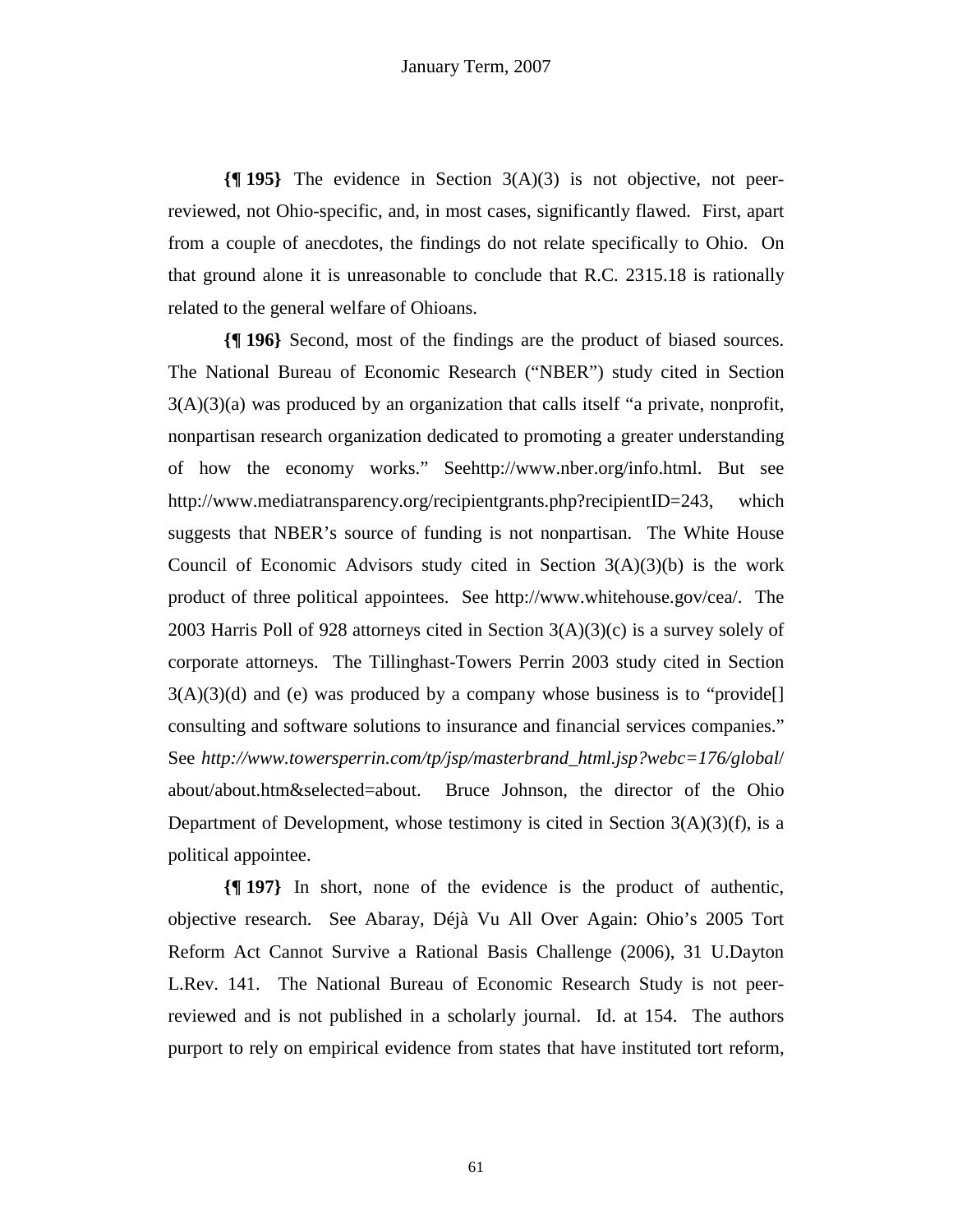**{¶ 195}** The evidence in Section 3(A)(3) is not objective, not peerreviewed, not Ohio-specific, and, in most cases, significantly flawed. First, apart from a couple of anecdotes, the findings do not relate specifically to Ohio. On that ground alone it is unreasonable to conclude that R.C. 2315.18 is rationally related to the general welfare of Ohioans.

**{¶ 196}** Second, most of the findings are the product of biased sources. The National Bureau of Economic Research ("NBER") study cited in Section  $3(A)(3)(a)$  was produced by an organization that calls itself "a private, nonprofit, nonpartisan research organization dedicated to promoting a greater understanding of how the economy works." Seehttp://www.nber.org/info.html. But see http://www.mediatransparency.org/recipientgrants.php?recipientID=243, which suggests that NBER's source of funding is not nonpartisan. The White House Council of Economic Advisors study cited in Section  $3(A)(3)(b)$  is the work product of three political appointees. See http://www.whitehouse.gov/cea/. The 2003 Harris Poll of 928 attorneys cited in Section 3(A)(3)(c) is a survey solely of corporate attorneys. The Tillinghast-Towers Perrin 2003 study cited in Section  $3(A)(3)(d)$  and (e) was produced by a company whose business is to "provide. consulting and software solutions to insurance and financial services companies." See *http://www.towersperrin.com/tp/jsp/masterbrand\_html.jsp?webc=176/global*/ about/about.htm&selected=about. Bruce Johnson, the director of the Ohio Department of Development, whose testimony is cited in Section  $3(A)(3)(f)$ , is a political appointee.

**{¶ 197}** In short, none of the evidence is the product of authentic, objective research. See Abaray, Déjà Vu All Over Again: Ohio's 2005 Tort Reform Act Cannot Survive a Rational Basis Challenge (2006), 31 U.Dayton L.Rev. 141. The National Bureau of Economic Research Study is not peerreviewed and is not published in a scholarly journal. Id. at 154. The authors purport to rely on empirical evidence from states that have instituted tort reform,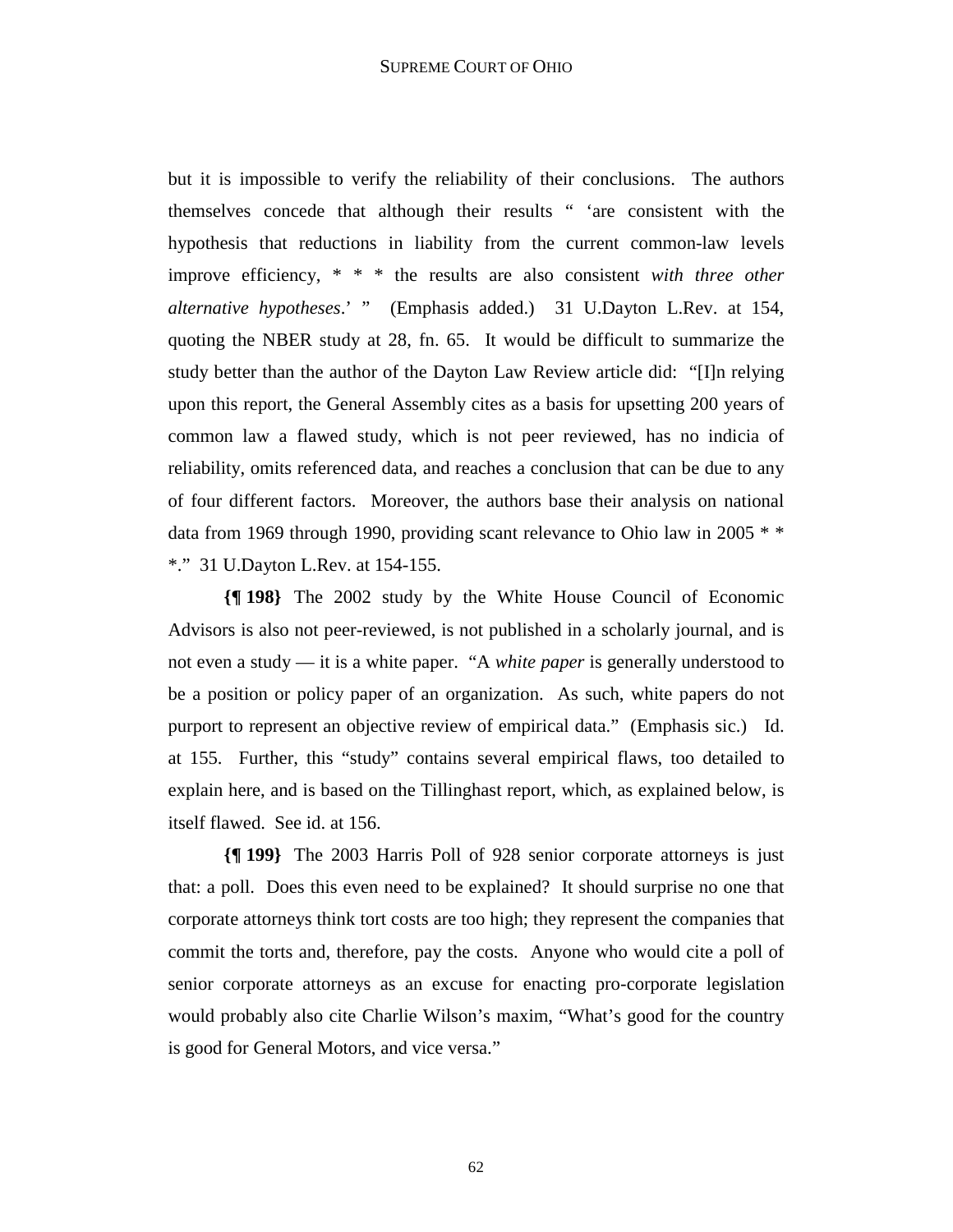but it is impossible to verify the reliability of their conclusions. The authors themselves concede that although their results " 'are consistent with the hypothesis that reductions in liability from the current common-law levels improve efficiency, \* \* \* the results are also consistent *with three other alternative hypotheses*.' " (Emphasis added.) 31 U.Dayton L.Rev. at 154, quoting the NBER study at 28, fn. 65. It would be difficult to summarize the study better than the author of the Dayton Law Review article did: "[I]n relying upon this report, the General Assembly cites as a basis for upsetting 200 years of common law a flawed study, which is not peer reviewed, has no indicia of reliability, omits referenced data, and reaches a conclusion that can be due to any of four different factors. Moreover, the authors base their analysis on national data from 1969 through 1990, providing scant relevance to Ohio law in 2005 \* \* \*." 31 U.Dayton L.Rev. at 154-155.

**{¶ 198}** The 2002 study by the White House Council of Economic Advisors is also not peer-reviewed, is not published in a scholarly journal, and is not even a study — it is a white paper. "A *white paper* is generally understood to be a position or policy paper of an organization. As such, white papers do not purport to represent an objective review of empirical data." (Emphasis sic.) Id. at 155. Further, this "study" contains several empirical flaws, too detailed to explain here, and is based on the Tillinghast report, which, as explained below, is itself flawed. See id. at 156.

**{¶ 199}** The 2003 Harris Poll of 928 senior corporate attorneys is just that: a poll. Does this even need to be explained? It should surprise no one that corporate attorneys think tort costs are too high; they represent the companies that commit the torts and, therefore, pay the costs. Anyone who would cite a poll of senior corporate attorneys as an excuse for enacting pro-corporate legislation would probably also cite Charlie Wilson's maxim, "What's good for the country is good for General Motors, and vice versa."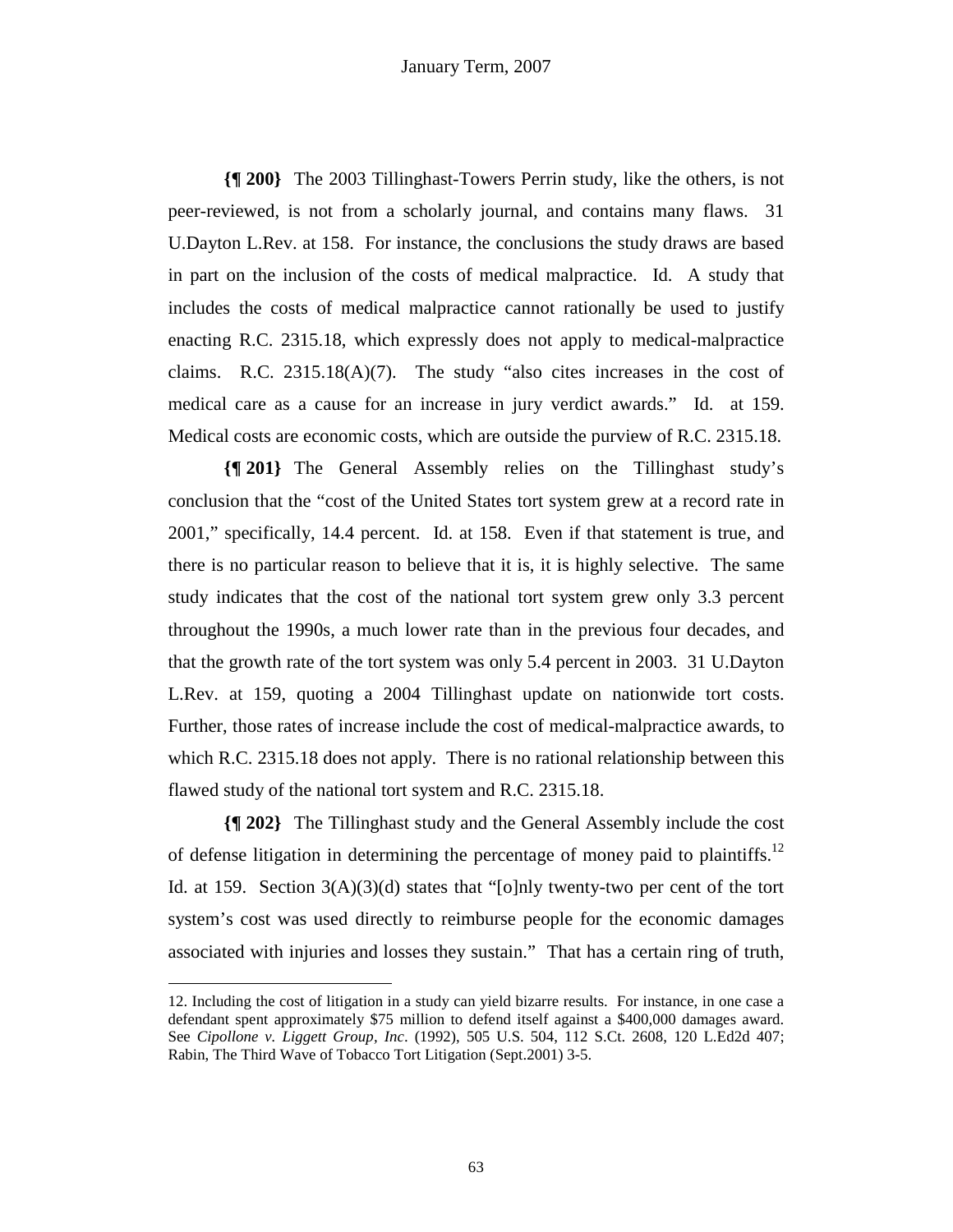**{¶ 200}** The 2003 Tillinghast-Towers Perrin study, like the others, is not peer-reviewed, is not from a scholarly journal, and contains many flaws. 31 U.Dayton L.Rev. at 158. For instance, the conclusions the study draws are based in part on the inclusion of the costs of medical malpractice. Id. A study that includes the costs of medical malpractice cannot rationally be used to justify enacting R.C. 2315.18, which expressly does not apply to medical-malpractice claims. R.C.  $2315.18(A)(7)$ . The study "also cites increases in the cost of medical care as a cause for an increase in jury verdict awards." Id. at 159. Medical costs are economic costs, which are outside the purview of R.C. 2315.18.

**{¶ 201}** The General Assembly relies on the Tillinghast study's conclusion that the "cost of the United States tort system grew at a record rate in 2001," specifically, 14.4 percent. Id. at 158. Even if that statement is true, and there is no particular reason to believe that it is, it is highly selective. The same study indicates that the cost of the national tort system grew only 3.3 percent throughout the 1990s, a much lower rate than in the previous four decades, and that the growth rate of the tort system was only 5.4 percent in 2003. 31 U.Dayton L.Rev. at 159, quoting a 2004 Tillinghast update on nationwide tort costs. Further, those rates of increase include the cost of medical-malpractice awards, to which R.C. 2315.18 does not apply. There is no rational relationship between this flawed study of the national tort system and R.C. 2315.18.

**{¶ 202}** The Tillinghast study and the General Assembly include the cost of defense litigation in determining the percentage of money paid to plaintiffs.<sup>12</sup> Id. at 159. Section  $3(A)(3)(d)$  states that "[o]nly twenty-two per cent of the tort system's cost was used directly to reimburse people for the economic damages associated with injuries and losses they sustain." That has a certain ring of truth,

<sup>12.</sup> Including the cost of litigation in a study can yield bizarre results. For instance, in one case a defendant spent approximately \$75 million to defend itself against a \$400,000 damages award. See *Cipollone v. Liggett Group, Inc*. (1992), 505 U.S. 504, 112 S.Ct. 2608, 120 L.Ed2d 407; Rabin, The Third Wave of Tobacco Tort Litigation (Sept.2001) 3-5.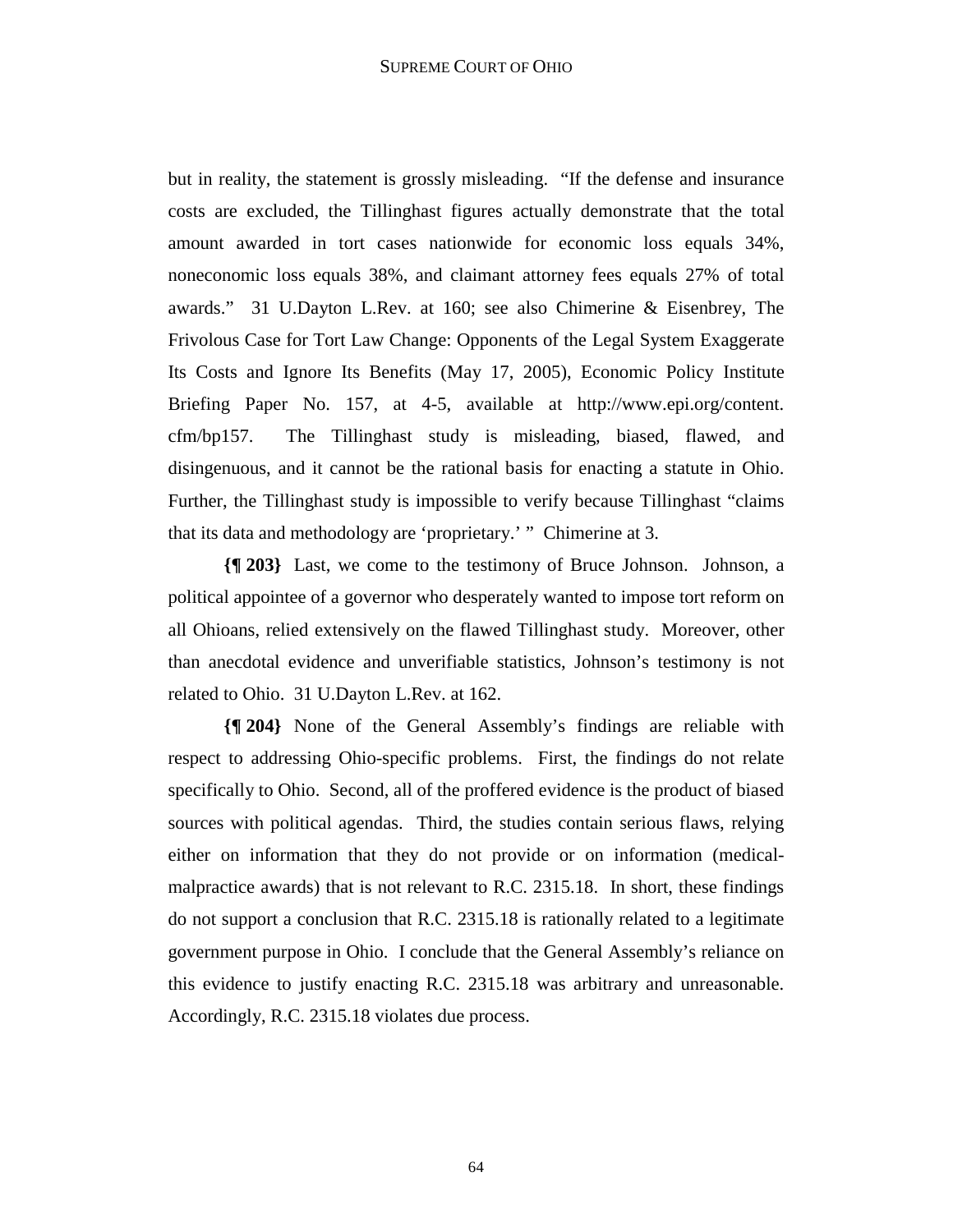but in reality, the statement is grossly misleading. "If the defense and insurance costs are excluded, the Tillinghast figures actually demonstrate that the total amount awarded in tort cases nationwide for economic loss equals 34%, noneconomic loss equals 38%, and claimant attorney fees equals 27% of total awards." 31 U.Dayton L.Rev. at 160; see also Chimerine & Eisenbrey, The Frivolous Case for Tort Law Change: Opponents of the Legal System Exaggerate Its Costs and Ignore Its Benefits (May 17, 2005), Economic Policy Institute Briefing Paper No. 157, at 4-5, available at http://www.epi.org/content. cfm/bp157. The Tillinghast study is misleading, biased, flawed, and disingenuous, and it cannot be the rational basis for enacting a statute in Ohio. Further, the Tillinghast study is impossible to verify because Tillinghast "claims that its data and methodology are 'proprietary.' " Chimerine at 3.

**{¶ 203}** Last, we come to the testimony of Bruce Johnson. Johnson, a political appointee of a governor who desperately wanted to impose tort reform on all Ohioans, relied extensively on the flawed Tillinghast study. Moreover, other than anecdotal evidence and unverifiable statistics, Johnson's testimony is not related to Ohio. 31 U.Dayton L.Rev. at 162.

**{¶ 204}** None of the General Assembly's findings are reliable with respect to addressing Ohio-specific problems. First, the findings do not relate specifically to Ohio. Second, all of the proffered evidence is the product of biased sources with political agendas. Third, the studies contain serious flaws, relying either on information that they do not provide or on information (medicalmalpractice awards) that is not relevant to R.C. 2315.18. In short, these findings do not support a conclusion that R.C. 2315.18 is rationally related to a legitimate government purpose in Ohio. I conclude that the General Assembly's reliance on this evidence to justify enacting R.C. 2315.18 was arbitrary and unreasonable. Accordingly, R.C. 2315.18 violates due process.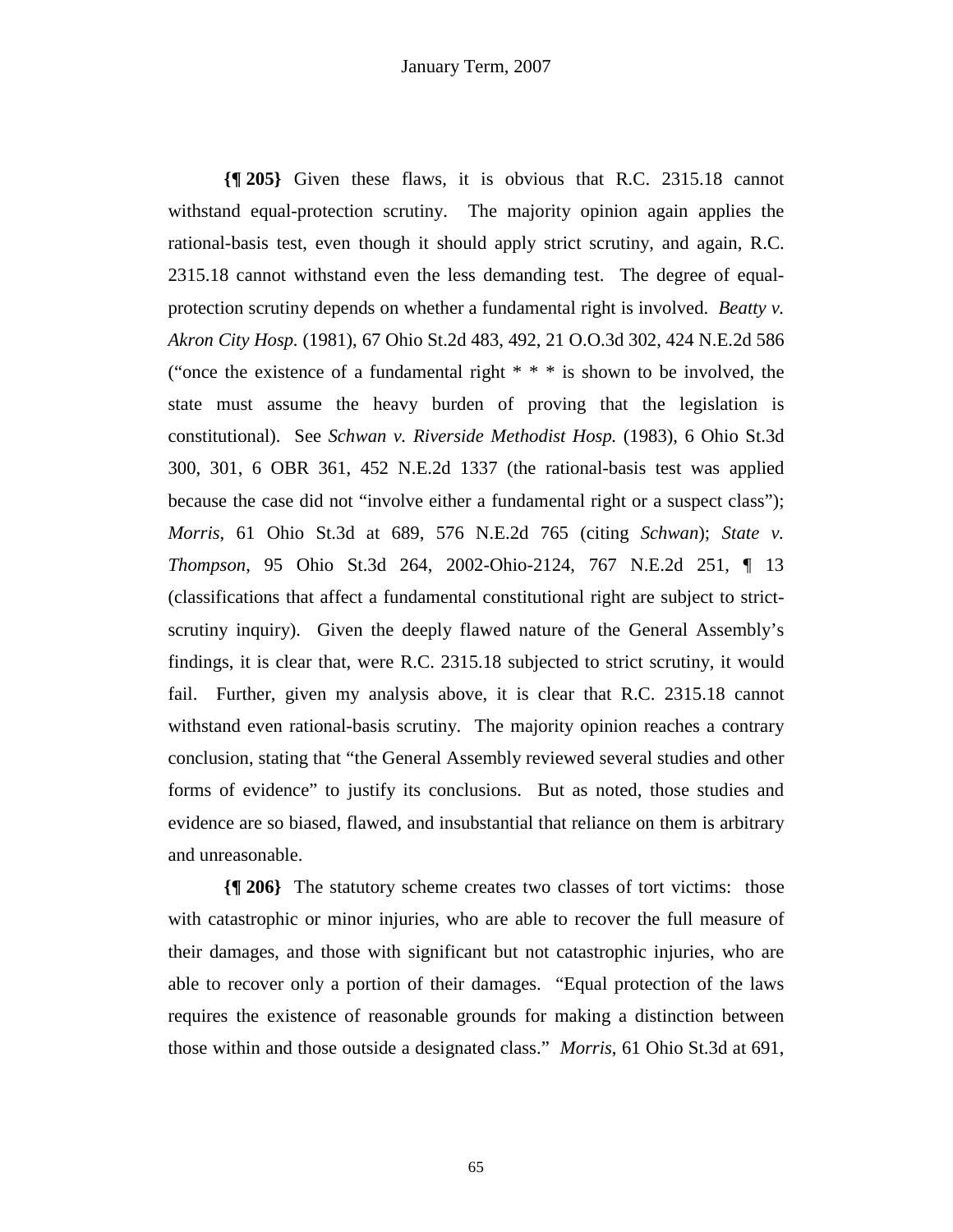**{¶ 205}** Given these flaws, it is obvious that R.C. 2315.18 cannot withstand equal-protection scrutiny. The majority opinion again applies the rational-basis test, even though it should apply strict scrutiny, and again, R.C. 2315.18 cannot withstand even the less demanding test. The degree of equalprotection scrutiny depends on whether a fundamental right is involved. *Beatty v. Akron City Hosp.* (1981), 67 Ohio St.2d 483, 492, 21 O.O.3d 302, 424 N.E.2d 586 ("once the existence of a fundamental right  $* * *$  is shown to be involved, the state must assume the heavy burden of proving that the legislation is constitutional). See *Schwan v. Riverside Methodist Hosp.* (1983), 6 Ohio St.3d 300, 301, 6 OBR 361, 452 N.E.2d 1337 (the rational-basis test was applied because the case did not "involve either a fundamental right or a suspect class"); *Morris*, 61 Ohio St.3d at 689, 576 N.E.2d 765 (citing *Schwan*); *State v. Thompson*, 95 Ohio St.3d 264, 2002-Ohio-2124, 767 N.E.2d 251, ¶ 13 (classifications that affect a fundamental constitutional right are subject to strictscrutiny inquiry). Given the deeply flawed nature of the General Assembly's findings, it is clear that, were R.C. 2315.18 subjected to strict scrutiny, it would fail. Further, given my analysis above, it is clear that R.C. 2315.18 cannot withstand even rational-basis scrutiny. The majority opinion reaches a contrary conclusion, stating that "the General Assembly reviewed several studies and other forms of evidence" to justify its conclusions. But as noted, those studies and evidence are so biased, flawed, and insubstantial that reliance on them is arbitrary and unreasonable.

**{¶ 206}** The statutory scheme creates two classes of tort victims: those with catastrophic or minor injuries, who are able to recover the full measure of their damages, and those with significant but not catastrophic injuries, who are able to recover only a portion of their damages. "Equal protection of the laws requires the existence of reasonable grounds for making a distinction between those within and those outside a designated class." *Morris*, 61 Ohio St.3d at 691,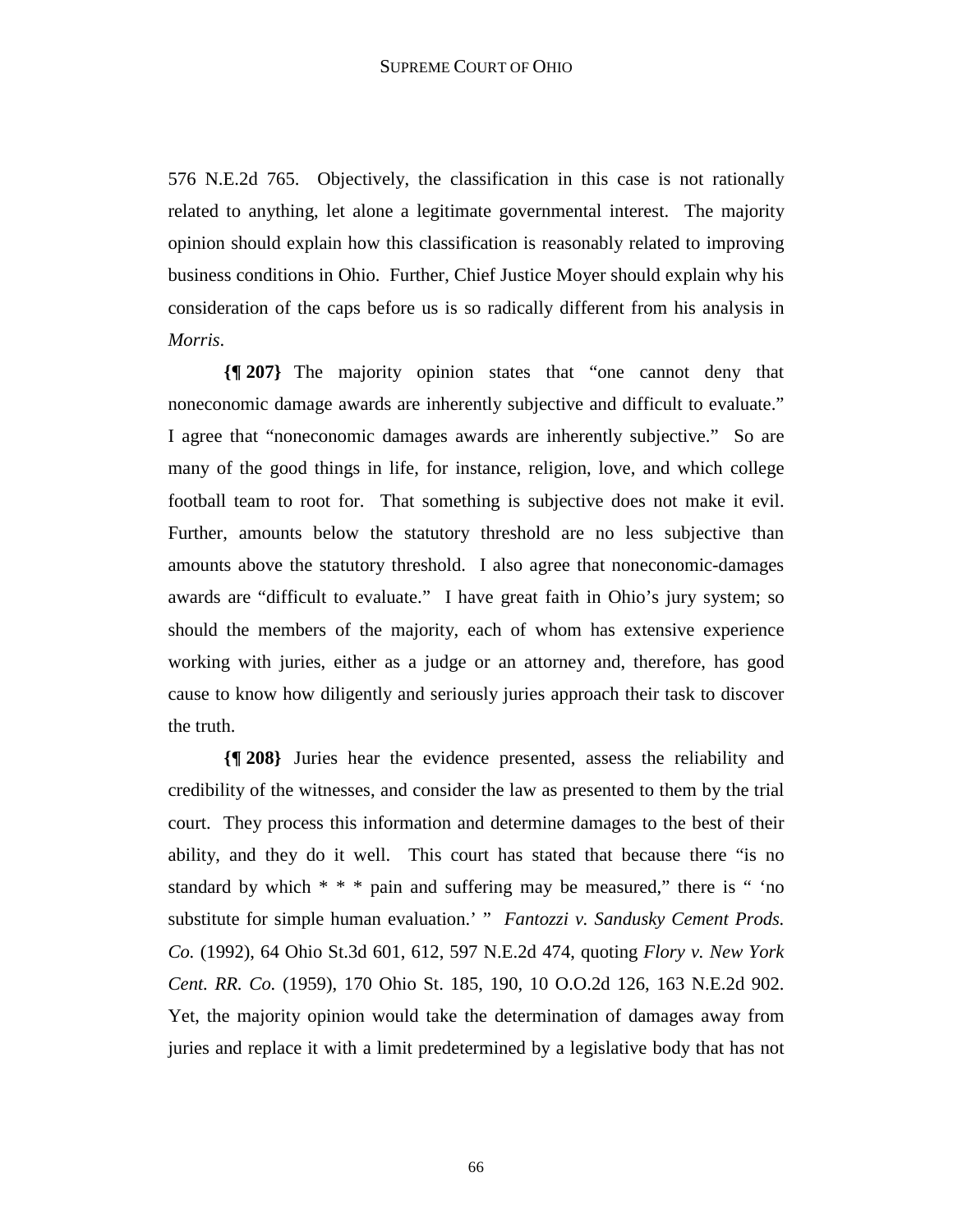576 N.E.2d 765. Objectively, the classification in this case is not rationally related to anything, let alone a legitimate governmental interest. The majority opinion should explain how this classification is reasonably related to improving business conditions in Ohio. Further, Chief Justice Moyer should explain why his consideration of the caps before us is so radically different from his analysis in *Morris*.

**{¶ 207}** The majority opinion states that "one cannot deny that noneconomic damage awards are inherently subjective and difficult to evaluate." I agree that "noneconomic damages awards are inherently subjective." So are many of the good things in life, for instance, religion, love, and which college football team to root for. That something is subjective does not make it evil. Further, amounts below the statutory threshold are no less subjective than amounts above the statutory threshold. I also agree that noneconomic-damages awards are "difficult to evaluate." I have great faith in Ohio's jury system; so should the members of the majority, each of whom has extensive experience working with juries, either as a judge or an attorney and, therefore, has good cause to know how diligently and seriously juries approach their task to discover the truth.

**{¶ 208}** Juries hear the evidence presented, assess the reliability and credibility of the witnesses, and consider the law as presented to them by the trial court. They process this information and determine damages to the best of their ability, and they do it well. This court has stated that because there "is no standard by which  $* * *$  pain and suffering may be measured," there is " 'no substitute for simple human evaluation.' " *Fantozzi v. Sandusky Cement Prods. Co.* (1992), 64 Ohio St.3d 601, 612, 597 N.E.2d 474, quoting *Flory v. New York Cent. RR. Co.* (1959), 170 Ohio St. 185, 190, 10 O.O.2d 126, 163 N.E.2d 902. Yet, the majority opinion would take the determination of damages away from juries and replace it with a limit predetermined by a legislative body that has not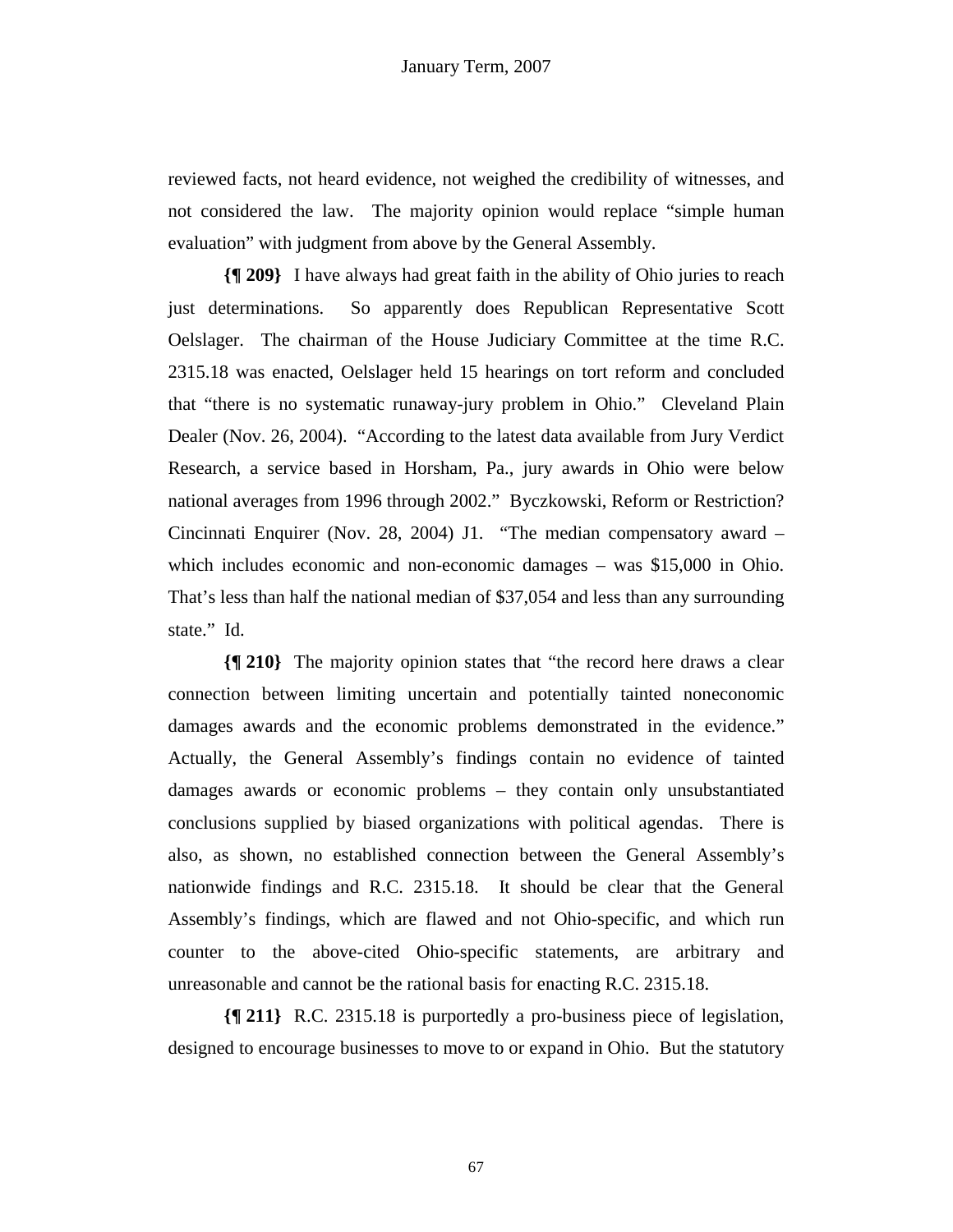reviewed facts, not heard evidence, not weighed the credibility of witnesses, and not considered the law. The majority opinion would replace "simple human evaluation" with judgment from above by the General Assembly.

**{¶ 209}** I have always had great faith in the ability of Ohio juries to reach just determinations. So apparently does Republican Representative Scott Oelslager. The chairman of the House Judiciary Committee at the time R.C. 2315.18 was enacted, Oelslager held 15 hearings on tort reform and concluded that "there is no systematic runaway-jury problem in Ohio." Cleveland Plain Dealer (Nov. 26, 2004). "According to the latest data available from Jury Verdict Research, a service based in Horsham, Pa., jury awards in Ohio were below national averages from 1996 through 2002." Byczkowski, Reform or Restriction? Cincinnati Enquirer (Nov. 28, 2004) J1. "The median compensatory award – which includes economic and non-economic damages – was \$15,000 in Ohio. That's less than half the national median of \$37,054 and less than any surrounding state." Id.

**{¶ 210}** The majority opinion states that "the record here draws a clear connection between limiting uncertain and potentially tainted noneconomic damages awards and the economic problems demonstrated in the evidence." Actually, the General Assembly's findings contain no evidence of tainted damages awards or economic problems – they contain only unsubstantiated conclusions supplied by biased organizations with political agendas. There is also, as shown, no established connection between the General Assembly's nationwide findings and R.C. 2315.18. It should be clear that the General Assembly's findings, which are flawed and not Ohio-specific, and which run counter to the above-cited Ohio-specific statements, are arbitrary and unreasonable and cannot be the rational basis for enacting R.C. 2315.18.

**{¶ 211}** R.C. 2315.18 is purportedly a pro-business piece of legislation, designed to encourage businesses to move to or expand in Ohio. But the statutory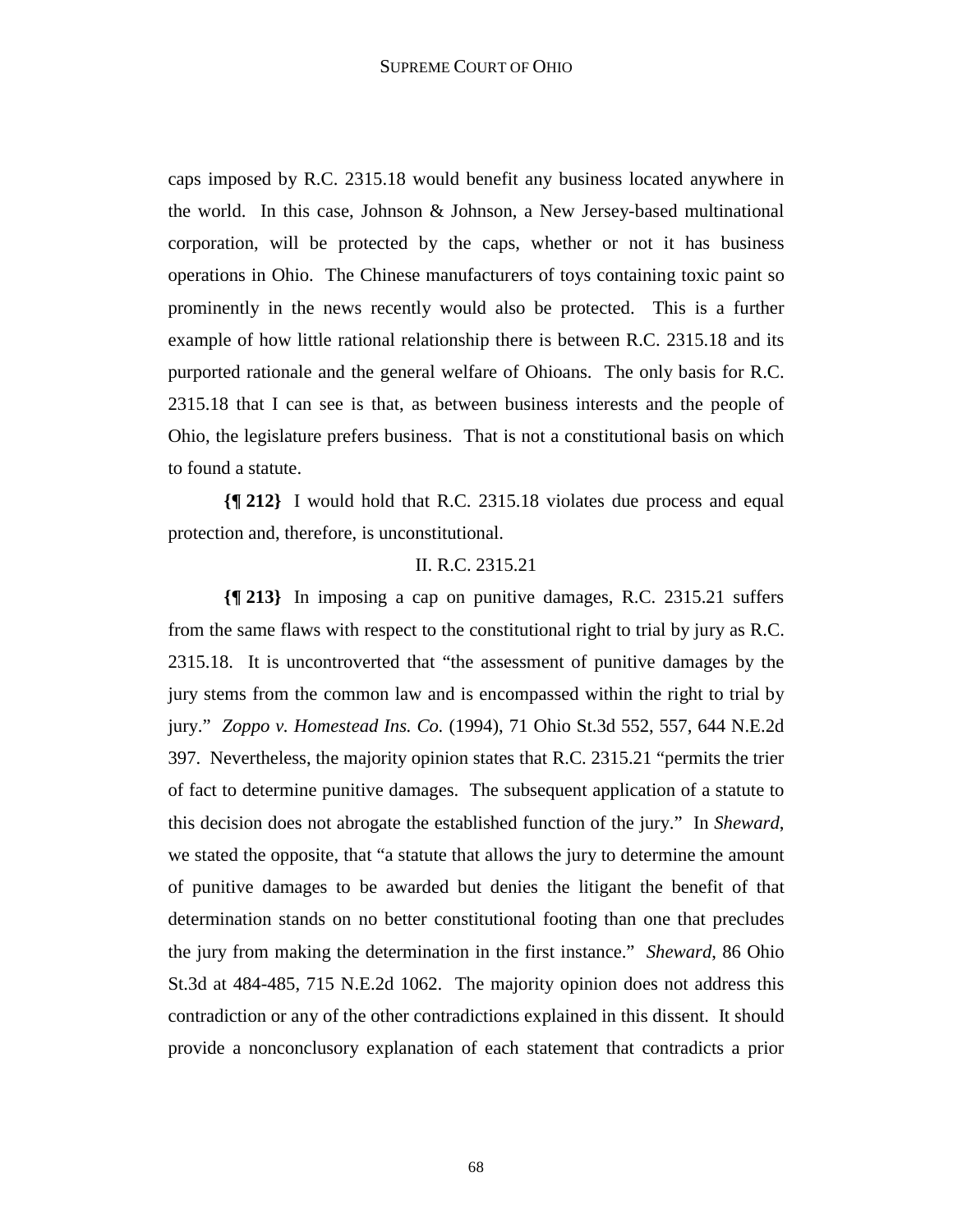caps imposed by R.C. 2315.18 would benefit any business located anywhere in the world. In this case, Johnson & Johnson, a New Jersey-based multinational corporation, will be protected by the caps, whether or not it has business operations in Ohio. The Chinese manufacturers of toys containing toxic paint so prominently in the news recently would also be protected. This is a further example of how little rational relationship there is between R.C. 2315.18 and its purported rationale and the general welfare of Ohioans. The only basis for R.C. 2315.18 that I can see is that, as between business interests and the people of Ohio, the legislature prefers business. That is not a constitutional basis on which to found a statute.

**{¶ 212}** I would hold that R.C. 2315.18 violates due process and equal protection and, therefore, is unconstitutional.

# II. R.C. 2315.21

**{¶ 213}** In imposing a cap on punitive damages, R.C. 2315.21 suffers from the same flaws with respect to the constitutional right to trial by jury as R.C. 2315.18. It is uncontroverted that "the assessment of punitive damages by the jury stems from the common law and is encompassed within the right to trial by jury." *Zoppo v. Homestead Ins. Co.* (1994), 71 Ohio St.3d 552, 557, 644 N.E.2d 397. Nevertheless, the majority opinion states that R.C. 2315.21 "permits the trier of fact to determine punitive damages. The subsequent application of a statute to this decision does not abrogate the established function of the jury." In *Sheward*, we stated the opposite, that "a statute that allows the jury to determine the amount of punitive damages to be awarded but denies the litigant the benefit of that determination stands on no better constitutional footing than one that precludes the jury from making the determination in the first instance." *Sheward*, 86 Ohio St.3d at 484-485, 715 N.E.2d 1062. The majority opinion does not address this contradiction or any of the other contradictions explained in this dissent. It should provide a nonconclusory explanation of each statement that contradicts a prior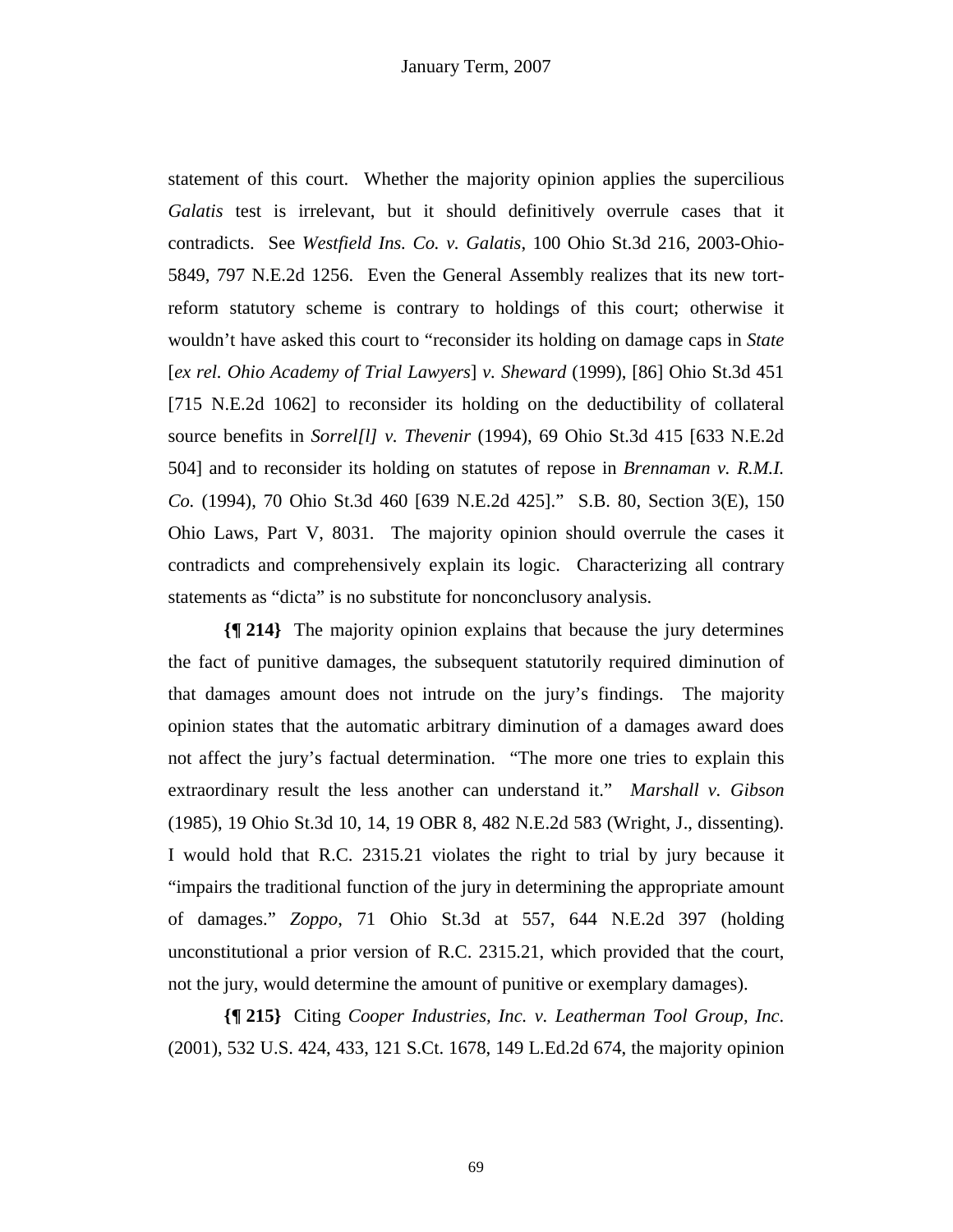statement of this court. Whether the majority opinion applies the supercilious *Galatis* test is irrelevant, but it should definitively overrule cases that it contradicts. See *Westfield Ins. Co. v. Galatis*, 100 Ohio St.3d 216, 2003-Ohio-5849, 797 N.E.2d 1256. Even the General Assembly realizes that its new tortreform statutory scheme is contrary to holdings of this court; otherwise it wouldn't have asked this court to "reconsider its holding on damage caps in *State*  [*ex rel. Ohio Academy of Trial Lawyers*] *v. Sheward* (1999), [86] Ohio St.3d 451 [715 N.E.2d 1062] to reconsider its holding on the deductibility of collateral source benefits in *Sorrel[l] v. Thevenir* (1994), 69 Ohio St.3d 415 [633 N.E.2d 504] and to reconsider its holding on statutes of repose in *Brennaman v. R.M.I. Co.* (1994), 70 Ohio St.3d 460 [639 N.E.2d 425]." S.B. 80, Section 3(E), 150 Ohio Laws, Part V, 8031. The majority opinion should overrule the cases it contradicts and comprehensively explain its logic. Characterizing all contrary statements as "dicta" is no substitute for nonconclusory analysis.

**{¶ 214}** The majority opinion explains that because the jury determines the fact of punitive damages, the subsequent statutorily required diminution of that damages amount does not intrude on the jury's findings. The majority opinion states that the automatic arbitrary diminution of a damages award does not affect the jury's factual determination. "The more one tries to explain this extraordinary result the less another can understand it." *Marshall v. Gibson* (1985), 19 Ohio St.3d 10, 14, 19 OBR 8, 482 N.E.2d 583 (Wright, J., dissenting). I would hold that R.C. 2315.21 violates the right to trial by jury because it "impairs the traditional function of the jury in determining the appropriate amount of damages." *Zoppo*, 71 Ohio St.3d at 557, 644 N.E.2d 397 (holding unconstitutional a prior version of R.C. 2315.21, which provided that the court, not the jury, would determine the amount of punitive or exemplary damages).

**{¶ 215}** Citing *Cooper Industries, Inc. v. Leatherman Tool Group, Inc*. (2001), 532 U.S. 424, 433, 121 S.Ct. 1678, 149 L.Ed.2d 674, the majority opinion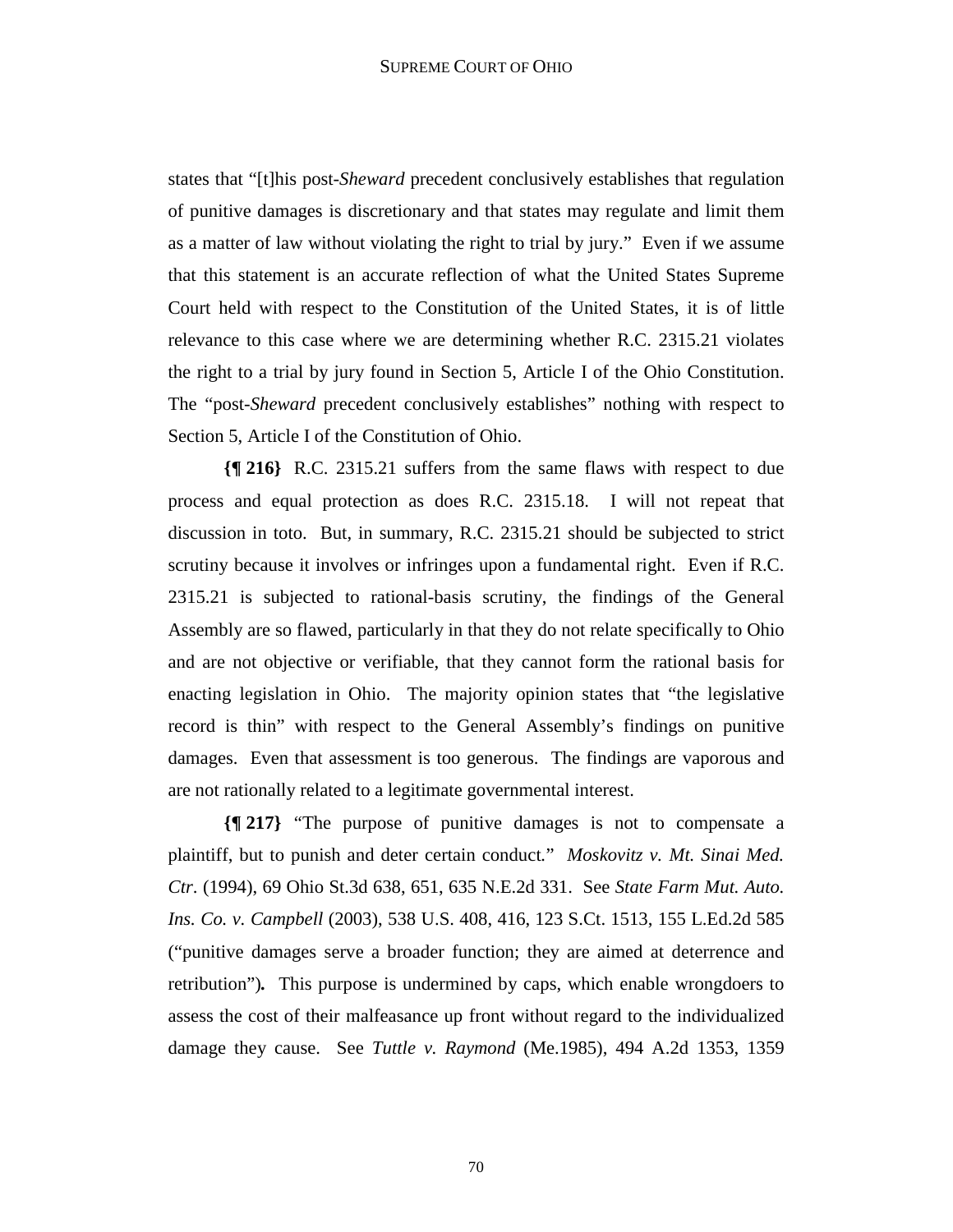states that "[t]his post-*Sheward* precedent conclusively establishes that regulation of punitive damages is discretionary and that states may regulate and limit them as a matter of law without violating the right to trial by jury." Even if we assume that this statement is an accurate reflection of what the United States Supreme Court held with respect to the Constitution of the United States, it is of little relevance to this case where we are determining whether R.C. 2315.21 violates the right to a trial by jury found in Section 5, Article I of the Ohio Constitution. The "post-*Sheward* precedent conclusively establishes" nothing with respect to Section 5, Article I of the Constitution of Ohio.

**{¶ 216}** R.C. 2315.21 suffers from the same flaws with respect to due process and equal protection as does R.C. 2315.18. I will not repeat that discussion in toto. But, in summary, R.C. 2315.21 should be subjected to strict scrutiny because it involves or infringes upon a fundamental right. Even if R.C. 2315.21 is subjected to rational-basis scrutiny, the findings of the General Assembly are so flawed, particularly in that they do not relate specifically to Ohio and are not objective or verifiable, that they cannot form the rational basis for enacting legislation in Ohio. The majority opinion states that "the legislative record is thin" with respect to the General Assembly's findings on punitive damages. Even that assessment is too generous. The findings are vaporous and are not rationally related to a legitimate governmental interest.

**{¶ 217}** "The purpose of punitive damages is not to compensate a plaintiff, but to punish and deter certain conduct*.*" *Moskovitz v. Mt. Sinai Med. Ctr*. (1994), 69 Ohio St.3d 638, 651, 635 N.E.2d 331. See *State Farm Mut. Auto. Ins. Co. v. Campbell* (2003), 538 U.S. 408, 416, 123 S.Ct. 1513, 155 L.Ed.2d 585 ("punitive damages serve a broader function; they are aimed at deterrence and retribution")*.* This purpose is undermined by caps, which enable wrongdoers to assess the cost of their malfeasance up front without regard to the individualized damage they cause. See *Tuttle v. Raymond* (Me.1985), 494 A.2d 1353, 1359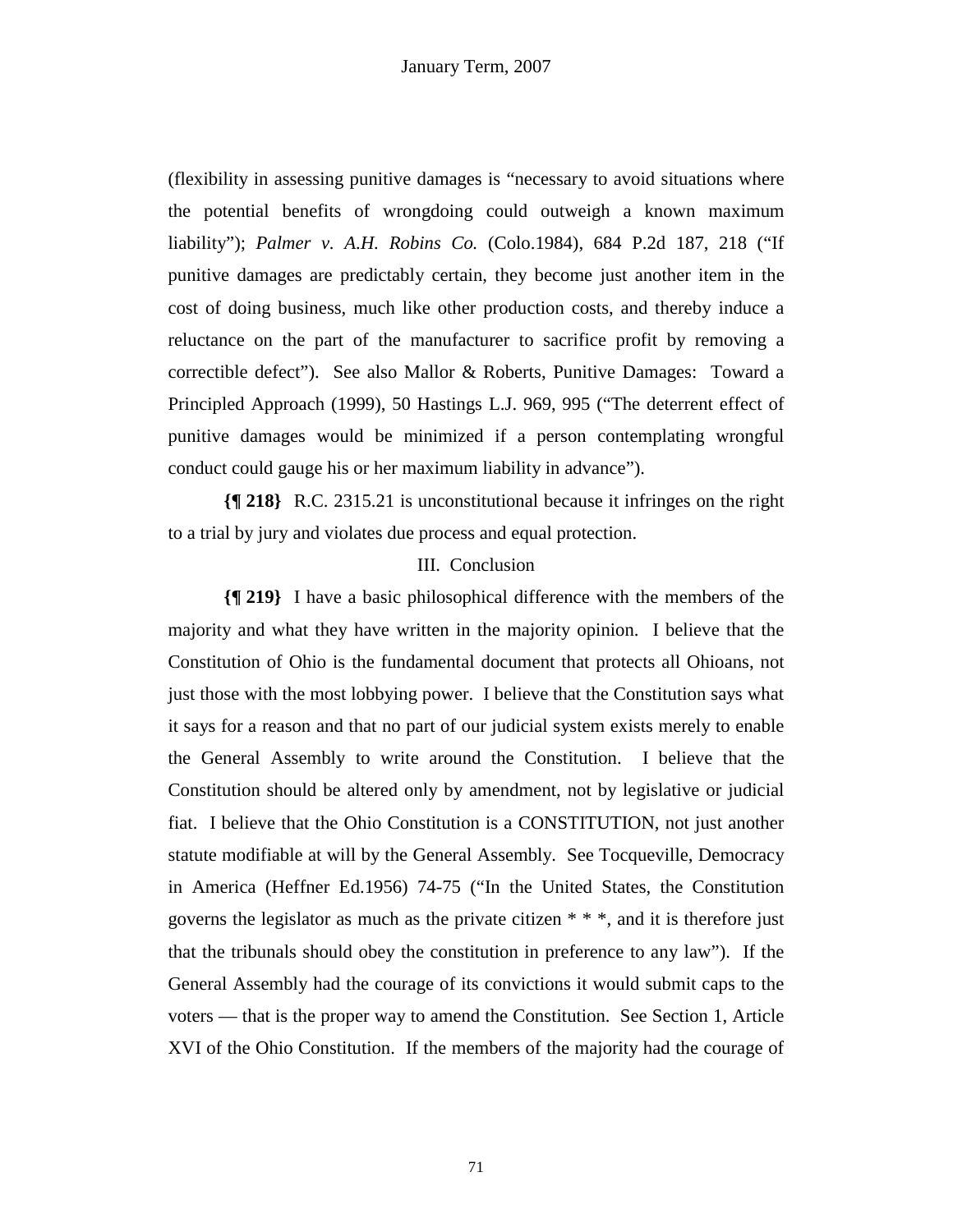(flexibility in assessing punitive damages is "necessary to avoid situations where the potential benefits of wrongdoing could outweigh a known maximum liability"); *Palmer v. A.H. Robins Co.* (Colo.1984), 684 P.2d 187, 218 ("If punitive damages are predictably certain, they become just another item in the cost of doing business, much like other production costs, and thereby induce a reluctance on the part of the manufacturer to sacrifice profit by removing a correctible defect"). See also Mallor & Roberts, Punitive Damages: Toward a Principled Approach (1999), 50 Hastings L.J. 969, 995 ("The deterrent effect of punitive damages would be minimized if a person contemplating wrongful conduct could gauge his or her maximum liability in advance").

**{¶ 218}** R.C. 2315.21 is unconstitutional because it infringes on the right to a trial by jury and violates due process and equal protection.

### III. Conclusion

**{¶ 219}** I have a basic philosophical difference with the members of the majority and what they have written in the majority opinion. I believe that the Constitution of Ohio is the fundamental document that protects all Ohioans, not just those with the most lobbying power. I believe that the Constitution says what it says for a reason and that no part of our judicial system exists merely to enable the General Assembly to write around the Constitution. I believe that the Constitution should be altered only by amendment, not by legislative or judicial fiat. I believe that the Ohio Constitution is a CONSTITUTION, not just another statute modifiable at will by the General Assembly. See Tocqueville, Democracy in America (Heffner Ed.1956) 74-75 ("In the United States, the Constitution governs the legislator as much as the private citizen  $**$ , and it is therefore just that the tribunals should obey the constitution in preference to any law"). If the General Assembly had the courage of its convictions it would submit caps to the voters — that is the proper way to amend the Constitution. See Section 1, Article XVI of the Ohio Constitution. If the members of the majority had the courage of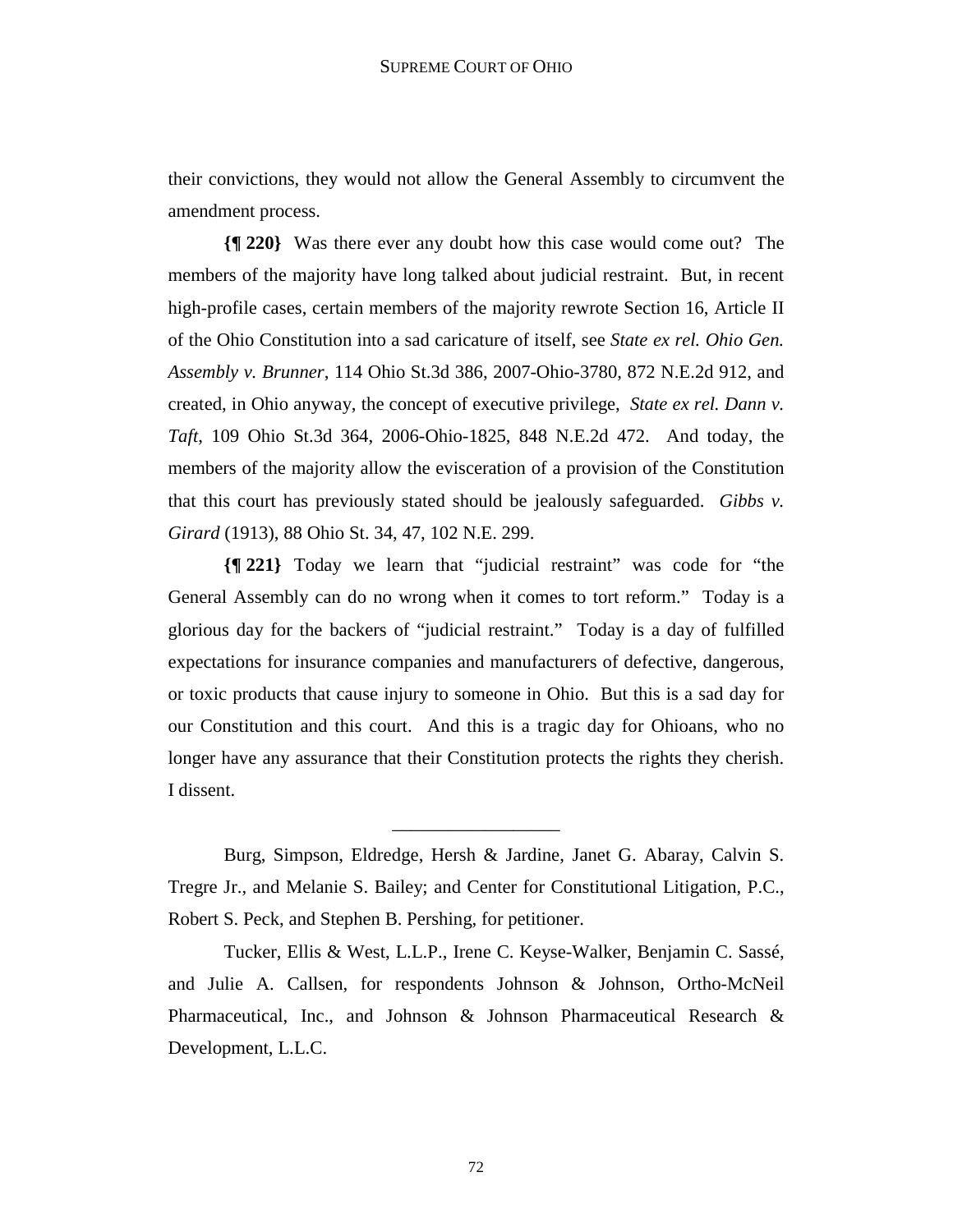their convictions, they would not allow the General Assembly to circumvent the amendment process.

**{¶ 220}** Was there ever any doubt how this case would come out? The members of the majority have long talked about judicial restraint. But, in recent high-profile cases, certain members of the majority rewrote Section 16, Article II of the Ohio Constitution into a sad caricature of itself, see *State ex rel. Ohio Gen. Assembly v. Brunner*, 114 Ohio St.3d 386, 2007-Ohio-3780, 872 N.E.2d 912, and created, in Ohio anyway, the concept of executive privilege, *State ex rel. Dann v. Taft*, 109 Ohio St.3d 364, 2006-Ohio-1825, 848 N.E.2d 472. And today, the members of the majority allow the evisceration of a provision of the Constitution that this court has previously stated should be jealously safeguarded. *Gibbs v. Girard* (1913), 88 Ohio St. 34, 47, 102 N.E. 299.

**{¶ 221}** Today we learn that "judicial restraint" was code for "the General Assembly can do no wrong when it comes to tort reform." Today is a glorious day for the backers of "judicial restraint." Today is a day of fulfilled expectations for insurance companies and manufacturers of defective, dangerous, or toxic products that cause injury to someone in Ohio. But this is a sad day for our Constitution and this court. And this is a tragic day for Ohioans, who no longer have any assurance that their Constitution protects the rights they cherish. I dissent.

Burg, Simpson, Eldredge, Hersh & Jardine, Janet G. Abaray, Calvin S. Tregre Jr., and Melanie S. Bailey; and Center for Constitutional Litigation, P.C., Robert S. Peck, and Stephen B. Pershing, for petitioner.

\_\_\_\_\_\_\_\_\_\_\_\_\_\_\_\_\_\_

Tucker, Ellis & West, L.L.P., Irene C. Keyse-Walker, Benjamin C. Sassé, and Julie A. Callsen, for respondents Johnson & Johnson, Ortho-McNeil Pharmaceutical, Inc., and Johnson & Johnson Pharmaceutical Research & Development, L.L.C.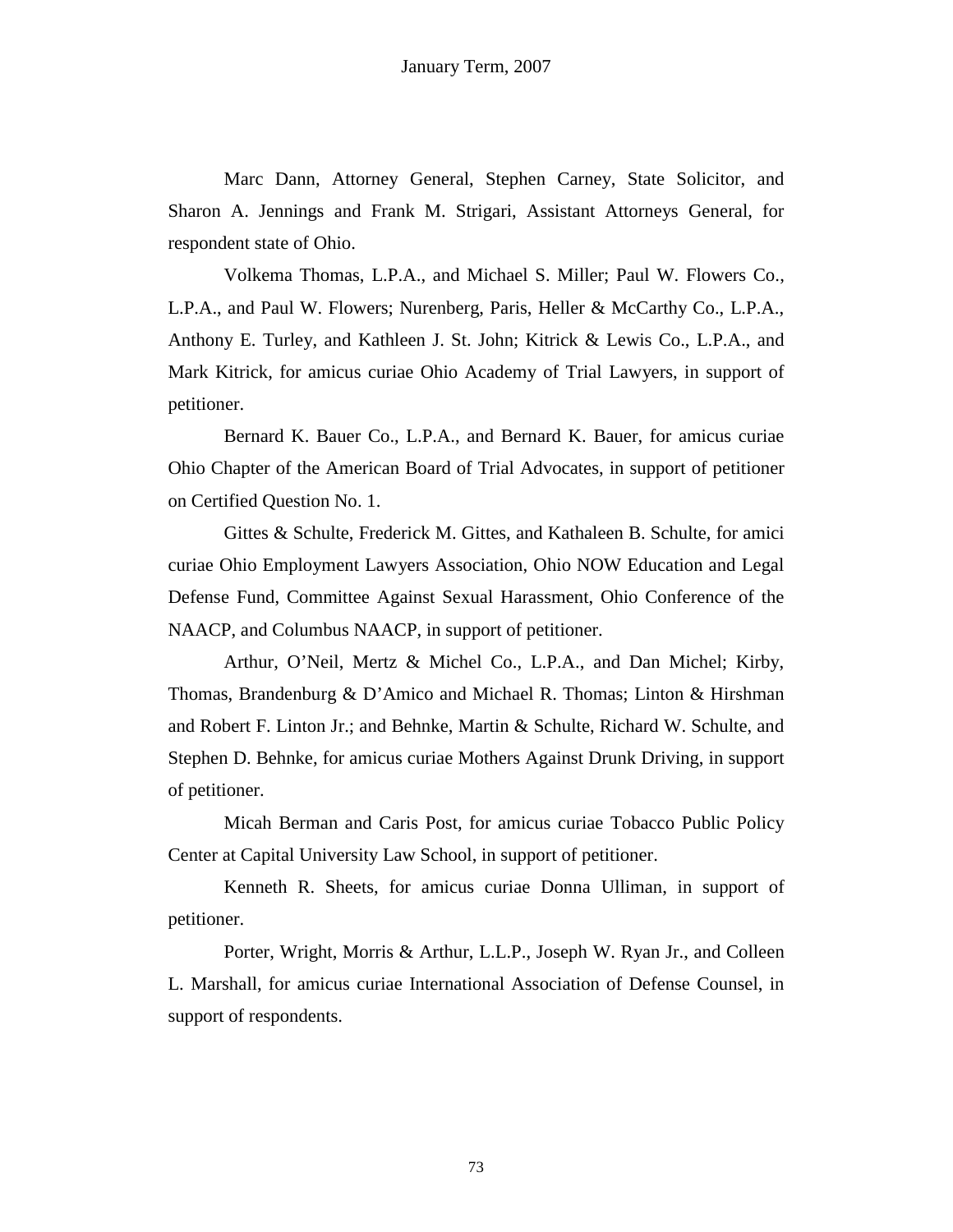Marc Dann, Attorney General, Stephen Carney, State Solicitor, and Sharon A. Jennings and Frank M. Strigari, Assistant Attorneys General, for respondent state of Ohio.

Volkema Thomas, L.P.A., and Michael S. Miller; Paul W. Flowers Co., L.P.A., and Paul W. Flowers; Nurenberg, Paris, Heller & McCarthy Co., L.P.A., Anthony E. Turley, and Kathleen J. St. John; Kitrick & Lewis Co., L.P.A., and Mark Kitrick, for amicus curiae Ohio Academy of Trial Lawyers, in support of petitioner.

Bernard K. Bauer Co., L.P.A., and Bernard K. Bauer, for amicus curiae Ohio Chapter of the American Board of Trial Advocates, in support of petitioner on Certified Question No. 1.

Gittes & Schulte, Frederick M. Gittes, and Kathaleen B. Schulte, for amici curiae Ohio Employment Lawyers Association, Ohio NOW Education and Legal Defense Fund, Committee Against Sexual Harassment, Ohio Conference of the NAACP, and Columbus NAACP, in support of petitioner.

Arthur, O'Neil, Mertz & Michel Co., L.P.A., and Dan Michel; Kirby, Thomas, Brandenburg & D'Amico and Michael R. Thomas; Linton & Hirshman and Robert F. Linton Jr.; and Behnke, Martin & Schulte, Richard W. Schulte, and Stephen D. Behnke, for amicus curiae Mothers Against Drunk Driving, in support of petitioner.

Micah Berman and Caris Post, for amicus curiae Tobacco Public Policy Center at Capital University Law School, in support of petitioner.

Kenneth R. Sheets, for amicus curiae Donna Ulliman, in support of petitioner.

Porter, Wright, Morris & Arthur, L.L.P., Joseph W. Ryan Jr., and Colleen L. Marshall, for amicus curiae International Association of Defense Counsel, in support of respondents.

73